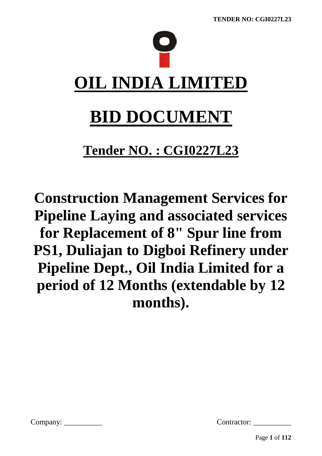

# **Tender NO. : CGI0227L23**

**Construction Management Services for Pipeline Laying and associated services for Replacement of 8" Spur line from PS1, Duliajan to Digboi Refinery under Pipeline Dept., Oil India Limited for a period of 12 Months (extendable by 12 months).**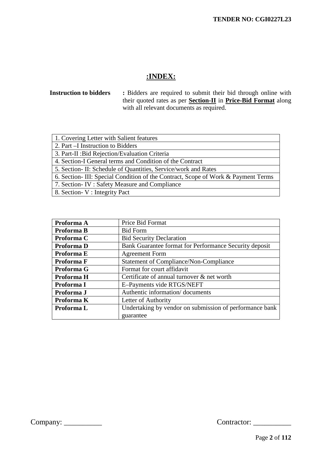# **:INDEX:**

# **Instruction to bidders :** Bidders are required to submit their bid through online with their quoted rates as per **Section-II** in **Price-Bid Format** along with all relevant documents as required.

| 1. Covering Letter with Salient features                                          |
|-----------------------------------------------------------------------------------|
| 2. Part –I Instruction to Bidders                                                 |
| 3. Part-II : Bid Rejection/Evaluation Criteria                                    |
| 4. Section-I General terms and Condition of the Contract                          |
| 5. Section - II: Schedule of Quantities, Service/work and Rates                   |
| 6. Section- III: Special Condition of the Contract, Scope of Work & Payment Terms |
| 7. Section- IV: Safety Measure and Compliance                                     |
| 8. Section - V : Integrity Pact                                                   |

| Proforma A | Price Bid Format                                        |  |  |
|------------|---------------------------------------------------------|--|--|
| Proforma B | <b>Bid Form</b>                                         |  |  |
| Proforma C | <b>Bid Security Declaration</b>                         |  |  |
| Proforma D | Bank Guarantee format for Performance Security deposit  |  |  |
| Proforma E | <b>Agreement Form</b>                                   |  |  |
| Proforma F | <b>Statement of Compliance/Non-Compliance</b>           |  |  |
| Proforma G | Format for court affidavit                              |  |  |
| Proforma H | Certificate of annual turnover & net worth              |  |  |
| Proforma I | E-Payments vide RTGS/NEFT                               |  |  |
| Proforma J | Authentic information/documents                         |  |  |
| Proforma K | Letter of Authority                                     |  |  |
| Proforma L | Undertaking by vendor on submission of performance bank |  |  |
|            | guarantee                                               |  |  |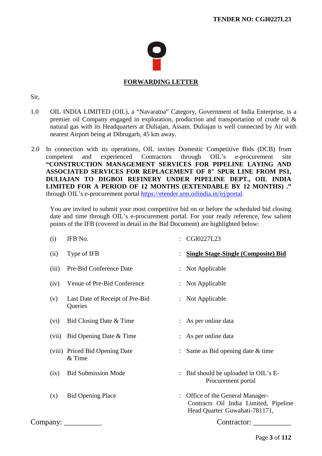

# **FORWARDING LETTER**

#### Sir,

- 1.0 OIL INDIA LIMITED (OIL), a "Navaratna" Category, Government of India Enterprise, is a premier oil Company engaged in exploration, production and transportation of crude oil & natural gas with its Headquarters at Duliajan, Assam. Duliajan is well connected by Air with nearest Airport being at Dibrugarh, 45 km away.
- 2.0 In connection with its operations, OIL invites Domestic Competitive Bids (DCB) from competent and experienced Contractors through OIL's e-procurement site **"CONSTRUCTION MANAGEMENT SERVICES FOR PIPELINE LAYING AND ASSOCIATED SERVICES FOR REPLACEMENT OF 8" SPUR LINE FROM PS1, DULIAJAN TO DIGBOI REFINERY UNDER PIPELINE DEPT., OIL INDIA LIMITED FOR A PERIOD OF 12 MONTHS (EXTENDABLE BY 12 MONTHS) ."** through OIL's e-procurement portal [https://etender.srm.oilindia.in/irj/portal.](https://etender.srm.oilindia.in/irj/portal)

You are invited to submit your most competitive bid on or before the scheduled bid closing date and time through OIL's e-procurement portal. For your ready reference, few salient points of the IFB (covered in detail in the Bid Document) are highlighted below:

| (i)        | IFB No.                                    | $\ddot{\phantom{a}}$ | CGI0227L23                                                                                               |
|------------|--------------------------------------------|----------------------|----------------------------------------------------------------------------------------------------------|
| (ii)       | Type of IFB                                |                      | : Single Stage-Single (Composite) Bid                                                                    |
| (iii)      | Pre-Bid Conference Date                    |                      | : Not Applicable                                                                                         |
| (iv)       | Venue of Pre-Bid Conference                |                      | : Not Applicable                                                                                         |
| (v)        | Last Date of Receipt of Pre-Bid<br>Queries |                      | : Not Applicable                                                                                         |
| (vi)       | Bid Closing Date & Time                    |                      | : As per online data                                                                                     |
| (vii)      | Bid Opening Date & Time                    |                      | : As per online data                                                                                     |
|            | (viii) Priced Bid Opening Date<br>& Time   |                      | : Same as Bid opening date $&$ time                                                                      |
| (ix)       | <b>Bid Submission Mode</b>                 |                      | : Bid should be uploaded in OIL's E-<br>Procurement portal                                               |
| (x)        | <b>Bid Opening Place</b>                   |                      | Office of the General Manager-<br>Contracts Oil India Limited, Pipeline<br>Head Quarter Guwahati-781171, |
| Company: _ |                                            |                      | Contractor:                                                                                              |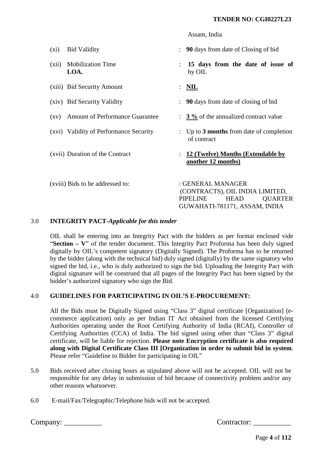|                    |                                        |                      | Assam, India                                                                                                                       |
|--------------------|----------------------------------------|----------------------|------------------------------------------------------------------------------------------------------------------------------------|
| $(x_i)$            | <b>Bid Validity</b>                    | ÷                    | 90 days from date of Closing of bid                                                                                                |
| (xii)              | <b>Mobilization Time</b><br>LOA.       |                      | 15 days from the date of issue of<br>by OIL                                                                                        |
|                    | (xiii) Bid Security Amount             | $\ddot{\phantom{a}}$ | $\overline{\text{NIL}}$                                                                                                            |
|                    | (xiv) Bid Security Validity            |                      | 90 days from date of closing of bid                                                                                                |
| $\left( xy\right)$ | <b>Amount of Performance Guarantee</b> |                      | $\frac{3\%}{6}$ of the annualized contract value                                                                                   |
|                    | (xvi) Validity of Performance Security |                      | Up to 3 months from date of completion<br>of contract                                                                              |
|                    | (xvii) Duration of the Contract        |                      | 12 (Twelve) Months (Extendable by<br>another 12 months)                                                                            |
|                    | (xviii) Bids to be addressed to:       |                      | : GENERAL MANAGER<br>(CONTRACTS), OIL INDIA LIMITED,<br>PIPELINE<br><b>HEAD</b><br><b>QUARTER</b><br>GUWAHATI-781171, ASSAM, INDIA |

#### 3.0 **INTEGRITY PACT-***Applicable for this tender*

OIL shall be entering into an Integrity Pact with the bidders as per format enclosed vide "**Section – V**" of the tender document. This Integrity Pact Proforma has been duly signed digitally by OIL's competent signatory (Digitally Signed). The Proforma has to be returned by the bidder (along with the technical bid) duly signed (digitally) by the same signatory who signed the bid, i.e., who is duly authorized to sign the bid. Uploading the Integrity Pact with digital signature will be construed that all pages of the Integrity Pact has been signed by the bidder's authorized signatory who sign the Bid.

#### 4.0 **GUIDELINES FOR PARTICIPATING IN OIL'S E-PROCUREMENT:**

All the Bids must be Digitally Signed using "Class 3" digital certificate [Organization] (ecommerce application) only as per Indian IT Act obtained from the licensed Certifying Authorities operating under the Root Certifying Authority of India (RCAI), Controller of Certifying Authorities (CCA) of India. The bid signed using other than "Class 3" digital certificate, will be liable for rejection. **Please note Encryption certificate is also required along with Digital Certificate Class III [Organization in order to submit bid in system**. Please refer "Guideline to Bidder for participating in OIL"

- 5.0 Bids received after closing hours as stipulated above will not be accepted. OIL will not be responsible for any delay in submission of bid because of connectivity problem and/or any other reasons whatsoever.
- 6.0 E-mail/Fax/Telegraphic/Telephone bids will not be accepted.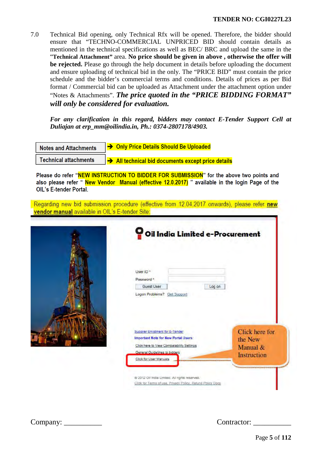7.0 Technical Bid opening, only Technical Rfx will be opened. Therefore, the bidder should ensure that "TECHNO-COMMERCIAL UNPRICED BID should contain details as mentioned in the technical specifications as well as BEC/ BRC and upload the same in the "**Technical Attachment"** area. **No price should be given in above , otherwise the offer will be rejected.** Please go through the help document in details before uploading the document and ensure uploading of technical bid in the only. The "PRICE BID" must contain the price schedule and the bidder's commercial terms and conditions. Details of prices as per Bid format / Commercial bid can be uploaded as Attachment under the attachment option under "Notes & Attachments". *The price quoted in the "PRICE BIDDING FORMAT" will only be considered for evaluation.*

*For any clarification in this regard, bidders may contact E-Tender Support Cell at Duliajan at erp\_mm@oilindia.in, Ph.: 0374-2807178/4903.* 

| <b>Notes and Attachments</b> | → Only Price Details Should Be Uploaded          |
|------------------------------|--------------------------------------------------|
| <b>Technical attachments</b> | All technical bid documents except price details |

Please do refer "NEW INSTRUCTION TO BIDDER FOR SUBMISSION" for the above two points and also please refer "New Vendor Manual (effective 12.0.2017) " available in the login Page of the **OIL's E-tender Portal.** 

Regarding new bid submission procedure (effective from 12.04.2017 onwards), please refer new vendor manual available in OIL's E-tender Site:

| O Oil India Limited e-Procurement                                                                                                                                                       |        |                                                      |
|-----------------------------------------------------------------------------------------------------------------------------------------------------------------------------------------|--------|------------------------------------------------------|
| User ID <sup>*</sup><br>Password*                                                                                                                                                       |        |                                                      |
| Guest User<br>Logan Problems? Get Support                                                                                                                                               | Log on |                                                      |
| Supplier Enlistment for E-Tender<br><b>Important Note for New Portal Users:</b><br>Click here to View Compatability Settings<br>General Guidelines to bidders<br>Click for User Manuals |        | Click here for<br>the New<br>Manual &<br>Instruction |
| @ 2012 Oil India Limited. All rights reserved.<br>Click for Terms of use, Privacy Policy, Retund Policy Docs                                                                            |        |                                                      |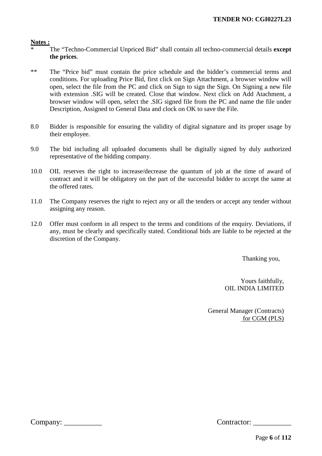#### **Notes :**

- \* The "Techno-Commercial Unpriced Bid" shall contain all techno-commercial details **except the prices**.
- \*\* The "Price bid" must contain the price schedule and the bidder's commercial terms and conditions. For uploading Price Bid, first click on Sign Attachment, a browser window will open, select the file from the PC and click on Sign to sign the Sign. On Signing a new file with extension .SIG will be created. Close that window. Next click on Add Atachment, a browser window will open, select the .SIG signed file from the PC and name the file under Description, Assigned to General Data and clock on OK to save the File.
- 8.0 Bidder is responsible for ensuring the validity of digital signature and its proper usage by their employee.
- 9.0 The bid including all uploaded documents shall be digitally signed by duly authorized representative of the bidding company.
- 10.0 OIL reserves the right to increase/decrease the quantum of job at the time of award of contract and it will be obligatory on the part of the successful bidder to accept the same at the offered rates.
- 11.0 The Company reserves the right to reject any or all the tenders or accept any tender without assigning any reason.
- 12.0 Offer must conform in all respect to the terms and conditions of the enquiry. Deviations, if any, must be clearly and specifically stated. Conditional bids are liable to be rejected at the discretion of the Company.

Thanking you,

Yours faithfully, OIL INDIA LIMITED

General Manager (Contracts) for CGM (PLS)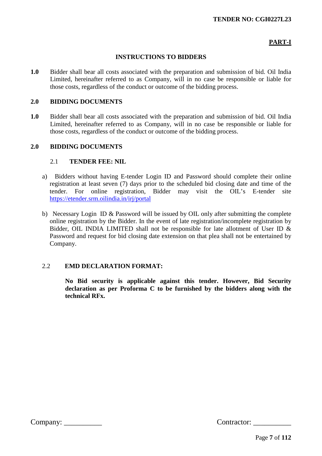# **PART-I**

## **INSTRUCTIONS TO BIDDERS**

**1.0** Bidder shall bear all costs associated with the preparation and submission of bid. Oil India Limited, hereinafter referred to as Company, will in no case be responsible or liable for those costs, regardless of the conduct or outcome of the bidding process.

#### **2.0 BIDDING DOCUMENTS**

**1.0** Bidder shall bear all costs associated with the preparation and submission of bid. Oil India Limited, hereinafter referred to as Company, will in no case be responsible or liable for those costs, regardless of the conduct or outcome of the bidding process.

#### **2.0 BIDDING DOCUMENTS**

#### 2.1 **TENDER FEE: NIL**

- a) Bidders without having E-tender Login ID and Password should complete their online registration at least seven (7) days prior to the scheduled bid closing date and time of the tender. For online registration, Bidder may visit the OIL's E-tender site <https://etender.srm.oilindia.in/irj/portal>
- b) Necessary Login ID & Password will be issued by OIL only after submitting the complete online registration by the Bidder. In the event of late registration/incomplete registration by Bidder, OIL INDIA LIMITED shall not be responsible for late allotment of User ID  $\&$ Password and request for bid closing date extension on that plea shall not be entertained by Company.

# 2.2 **EMD DECLARATION FORMAT:**

**No Bid security is applicable against this tender. However, Bid Security declaration as per Proforma C to be furnished by the bidders along with the technical RFx.**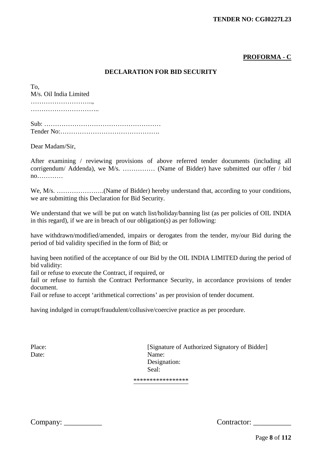# **PROFORMA - C**

## **DECLARATION FOR BID SECURITY**

To, M/s. Oil India Limited ……………………….., …………………………………

Sub: ……………………………………………… Tender No:……………………………………….

Dear Madam/Sir,

After examining / reviewing provisions of above referred tender documents (including all corrigendum/ Addenda), we M/s. …………… (Name of Bidder) have submitted our offer / bid no…………

We, M/s. ………………….(Name of Bidder) hereby understand that, according to your conditions, we are submitting this Declaration for Bid Security.

We understand that we will be put on watch list/holiday/banning list (as per policies of OIL INDIA in this regard), if we are in breach of our obligation(s) as per following:

have withdrawn/modified/amended, impairs or derogates from the tender, my/our Bid during the period of bid validity specified in the form of Bid; or

having been notified of the acceptance of our Bid by the OIL INDIA LIMITED during the period of bid validity:

fail or refuse to execute the Contract, if required, or

fail or refuse to furnish the Contract Performance Security, in accordance provisions of tender document.

Fail or refuse to accept 'arithmetical corrections' as per provision of tender document.

having indulged in corrupt/fraudulent/collusive/coercive practice as per procedure.

Place: [Signature of Authorized Signatory of Bidder] Date: Name: Designation: Seal:

\*\*\*\*\*\*\*\*\*\*\*\*\*\*\*\*\*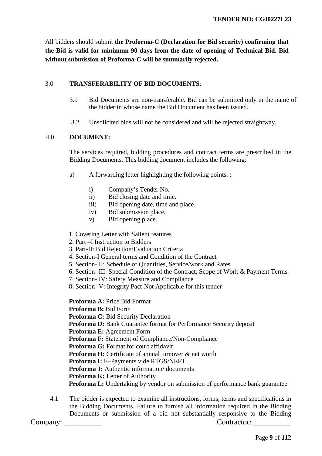All bidders should submit **the Proforma-C (Declaration for Bid security) confirming that the Bid is valid for minimum 90 days from the date of opening of Technical Bid. Bid without submission of Proforma-C will be summarily rejected.**

## 3.0 **TRANSFERABILITY OF BID DOCUMENTS**:

- 3.1 Bid Documents are non-transferable. Bid can be submitted only in the name of the bidder in whose name the Bid Document has been issued.
- 3.2 Unsolicited bids will not be considered and will be rejected straightway.

## 4.0 **DOCUMENT:**

The services required, bidding procedures and contract terms are prescribed in the Bidding Documents. This bidding document includes the following:

- a) A forwarding letter highlighting the following points. :
	- i) Company's Tender No.
	- ii) Bid closing date and time.
	- iii) Bid opening date, time and place.
	- iv) Bid submission place.
	- v) Bid opening place.

#### 1. Covering Letter with Salient features

- 2. Part –I Instruction to Bidders
- 3. Part-II: Bid Rejection/Evaluation Criteria
- 4. Section-I General terms and Condition of the Contract
- 5. Section- II: Schedule of Quantities, Service/work and Rates
- 6. Section- III: Special Condition of the Contract, Scope of Work & Payment Terms
- 7. Section- IV: Safety Measure and Compliance
- 8. Section- V: Integrity Pact-Not Applicable for this tender

**Proforma A:** Price Bid Format

**Proforma B:** Bid Form

**Proforma C:** Bid Security Declaration

**Proforma D:** Bank Guarantee format for Performance Security deposit

**Proforma E:** Agreement Form

**Proforma F:** Statement of Compliance/Non-Compliance

**Proforma G:** Format for court affidavit

**Proforma H:** Certificate of annual turnover & net worth

**Proforma I:** E–Payments vide RTGS/NEFT

**Proforma J:** Authentic information/ documents

**Proforma K:** Letter of Authority

**Proforma L:** Undertaking by vendor on submission of performance bank guarantee

4.1 The bidder is expected to examine all instructions, forms, terms and specifications in the Bidding Documents. Failure to furnish all information required in the Bidding Documents or submission of a bid not substantially responsive to the Bidding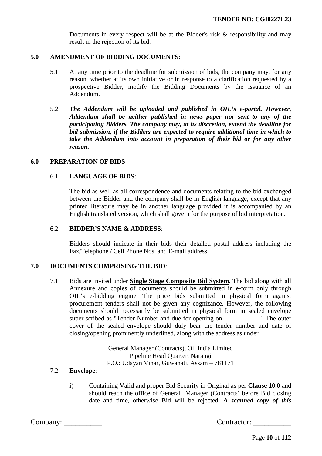Documents in every respect will be at the Bidder's risk & responsibility and may result in the rejection of its bid.

#### **5.0 AMENDMENT OF BIDDING DOCUMENTS:**

- 5.1 At any time prior to the deadline for submission of bids, the company may, for any reason, whether at its own initiative or in response to a clarification requested by a prospective Bidder, modify the Bidding Documents by the issuance of an Addendum.
- 5.2 *The Addendum will be uploaded and published in OIL's e-portal. However, Addendum shall be neither published in news paper nor sent to any of the participating Bidders. The company may, at its discretion, extend the deadline for bid submission, if the Bidders are expected to require additional time in which to take the Addendum into account in preparation of their bid or for any other reason.*

#### **6.0 PREPARATION OF BIDS**

## 6.1 **LANGUAGE OF BIDS**:

The bid as well as all correspondence and documents relating to the bid exchanged between the Bidder and the company shall be in English language, except that any printed literature may be in another language provided it is accompanied by an English translated version, which shall govern for the purpose of bid interpretation.

#### 6.2 **BIDDER'S NAME & ADDRESS**:

Bidders should indicate in their bids their detailed postal address including the Fax/Telephone / Cell Phone Nos. and E-mail address.

#### **7.0 DOCUMENTS COMPRISING THE BID**:

7.1 Bids are invited under **Single Stage Composite Bid System**. The bid along with all Annexure and copies of documents should be submitted in e-form only through OIL's e-bidding engine. The price bids submitted in physical form against procurement tenders shall not be given any cognizance. However, the following documents should necessarily be submitted in physical form in sealed envelope super scribed as "Tender Number and due for opening on The outer cover of the sealed envelope should duly bear the tender number and date of closing/opening prominently underlined, along with the address as under

> General Manager (Contracts), Oil India Limited Pipeline Head Quarter, Narangi P.O.: Udayan Vihar, Guwahati, Assam – 781171

# 7.2 **Envelope**:

i) Containing Valid and proper Bid Security in Original as per **Clause 10.0** and should reach the office of General Manager (Contracts) before Bid closing date and time, otherwise Bid will be rejected. *A scanned copy of this*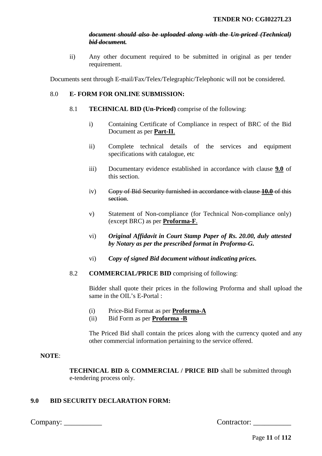## *document should also be uploaded along with the Un-priced (Technical) bid document.*

ii) Any other document required to be submitted in original as per tender requirement.

Documents sent through E-mail/Fax/Telex/Telegraphic/Telephonic will not be considered.

#### 8.0 **E- FORM FOR ONLINE SUBMISSION:**

- 8.1 **TECHNICAL BID (Un-Priced)** comprise of the following:
	- i) Containing Certificate of Compliance in respect of BRC of the Bid Document as per **Part-II**.
	- ii) Complete technical details of the services and equipment specifications with catalogue, etc
	- iii) Documentary evidence established in accordance with clause **9.0** of this section.
	- iv) Copy of Bid Security furnished in accordance with clause **10.0** of this section.
	- v) Statement of Non-compliance (for Technical Non-compliance only) (except BRC) as per **Proforma-F**.
	- vi) *Original Affidavit in Court Stamp Paper of Rs. 20.00, duly attested by Notary as per the prescribed format in Proforma-G.*
	- vi) *Copy of signed Bid document without indicating prices.*
- 8.2 **COMMERCIAL/PRICE BID** comprising of following:

Bidder shall quote their prices in the following Proforma and shall upload the same in the OIL's E-Portal :

- (i) Price-Bid Format as per **Proforma-A**
- (ii) Bid Form as per **Proforma -B**

The Priced Bid shall contain the prices along with the currency quoted and any other commercial information pertaining to the service offered.

#### **NOTE**:

**TECHNICAL BID** & **COMMERCIAL / PRICE BID** shall be submitted through e-tendering process only.

# **9.0 BID SECURITY DECLARATION FORM:**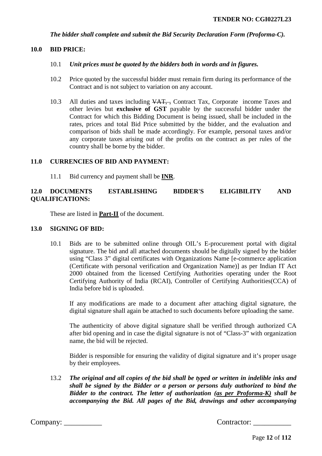*The bidder shall complete and submit the Bid Security Declaration Form (Proforma-C).*

#### **10.0 BID PRICE:**

- 10.1 *Unit prices must be quoted by the bidders both in words and in figures.*
- 10.2 Price quoted by the successful bidder must remain firm during its performance of the Contract and is not subject to variation on any account.
- 10.3 All duties and taxes including  $\overline{VAT}$ , Contract Tax, Corporate income Taxes and other levies but **exclusive of GST** payable by the successful bidder under the Contract for which this Bidding Document is being issued, shall be included in the rates, prices and total Bid Price submitted by the bidder, and the evaluation and comparison of bids shall be made accordingly. For example, personal taxes and/or any corporate taxes arising out of the profits on the contract as per rules of the country shall be borne by the bidder.

#### **11.0 CURRENCIES OF BID AND PAYMENT:**

11.1 Bid currency and payment shall be **INR**.

## **12.0 DOCUMENTS ESTABLISHING BIDDER'S ELIGIBILITY AND QUALIFICATIONS:**

These are listed in **Part-II** of the document.

#### **13.0 SIGNING OF BID:**

10.1 Bids are to be submitted online through OIL's E-procurement portal with digital signature. The bid and all attached documents should be digitally signed by the bidder using "Class 3" digital certificates with Organizations Name [e-commerce application (Certificate with personal verification and Organization Name)] as per Indian IT Act 2000 obtained from the licensed Certifying Authorities operating under the Root Certifying Authority of India (RCAI), Controller of Certifying Authorities(CCA) of India before bid is uploaded.

If any modifications are made to a document after attaching digital signature, the digital signature shall again be attached to such documents before uploading the same.

The authenticity of above digital signature shall be verified through authorized CA after bid opening and in case the digital signature is not of "Class-3" with organization name, the bid will be rejected.

Bidder is responsible for ensuring the validity of digital signature and it's proper usage by their employees.

13.2 *The original and all copies of the bid shall be typed or written in indelible inks and shall be signed by the Bidder or a person or persons duly authorized to bind the Bidder to the contract. The letter of authorization (as per Proforma-K) shall be accompanying the Bid. All pages of the Bid, drawings and other accompanying*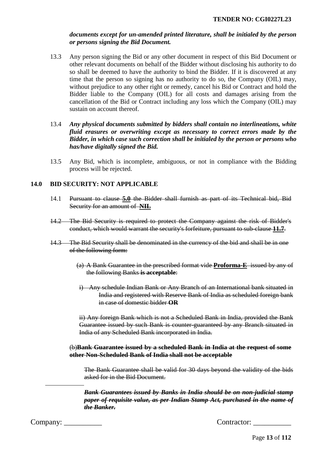# *documents except for un-amended printed literature, shall be initialed by the person or persons signing the Bid Document.*

- 13.3 Any person signing the Bid or any other document in respect of this Bid Document or other relevant documents on behalf of the Bidder without disclosing his authority to do so shall be deemed to have the authority to bind the Bidder. If it is discovered at any time that the person so signing has no authority to do so, the Company (OIL) may, without prejudice to any other right or remedy, cancel his Bid or Contract and hold the Bidder liable to the Company (OIL) for all costs and damages arising from the cancellation of the Bid or Contract including any loss which the Company (OIL) may sustain on account thereof.
- 13.4 *Any physical documents submitted by bidders shall contain no interlineations, white fluid erasures or overwriting except as necessary to correct errors made by the Bidder, in which case such correction shall be initialed by the person or persons who has/have digitally signed the Bid.*
- 13.5 Any Bid, which is incomplete, ambiguous, or not in compliance with the Bidding process will be rejected.

## **14.0 BID SECURITY: NOT APPLICABLE**

- 14.1 Pursuant to clause **5.0** the Bidder shall furnish as part of its Technical bid, Bid Security for an amount of **NIL**
- 14.2 The Bid Security is required to protect the Company against the risk of Bidder's conduct, which would warrant the security's forfeiture, pursuant to sub-clause **11.7**.
- 14.3 The Bid Security shall be denominated in the currency of the bid and shall be in one of the following form:
	- (a) A Bank Guarantee in the prescribed format vide **Proforma-E** issued by any of the following Banks **is acceptable**:
	- i) Any schedule Indian Bank or Any Branch of an International bank situated in India and registered with Reserve Bank of India as scheduled foreign bank in case of domestic bidder **OR**

ii) Any foreign Bank which is not a Scheduled Bank in India, provided the Bank Guarantee issued by such Bank is counter-guaranteed by any Branch situated in India of any Scheduled Bank incorporated in India.

#### (b)**Bank Guarantee issued by a scheduled Bank in India at the request of some other Non-Scheduled Bank of India shall not be acceptable**

The Bank Guarantee shall be valid for 30 days beyond the validity of the bids asked for in the Bid Document.

*Bank Guarantees issued by Banks in India should be on non-judicial stamp paper of requisite value, as per Indian Stamp Act, purchased in the name of the Banker.*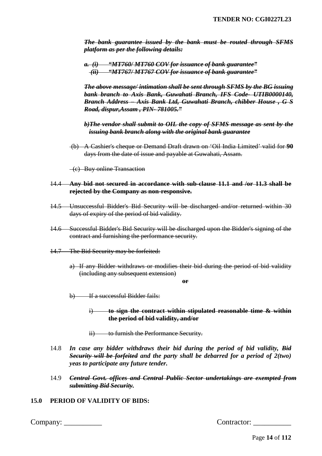*The bank guarantee issued by the bank must be routed through SFMS platform as per the following details:* 

*a. (i) "MT760/ MT760 COV for issuance of bank guarantee" (ii) "MT767/ MT767 COV for issuance of bank guarantee"* 

*The above message/ intimation shall be sent through SFMS by the BG issuing bank branch to Axis Bank, Guwahati Branch, IFS Code- UTIB0000140, Branch Address – Axis Bank Ltd, Guwahati Branch, chibber House , G S Road, dispur,Assam , PIN- 781005."* 

*b)The vendor shall submit to OIL the copy of SFMS message as sent by the issuing bank branch along with the original bank guarantee* 

(b) A Cashier's cheque or Demand Draft drawn on 'Oil India Limited' valid for **90**  days from the date of issue and payable at Guwahati, Assam.

(c) Buy online Transaction

- 14.4 **Any bid not secured in accordance with sub-clause 11.1 and /or 11.3 shall be rejected by the Company as non-responsive.**
- 14.5 Unsuccessful Bidder's Bid Security will be discharged and/or returned within 30 days of expiry of the period of bid validity.
- 14.6 Successful Bidder's Bid Security will be discharged upon the Bidder's signing of the contract and furnishing the performance security.
- 14.7 The Bid Security may be forfeited:
	- a) If any Bidder withdraws or modifies their bid during the period of bid validity (including any subsequent extension)

**or** 

b) If a successful Bidder fails:

i) **to sign the contract within stipulated reasonable time & within the period of bid validity, and/or** 

- ii) to furnish the Performance Security.
- 14.8 *In case any bidder withdraws their bid during the period of bid validity, Bid Security will be forfeited and the party shall be debarred for a period of 2(two) yeas to participate any future tender.*
- 14.9 *Central Govt. offices and Central Public Sector undertakings are exempted from submitting Bid Security.*

## **15.0 PERIOD OF VALIDITY OF BIDS:**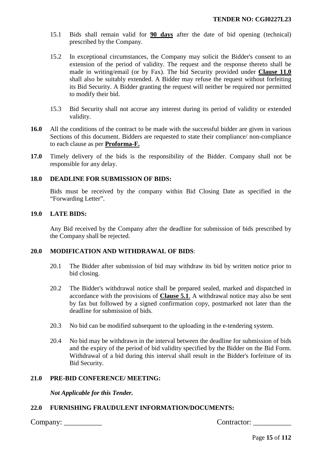- 15.1 Bids shall remain valid for **90 days** after the date of bid opening (technical) prescribed by the Company.
- 15.2 In exceptional circumstances, the Company may solicit the Bidder's consent to an extension of the period of validity. The request and the response thereto shall be made in writing/email (or by Fax). The bid Security provided under **Clause 11.0** shall also be suitably extended. A Bidder may refuse the request without forfeiting its Bid Security. A Bidder granting the request will neither be required nor permitted to modify their bid.
- 15.3 Bid Security shall not accrue any interest during its period of validity or extended validity.
- **16.0** All the conditions of the contract to be made with the successful bidder are given in various Sections of this document. Bidders are requested to state their compliance/ non-compliance to each clause as per **Proforma-F.**
- **17.0** Timely delivery of the bids is the responsibility of the Bidder. Company shall not be responsible for any delay.

## **18.0 DEADLINE FOR SUBMISSION OF BIDS:**

Bids must be received by the company within Bid Closing Date as specified in the "Forwarding Letter".

#### **19.0 LATE BIDS:**

Any Bid received by the Company after the deadline for submission of bids prescribed by the Company shall be rejected.

#### **20.0 MODIFICATION AND WITHDRAWAL OF BIDS**:

- 20.1 The Bidder after submission of bid may withdraw its bid by written notice prior to bid closing.
- 20.2 The Bidder's withdrawal notice shall be prepared sealed, marked and dispatched in accordance with the provisions of **Clause 5.1**. A withdrawal notice may also be sent by fax but followed by a signed confirmation copy, postmarked not later than the deadline for submission of bids.
- 20.3 No bid can be modified subsequent to the uploading in the e-tendering system.
- 20.4 No bid may be withdrawn in the interval between the deadline for submission of bids and the expiry of the period of bid validity specified by the Bidder on the Bid Form. Withdrawal of a bid during this interval shall result in the Bidder's forfeiture of its Bid Security.

## **21.0 PRE-BID CONFERENCE/ MEETING:**

*Not Applicable for this Tender.* 

## **22.0 FURNISHING FRAUDULENT INFORMATION/DOCUMENTS:**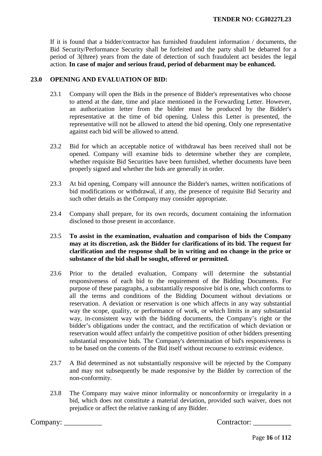If it is found that a bidder/contractor has furnished fraudulent information / documents, the Bid Security/Performance Security shall be forfeited and the party shall be debarred for a period of 3(three) years from the date of detection of such fraudulent act besides the legal action. **In case of major and serious fraud, period of debarment may be enhanced.**

## **23.0 OPENING AND EVALUATION OF BID:**

- 23.1 Company will open the Bids in the presence of Bidder's representatives who choose to attend at the date, time and place mentioned in the Forwarding Letter. However, an authorization letter from the bidder must be produced by the Bidder's representative at the time of bid opening. Unless this Letter is presented, the representative will not be allowed to attend the bid opening. Only one representative against each bid will be allowed to attend.
- 23.2 Bid for which an acceptable notice of withdrawal has been received shall not be opened. Company will examine bids to determine whether they are complete, whether requisite Bid Securities have been furnished, whether documents have been properly signed and whether the bids are generally in order.
- 23.3 At bid opening, Company will announce the Bidder's names, written notifications of bid modifications or withdrawal, if any, the presence of requisite Bid Security and such other details as the Company may consider appropriate.
- 23.4 Company shall prepare, for its own records, document containing the information disclosed to those present in accordance.
- 23.5 **To assist in the examination, evaluation and comparison of bids the Company may at its discretion, ask the Bidder for clarifications of its bid. The request for clarification and the response shall be in writing and no change in the price or substance of the bid shall be sought, offered or permitted.**
- 23.6 Prior to the detailed evaluation, Company will determine the substantial responsiveness of each bid to the requirement of the Bidding Documents. For purpose of these paragraphs, a substantially responsive bid is one, which conforms to all the terms and conditions of the Bidding Document without deviations or reservation. A deviation or reservation is one which affects in any way substantial way the scope, quality, or performance of work, or which limits in any substantial way, in-consistent way with the bidding documents, the Company's right or the bidder's obligations under the contract, and the rectification of which deviation or reservation would affect unfairly the competitive position of other bidders presenting substantial responsive bids. The Company's determination of bid's responsiveness is to be based on the contents of the Bid itself without recourse to extrinsic evidence.
- 23.7 A Bid determined as not substantially responsive will be rejected by the Company and may not subsequently be made responsive by the Bidder by correction of the non-conformity.
- 23.8 The Company may waive minor informality or nonconformity or irregularity in a bid, which does not constitute a material deviation, provided such waiver, does not prejudice or affect the relative ranking of any Bidder.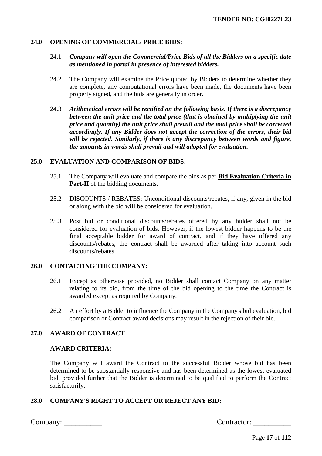## **24.0 OPENING OF COMMERCIAL/ PRICE BIDS:**

## 24.1 *Company will open the Commercial/Price Bids of all the Bidders on a specific date as mentioned in portal in presence of interested bidders.*

- 24.2 The Company will examine the Price quoted by Bidders to determine whether they are complete, any computational errors have been made, the documents have been properly signed, and the bids are generally in order.
- 24.3 *Arithmetical errors will be rectified on the following basis. If there is a discrepancy between the unit price and the total price (that is obtained by multiplying the unit price and quantity) the unit price shall prevail and the total price shall be corrected accordingly. If any Bidder does not accept the correction of the errors, their bid will be rejected. Similarly, if there is any discrepancy between words and figure, the amounts in words shall prevail and will adopted for evaluation.*

#### **25.0 EVALUATION AND COMPARISON OF BIDS:**

- 25.1 The Company will evaluate and compare the bids as per **Bid Evaluation Criteria in Part-II** of the bidding documents.
- 25.2 DISCOUNTS / REBATES: Unconditional discounts/rebates, if any, given in the bid or along with the bid will be considered for evaluation.
- 25.3 Post bid or conditional discounts/rebates offered by any bidder shall not be considered for evaluation of bids. However, if the lowest bidder happens to be the final acceptable bidder for award of contract, and if they have offered any discounts/rebates, the contract shall be awarded after taking into account such discounts/rebates.

#### **26.0 CONTACTING THE COMPANY:**

- 26.1 Except as otherwise provided, no Bidder shall contact Company on any matter relating to its bid, from the time of the bid opening to the time the Contract is awarded except as required by Company.
- 26.2 An effort by a Bidder to influence the Company in the Company's bid evaluation, bid comparison or Contract award decisions may result in the rejection of their bid.

# **27.0 AWARD OF CONTRACT**

#### **AWARD CRITERIA:**

The Company will award the Contract to the successful Bidder whose bid has been determined to be substantially responsive and has been determined as the lowest evaluated bid, provided further that the Bidder is determined to be qualified to perform the Contract satisfactorily.

# **28.0 COMPANY'S RIGHT TO ACCEPT OR REJECT ANY BID:**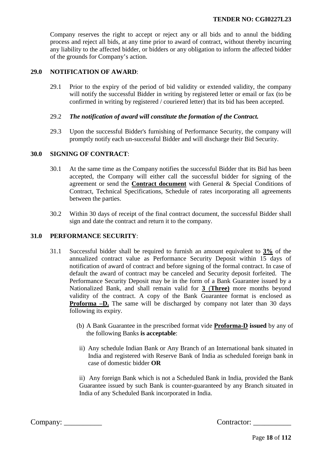Company reserves the right to accept or reject any or all bids and to annul the bidding process and reject all bids, at any time prior to award of contract, without thereby incurring any liability to the affected bidder, or bidders or any obligation to inform the affected bidder of the grounds for Company's action.

#### **29.0 NOTIFICATION OF AWARD**:

29.1 Prior to the expiry of the period of bid validity or extended validity, the company will notify the successful Bidder in writing by registered letter or email or fax (to be confirmed in writing by registered / couriered letter) that its bid has been accepted.

## 29.2 *The notification of award will constitute the formation of the Contract.*

29.3 Upon the successful Bidder's furnishing of Performance Security, the company will promptly notify each un-successful Bidder and will discharge their Bid Security.

## **30.0 SIGNING OF CONTRACT**:

- 30.1 At the same time as the Company notifies the successful Bidder that its Bid has been accepted, the Company will either call the successful bidder for signing of the agreement or send the **Contract document** with General & Special Conditions of Contract, Technical Specifications, Schedule of rates incorporating all agreements between the parties.
- 30.2 Within 30 days of receipt of the final contract document, the successful Bidder shall sign and date the contract and return it to the company.

## **31.0 PERFORMANCE SECURITY**:

- 31.1 Successful bidder shall be required to furnish an amount equivalent to **3%** of the annualized contract value as Performance Security Deposit within 15 days of notification of award of contract and before signing of the formal contract. In case of default the award of contract may be canceled and Security deposit forfeited. The Performance Security Deposit may be in the form of a Bank Guarantee issued by a Nationalized Bank, and shall remain valid for **3** (**Three)** more months beyond validity of the contract. A copy of the Bank Guarantee format is enclosed as **Proforma** –**D.** The same will be discharged by company not later than 30 days following its expiry.
	- (b) A Bank Guarantee in the prescribed format vide **Proforma-D issued** by any of the following Banks **is acceptable**:
	- ii) Any schedule Indian Bank or Any Branch of an International bank situated in India and registered with Reserve Bank of India as scheduled foreign bank in case of domestic bidder **OR**

ii) Any foreign Bank which is not a Scheduled Bank in India, provided the Bank Guarantee issued by such Bank is counter-guaranteed by any Branch situated in India of any Scheduled Bank incorporated in India.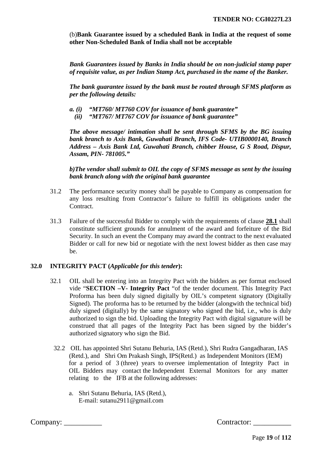(b)**Bank Guarantee issued by a scheduled Bank in India at the request of some other Non-Scheduled Bank of India shall not be acceptable**

*Bank Guarantees issued by Banks in India should be on non-judicial stamp paper of requisite value, as per Indian Stamp Act, purchased in the name of the Banker.*

*The bank guarantee issued by the bank must be routed through SFMS platform as per the following details:*

- *a. (i) "MT760/ MT760 COV for issuance of bank guarantee"* 
	- *(ii) "MT767/ MT767 COV for issuance of bank guarantee"*

*The above message/ intimation shall be sent through SFMS by the BG issuing bank branch to Axis Bank, Guwahati Branch, IFS Code- UTIB0000140, Branch Address – Axis Bank Ltd, Guwahati Branch, chibber House, G S Road, Dispur, Assam, PIN- 781005."* 

*b)The vendor shall submit to OIL the copy of SFMS message as sent by the issuing bank branch along with the original bank guarantee* 

- 31.2 The performance security money shall be payable to Company as compensation for any loss resulting from Contractor's failure to fulfill its obligations under the Contract.
- 31.3 Failure of the successful Bidder to comply with the requirements of clause **28.1** shall constitute sufficient grounds for annulment of the award and forfeiture of the Bid Security. In such an event the Company may award the contract to the next evaluated Bidder or call for new bid or negotiate with the next lowest bidder as then case may be.

#### **32.0 INTEGRITY PACT (***Applicable for this tender***):**

- 32.1 OIL shall be entering into an Integrity Pact with the bidders as per format enclosed vide "**SECTION –V- Integrity Pact** "of the tender document. This Integrity Pact Proforma has been duly signed digitally by OIL's competent signatory (Digitally Signed). The proforma has to be returned by the bidder (alongwith the technical bid) duly signed (digitally) by the same signatory who signed the bid, i.e., who is duly authorized to sign the bid. Uploading the Integrity Pact with digital signature will be construed that all pages of the Integrity Pact has been signed by the bidder's authorized signatory who sign the Bid.
	- 32.2 OIL has appointed Shri Sutanu Behuria, IAS (Retd.), Shri Rudra Gangadharan, IAS (Retd.), and Shri Om Prakash Singh, IPS(Retd.) as Independent Monitors (IEM) for a period of 3 (three) years to oversee implementation of Integrity Pact in OIL Bidders may contact the Independent External Monitors for any matter relating to the IFB at the following addresses:
		- a. Shri Sutanu Behuria, IAS (Retd.), E-mail: [sutanu2911@gmaiI.com](mailto:sutanu2911@gmaiI.com)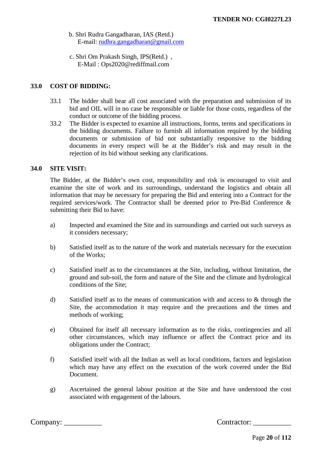- b. Shri Rudra Gangadharan, IAS (Retd.) E-mail: [rudhra.gangadharan@gmail.com](mailto:rudhra.gangadharan@gmail.com)
- c. Shri Om Prakash Singh, IPS(Retd.) , E-Mail : Ops2020@rediffmail.com

# **33.0 COST OF BIDDING:**

- 33.1 The bidder shall bear all cost associated with the preparation and submission of its bid and OIL will in no case be responsible or liable for those costs, regardless of the conduct or outcome of the bidding process.
- 33.2 The Bidder is expected to examine all instructions, forms, terms and specifications in the bidding documents. Failure to furnish all information required by the bidding documents or submission of bid not substantially responsive to the bidding documents in every respect will be at the Bidder's risk and may result in the rejection of its bid without seeking any clarifications.

#### **34.0 SITE VISIT:**

The Bidder, at the Bidder's own cost, responsibility and risk is encouraged to visit and examine the site of work and its surroundings, understand the logistics and obtain all information that may be necessary for preparing the Bid and entering into a Contract for the required services/work. The Contractor shall be deemed prior to Pre-Bid Conference & submitting their Bid to have:

- a) Inspected and examined the Site and its surroundings and carried out such surveys as it considers necessary;
- b) Satisfied itself as to the nature of the work and materials necessary for the execution of the Works;
- c) Satisfied itself as to the circumstances at the Site, including, without limitation, the ground and sub-soil, the form and nature of the Site and the climate and hydrological conditions of the Site;
- d) Satisfied itself as to the means of communication with and access to & through the Site, the accommodation it may require and the precautions and the times and methods of working;
- e) Obtained for itself all necessary information as to the risks, contingencies and all other circumstances, which may influence or affect the Contract price and its obligations under the Contract;
- f) Satisfied itself with all the Indian as well as local conditions, factors and legislation which may have any effect on the execution of the work covered under the Bid Document.
- g) Ascertained the general labour position at the Site and have understood the cost associated with engagement of the labours.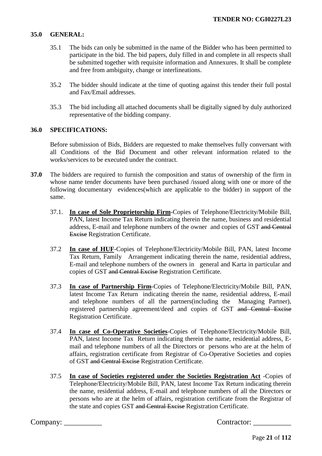# **35.0 GENERAL:**

- 35.1 The bids can only be submitted in the name of the Bidder who has been permitted to participate in the bid. The bid papers, duly filled in and complete in all respects shall be submitted together with requisite information and Annexures. It shall be complete and free from ambiguity, change or interlineations.
- 35.2 The bidder should indicate at the time of quoting against this tender their full postal and Fax/Email addresses.
- 35.3 The bid including all attached documents shall be digitally signed by duly authorized representative of the bidding company.

#### **36.0 SPECIFICATIONS:**

Before submission of Bids, Bidders are requested to make themselves fully conversant with all Conditions of the Bid Document and other relevant information related to the works/services to be executed under the contract.

- **37.0** The bidders are required to furnish the composition and status of ownership of the firm in whose name tender documents have been purchased /issued along with one or more of the following documentary evidences(which are applicable to the bidder) in support of the same.
	- 37.1. **In case of Sole Proprietorship Firm**-Copies of Telephone/Electricity/Mobile Bill, PAN, latest Income Tax Return indicating therein the name, business and residential address, E-mail and telephone numbers of the owner and copies of GST and Central Excise Registration Certificate.
	- 37.2 **In case of HUF**-Copies of Telephone/Electricity/Mobile Bill, PAN, latest Income Tax Return, Family Arrangement indicating therein the name, residential address, E-mail and telephone numbers of the owners in general and Karta in particular and copies of GST and Central Excise Registration Certificate.
	- 37.3 **In case of Partnership Firm**-Copies of Telephone/Electricity/Mobile Bill, PAN, latest Income Tax Return indicating therein the name, residential address, E-mail and telephone numbers of all the partners(including the Managing Partner), registered partnership agreement/deed and copies of GST and Central Excise Registration Certificate.
	- 37.4 **In case of Co-Operative Societies**-Copies of Telephone/Electricity/Mobile Bill, PAN, latest Income Tax Return indicating therein the name, residential address, Email and telephone numbers of all the Directors or persons who are at the helm of affairs, registration certificate from Registrar of Co-Operative Societies and copies of GST and Central Excise Registration Certificate.
	- 37.5 **In case of Societies registered under the Societies Registration Act** -Copies of Telephone/Electricity/Mobile Bill, PAN, latest Income Tax Return indicating therein the name, residential address, E-mail and telephone numbers of all the Directors or persons who are at the helm of affairs, registration certificate from the Registrar of the state and copies GST and Central Excise Registration Certificate.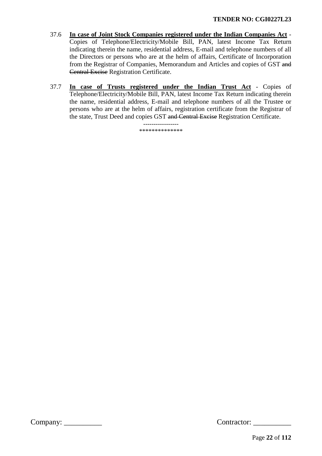- 37.6 **In case of Joint Stock Companies registered under the Indian Companies Act** Copies of Telephone/Electricity/Mobile Bill, PAN, latest Income Tax Return indicating therein the name, residential address, E-mail and telephone numbers of all the Directors or persons who are at the helm of affairs, Certificate of Incorporation from the Registrar of Companies, Memorandum and Articles and copies of GST and Central Excise Registration Certificate.
- 37.7 **In case of Trusts registered under the Indian Trust Act** Copies of Telephone/Electricity/Mobile Bill, PAN, latest Income Tax Return indicating therein the name, residential address, E-mail and telephone numbers of all the Trustee or persons who are at the helm of affairs, registration certificate from the Registrar of the state, Trust Deed and copies GST and Central Excise Registration Certificate.

----------------- \*\*\*\*\*\*\*\*\*\*\*\*\*\*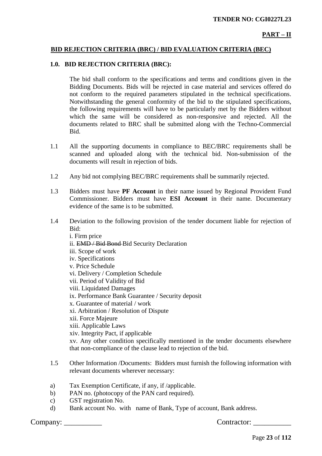# **PART – II**

## **BID REJECTION CRITERIA (BRC) / BID EVALUATION CRITERIA (BEC)**

#### **1.0. BID REJECTION CRITERIA (BRC):**

The bid shall conform to the specifications and terms and conditions given in the Bidding Documents. Bids will be rejected in case material and services offered do not conform to the required parameters stipulated in the technical specifications. Notwithstanding the general conformity of the bid to the stipulated specifications, the following requirements will have to be particularly met by the Bidders without which the same will be considered as non-responsive and rejected. All the documents related to BRC shall be submitted along with the Techno-Commercial Bid.

- 1.1 All the supporting documents in compliance to BEC/BRC requirements shall be scanned and uploaded along with the technical bid. Non-submission of the documents will result in rejection of bids.
- 1.2 Any bid not complying BEC/BRC requirements shall be summarily rejected.
- 1.3 Bidders must have **PF Account** in their name issued by Regional Provident Fund Commissioner. Bidders must have **ESI Account** in their name. Documentary evidence of the same is to be submitted.
- 1.4 Deviation to the following provision of the tender document liable for rejection of Bid:
	- i. Firm price ii. EMD / Bid Bond Bid Security Declaration iii. Scope of work iv. Specifications v. Price Schedule vi. Delivery / Completion Schedule vii. Period of Validity of Bid viii. Liquidated Damages ix. Performance Bank Guarantee / Security deposit x. Guarantee of material / work xi. Arbitration / Resolution of Dispute xii. Force Majeure xiii. Applicable Laws xiv. Integrity Pact, if applicable xv. Any other condition specifically mentioned in the tender documents elsewhere that non-compliance of the clause lead to rejection of the bid.
- 1.5 Other Information /Documents: Bidders must furnish the following information with relevant documents wherever necessary:
- a) Tax Exemption Certificate, if any, if /applicable.
- b) PAN no. (photocopy of the PAN card required).
- c) GST registration No.
- d) Bank account No. with name of Bank, Type of account, Bank address.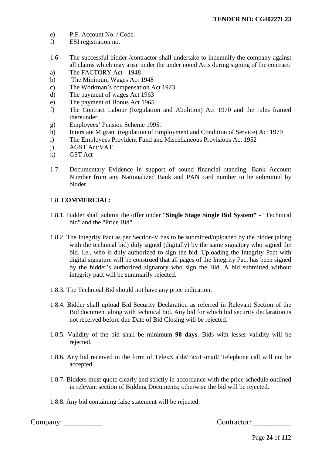- e) P.F. Account No. / Code.
- f) ESI registration no.
- 1.6 The successful bidder /contractor shall undertake to indemnify the company against all claims which may arise under the under noted Acts during signing of the contract:
- a) The FACTORY Act 1948
- b) The Minimum Wages Act 1948
- c) The Workman's compensation Act 1923
- d) The payment of wages Act 1963
- e) The payment of Bonus Act 1965
- f) The Contract Labour (Regulation and Abolition) Act 1970 and the rules framed thereunder.
- g) Employees' Pension Scheme 1995.
- h) Interstate Migrant (regulation of Employment and Condition of Service) Act 1979
- i) The Employees Provident Fund and Miscellaneous Provisions Act 1952
- j) AGST Act/VAT
- k) GST Act
- 1.7 Documentary Evidence in support of sound financial standing, Bank Account Number from any Nationalized Bank and PAN card number to be submitted by bidder.

# 1.8. **COMMERCIAL:**

- 1.8.1. Bidder shall submit the offer under "**Single Stage Single Bid System"** "Technical bid" and the "Price Bid".
- 1.8.2. The Integrity Pact as per Section-V has to be submitted/uploaded by the bidder (along with the technical bid) duly signed (digitally) by the same signatory who signed the bid, i.e., who is duly authorized to sign the bid. Uploading the Integrity Pact with digital signature will be construed that all pages of the Integrity Pact has been signed by the bidder's authorized signatory who sign the Bid. A bid submitted without integrity pact will be summarily rejected.
- 1.8.3. The Technical Bid should not have any price indication.
- 1.8.4. Bidder shall upload Bid Security Declaration as referred in Relevant Section of the Bid document along with technical bid. Any bid for which bid security declaration is not received before due Date of Bid Closing will be rejected.
- 1.8.5. Validity of the bid shall be minimum **90 days**. Bids with lesser validity will be rejected.
- 1.8.6. Any bid received in the form of Telex/Cable/Fax/E-mail/ Telephone call will not be accepted.
- 1.8.7. Bidders must quote clearly and strictly in accordance with the price schedule outlined in relevant section of Bidding Documents; otherwise the bid will be rejected.
- 1.8.8. Any bid containing false statement will be rejected.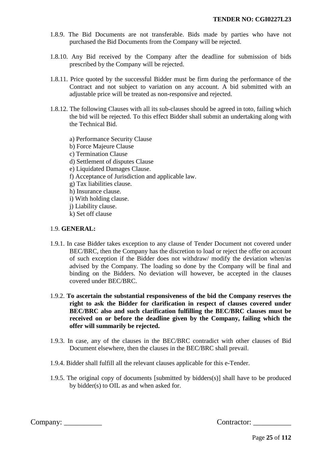- 1.8.9. The Bid Documents are not transferable. Bids made by parties who have not purchased the Bid Documents from the Company will be rejected.
- 1.8.10. Any Bid received by the Company after the deadline for submission of bids prescribed by the Company will be rejected.
- 1.8.11. Price quoted by the successful Bidder must be firm during the performance of the Contract and not subject to variation on any account. A bid submitted with an adjustable price will be treated as non-responsive and rejected.
- 1.8.12. The following Clauses with all its sub-clauses should be agreed in toto, failing which the bid will be rejected. To this effect Bidder shall submit an undertaking along with the Technical Bid.
	- a) Performance Security Clause
	- b) Force Majeure Clause
	- c) Termination Clause
	- d) Settlement of disputes Clause
	- e) Liquidated Damages Clause.
	- f) Acceptance of Jurisdiction and applicable law.
	- g) Tax liabilities clause.
	- h) Insurance clause.
	- i) With holding clause.
	- j) Liability clause.
	- k) Set off clause

# 1.9. **GENERAL:**

- 1.9.1. In case Bidder takes exception to any clause of Tender Document not covered under BEC/BRC, then the Company has the discretion to load or reject the offer on account of such exception if the Bidder does not withdraw/ modify the deviation when/as advised by the Company. The loading so done by the Company will be final and binding on the Bidders. No deviation will however, be accepted in the clauses covered under BEC/BRC.
- 1.9.2. **To ascertain the substantial responsiveness of the bid the Company reserves the right to ask the Bidder for clarification in respect of clauses covered under BEC/BRC also and such clarification fulfilling the BEC/BRC clauses must be received on or before the deadline given by the Company, failing which the offer will summarily be rejected.**
- 1.9.3. In case, any of the clauses in the BEC/BRC contradict with other clauses of Bid Document elsewhere, then the clauses in the BEC/BRC shall prevail.
- 1.9.4. Bidder shall fulfill all the relevant clauses applicable for this e-Tender.
- 1.9.5. The original copy of documents [submitted by bidders(s)] shall have to be produced by bidder(s) to OIL as and when asked for.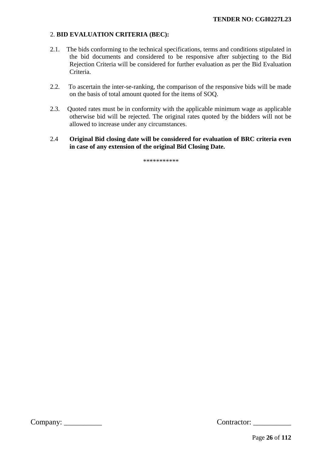# 2. **BID EVALUATION CRITERIA (BEC):**

- 2.1. The bids conforming to the technical specifications, terms and conditions stipulated in the bid documents and considered to be responsive after subjecting to the Bid Rejection Criteria will be considered for further evaluation as per the Bid Evaluation Criteria.
- 2.2. To ascertain the inter-se-ranking, the comparison of the responsive bids will be made on the basis of total amount quoted for the items of SOQ.
- 2.3. Quoted rates must be in conformity with the applicable minimum wage as applicable otherwise bid will be rejected. The original rates quoted by the bidders will not be allowed to increase under any circumstances.
- 2.4 **Original Bid closing date will be considered for evaluation of BRC criteria even in case of any extension of the original Bid Closing Date.**

\*\*\*\*\*\*\*\*\*\*\*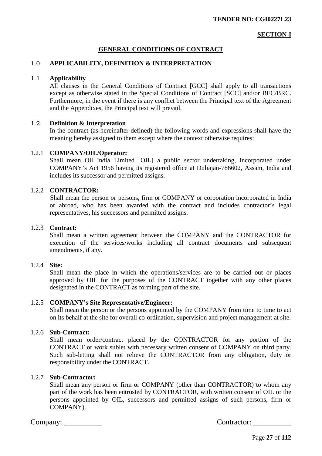## **SECTION-I**

# **GENERAL CONDITIONS OF CONTRACT**

#### 1.0 **APPLICABILITY, DEFINITION & INTERPRETATION**

#### 1.1 **Applicability**

 All clauses in the General Conditions of Contract [GCC] shall apply to all transactions except as otherwise stated in the Special Conditions of Contract [SCC] and/or BEC/BRC. Furthermore, in the event if there is any conflict between the Principal text of the Agreement and the Appendixes, the Principal text will prevail.

#### 1.2 **Definition & Interpretation**

In the contract (as hereinafter defined) the following words and expressions shall have the meaning hereby assigned to them except where the context otherwise requires:

#### 1.2.1 **COMPANY/OIL/Operator:**

 Shall mean Oil India Limited [OIL] a public sector undertaking, incorporated under COMPANY's Act 1956 having its registered office at Duliajan-786602, Assam, India and includes its successor and permitted assigns.

#### 1.2.2 **CONTRACTOR:**

 Shall mean the person or persons, firm or COMPANY or corporation incorporated in India or abroad, who has been awarded with the contract and includes contractor's legal representatives, his successors and permitted assigns.

#### 1.2.3 **Contract:**

Shall mean a written agreement between the COMPANY and the CONTRACTOR for execution of the services/works including all contract documents and subsequent amendments, if any.

#### 1.2.4 **Site:**

Shall mean the place in which the operations/services are to be carried out or places approved by OIL for the purposes of the CONTRACT together with any other places designated in the CONTRACT as forming part of the site.

#### 1.2.5 **COMPANY's Site Representative/Engineer:**

 Shall mean the person or the persons appointed by the COMPANY from time to time to act on its behalf at the site for overall co-ordination, supervision and project management at site.

#### 1.2.6 **Sub-Contract:**

Shall mean order/contract placed by the CONTRACTOR for any portion of the CONTRACT or work sublet with necessary written consent of COMPANY on third party. Such sub-letting shall not relieve the CONTRACTOR from any obligation, duty or responsibility under the CONTRACT.

## 1.2.7 **Sub-Contractor:**

Shall mean any person or firm or COMPANY (other than CONTRACTOR) to whom any part of the work has been entrusted by CONTRACTOR, with written consent of OIL or the persons appointed by OIL, successors and permitted assigns of such persons, firm or COMPANY).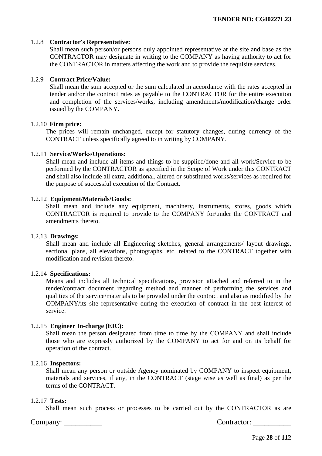#### 1.2.8 **Contractor's Representative:**

Shall mean such person/or persons duly appointed representative at the site and base as the CONTRACTOR may designate in writing to the COMPANY as having authority to act for the CONTRACTOR in matters affecting the work and to provide the requisite services.

# 1.2.9 **Contract Price/Value:**

Shall mean the sum accepted or the sum calculated in accordance with the rates accepted in tender and/or the contract rates as payable to the CONTRACTOR for the entire execution and completion of the services/works, including amendments/modification/change order issued by the COMPANY.

#### 1.2.10 **Firm price:**

The prices will remain unchanged, except for statutory changes, during currency of the CONTRACT unless specifically agreed to in writing by COMPANY.

#### 1.2.11 **Service/Works/Operations:**

Shall mean and include all items and things to be supplied/done and all work/Service to be performed by the CONTRACTOR as specified in the Scope of Work under this CONTRACT and shall also include all extra, additional, altered or substituted works/services as required for the purpose of successful execution of the Contract.

#### 1.2.12 **Equipment/Materials/Goods:**

Shall mean and include any equipment, machinery, instruments, stores, goods which CONTRACTOR is required to provide to the COMPANY for/under the CONTRACT and amendments thereto.

#### 1.2.13 **Drawings:**

Shall mean and include all Engineering sketches, general arrangements/ layout drawings, sectional plans, all elevations, photographs, etc. related to the CONTRACT together with modification and revision thereto.

#### 1.2.14 **Specifications:**

Means and includes all technical specifications, provision attached and referred to in the tender/contract document regarding method and manner of performing the services and qualities of the service/materials to be provided under the contract and also as modified by the COMPANY/its site representative during the execution of contract in the best interest of service.

#### 1.2.15 **Engineer In-charge (EIC):**

Shall mean the person designated from time to time by the COMPANY and shall include those who are expressly authorized by the COMPANY to act for and on its behalf for operation of the contract.

#### 1.2.16 **Inspectors:**

Shall mean any person or outside Agency nominated by COMPANY to inspect equipment, materials and services, if any, in the CONTRACT (stage wise as well as final) as per the terms of the CONTRACT.

#### 1.2.17 **Tests:**

Shall mean such process or processes to be carried out by the CONTRACTOR as are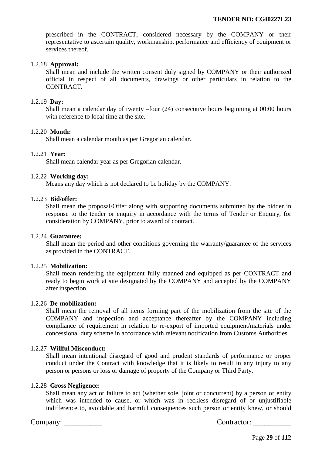prescribed in the CONTRACT, considered necessary by the COMPANY or their representative to ascertain quality, workmanship, performance and efficiency of equipment or services thereof.

#### 1.2.18 **Approval:**

Shall mean and include the written consent duly signed by COMPANY or their authorized official in respect of all documents, drawings or other particulars in relation to the CONTRACT.

## 1.2.19 **Day:**

Shall mean a calendar day of twenty –four (24) consecutive hours beginning at 00:00 hours with reference to local time at the site.

## 1.2.20 **Month:**

Shall mean a calendar month as per Gregorian calendar.

#### 1.2.21 **Year:**

Shall mean calendar year as per Gregorian calendar.

#### 1.2.22 **Working day:**

Means any day which is not declared to be holiday by the COMPANY.

#### 1.2.23 **Bid/offer:**

Shall mean the proposal/Offer along with supporting documents submitted by the bidder in response to the tender or enquiry in accordance with the terms of Tender or Enquiry, for consideration by COMPANY, prior to award of contract.

#### 1.2.24 **Guarantee:**

Shall mean the period and other conditions governing the warranty/guarantee of the services as provided in the CONTRACT.

#### 1.2.25 **Mobilization:**

Shall mean rendering the equipment fully manned and equipped as per CONTRACT and ready to begin work at site designated by the COMPANY and accepted by the COMPANY after inspection.

#### 1.2.26 **De-mobilization:**

Shall mean the removal of all items forming part of the mobilization from the site of the COMPANY and inspection and acceptance thereafter by the COMPANY including compliance of requirement in relation to re-export of imported equipment/materials under concessional duty scheme in accordance with relevant notification from Customs Authorities.

#### 1.2.27 **Willful Misconduct:**

Shall mean intentional disregard of good and prudent standards of performance or proper conduct under the Contract with knowledge that it is likely to result in any injury to any person or persons or loss or damage of property of the Company or Third Party.

#### 1.2.28 **Gross Negligence:**

Shall mean any act or failure to act (whether sole, joint or concurrent) by a person or entity which was intended to cause, or which was in reckless disregard of or unjustifiable indifference to, avoidable and harmful consequences such person or entity knew, or should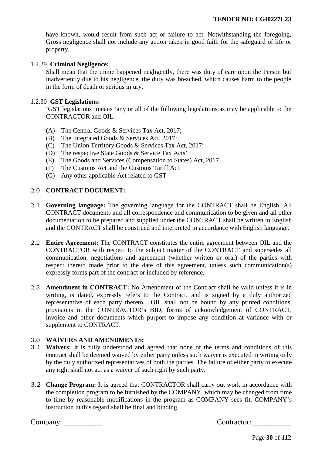have known, would result from such act or failure to act. Notwithstanding the foregoing, Gross negligence shall not include any action taken in good faith for the safeguard of life or property.

#### 1.2.29 **Criminal Negligence:**

Shall mean that the crime happened negligently, there was duty of care upon the Person but inadvertently due to his negligence, the duty was breached, which causes harm to the people in the form of death or serious injury.

#### 1.2.30 **GST Legislations:**

'GST legislations' means 'any or all of the following legislations as may be applicable to the CONTRACTOR and OIL:

- (A) The Central Goods & Services Tax Act, 2017;
- (B) The Integrated Goods & Services Act, 2017;
- (C) The Union Territory Goods & Services Tax Act, 2017;<br>
(D) The respective State Goods & Service Tax Acts'
- The respective State Goods & Service Tax Acts'
- (E) The Goods and Services (Compensation to States) Act, 2017
- (F) The Customs Act and the Customs Tariff Act.
- (G) Any other applicable Act related to GST

#### 2.0 **CONTRACT DOCUMENT:**

- 2.1 **Governing language:** The governing language for the CONTRACT shall be English. All CONTRACT documents and all correspondence and communication to be given and all other documentation to be prepared and supplied under the CONTRACT shall be written in English and the CONTRACT shall be construed and interpreted in accordance with English language.
- 2.2 **Entire Agreement:** The CONTRACT constitutes the entire agreement between OIL and the CONTRACTOR with respect to the subject matter of the CONTRACT and supersedes all communication, negotiations and agreement (whether written or oral) of the parties with respect thereto made prior to the date of this agreement, unless such communication(s) expressly forms part of the contract or included by reference.
- 2.3 **Amendment in CONTRACT:** No Amendment of the Contract shall be valid unless it is in writing, is dated, expressly refers to the Contract, and is signed by a duly authorized representative of each party thereto. OIL shall not be bound by any printed conditions, provisions in the CONTRACTOR's BID, forms of acknowledgement of CONTRACT, invoice and other documents which purport to impose any condition at variance with or supplement to CONTRACT.

#### 3.0 **WAIVERS AND AMENDMENTS:**

- 3.1 **Waivers:** It is fully understood and agreed that none of the terms and conditions of this contract shall be deemed waived by either party unless such waiver is executed in writing only by the duly authorized representatives of both the parties. The failure of either party to execute any right shall not act as a waiver of such right by such party.
- 3.2 **Change Program:** It is agreed that CONTRACTOR shall carry out work in accordance with the completion program to be furnished by the COMPANY, which may be changed from time to time by reasonable modifications in the program as COMPANY sees fit. COMPANY's instruction in this regard shall be final and binding.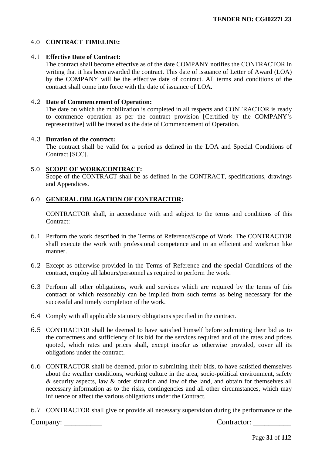# 4.0 **CONTRACT TIMELINE:**

## 4.1 **Effective Date of Contract:**

The contract shall become effective as of the date COMPANY notifies the CONTRACTOR in writing that it has been awarded the contract. This date of issuance of Letter of Award (LOA) by the COMPANY will be the effective date of contract. All terms and conditions of the contract shall come into force with the date of issuance of LOA.

## 4.2 **Date of Commencement of Operation:**

The date on which the mobilization is completed in all respects and CONTRACTOR is ready to commence operation as per the contract provision [Certified by the COMPANY's representative] will be treated as the date of Commencement of Operation.

#### 4.3 **Duration of the contract:**

The contract shall be valid for a period as defined in the LOA and Special Conditions of Contract [SCC].

## 5.0 **SCOPE OF WORK/CONTRACT:**

Scope of the CONTRACT shall be as defined in the CONTRACT, specifications, drawings and Appendices.

## 6.0 **GENERAL OBLIGATION OF CONTRACTOR:**

CONTRACTOR shall, in accordance with and subject to the terms and conditions of this Contract:

- 6.1 Perform the work described in the Terms of Reference/Scope of Work. The CONTRACTOR shall execute the work with professional competence and in an efficient and workman like manner.
- 6.2 Except as otherwise provided in the Terms of Reference and the special Conditions of the contract, employ all labours/personnel as required to perform the work.
- 6.3 Perform all other obligations, work and services which are required by the terms of this contract or which reasonably can be implied from such terms as being necessary for the successful and timely completion of the work.
- 6.4 Comply with all applicable statutory obligations specified in the contract.
- 6.5 CONTRACTOR shall be deemed to have satisfied himself before submitting their bid as to the correctness and sufficiency of its bid for the services required and of the rates and prices quoted, which rates and prices shall, except insofar as otherwise provided, cover all its obligations under the contract.
- 6.6 CONTRACTOR shall be deemed, prior to submitting their bids, to have satisfied themselves about the weather conditions, working culture in the area, socio-political environment, safety & security aspects, law & order situation and law of the land, and obtain for themselves all necessary information as to the risks, contingencies and all other circumstances, which may influence or affect the various obligations under the Contract.
- 6.7 CONTRACTOR shall give or provide all necessary supervision during the performance of the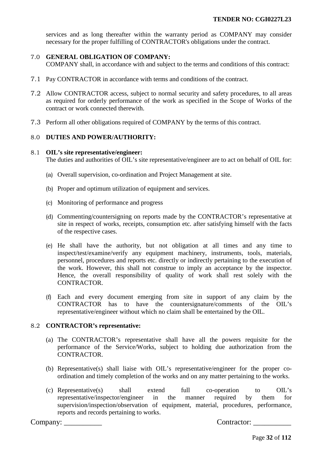services and as long thereafter within the warranty period as COMPANY may consider necessary for the proper fulfilling of CONTRACTOR's obligations under the contract.

## 7.0 **GENERAL OBLIGATION OF COMPANY:**

COMPANY shall, in accordance with and subject to the terms and conditions of this contract:

- 7.1 Pay CONTRACTOR in accordance with terms and conditions of the contract.
- 7.2 Allow CONTRACTOR access, subject to normal security and safety procedures, to all areas as required for orderly performance of the work as specified in the Scope of Works of the contract or work connected therewith.
- 7.3 Perform all other obligations required of COMPANY by the terms of this contract.

#### 8.0 **DUTIES AND POWER/AUTHORITY:**

#### 8.1 **OIL's site representative/engineer:**

The duties and authorities of OIL's site representative/engineer are to act on behalf of OIL for:

- (a) Overall supervision, co-ordination and Project Management at site.
- (b) Proper and optimum utilization of equipment and services.
- (c) Monitoring of performance and progress
- (d) Commenting/countersigning on reports made by the CONTRACTOR's representative at site in respect of works, receipts, consumption etc. after satisfying himself with the facts of the respective cases.
- (e) He shall have the authority, but not obligation at all times and any time to inspect/test/examine/verify any equipment machinery, instruments, tools, materials, personnel, procedures and reports etc. directly or indirectly pertaining to the execution of the work. However, this shall not construe to imply an acceptance by the inspector. Hence, the overall responsibility of quality of work shall rest solely with the CONTRACTOR.
- (f) Each and every document emerging from site in support of any claim by the CONTRACTOR has to have the countersignature/comments of the OIL's representative/engineer without which no claim shall be entertained by the OIL.

#### 8.2 **CONTRACTOR's representative:**

- (a) The CONTRACTOR's representative shall have all the powers requisite for the performance of the Service/Works, subject to holding due authorization from the CONTRACTOR.
- (b) Representative(s) shall liaise with OIL's representative/engineer for the proper coordination and timely completion of the works and on any matter pertaining to the works.
- (c) Representative(s) shall extend full co-operation to OIL's representative/inspector/engineer in the manner required by them for supervision/inspection/observation of equipment, material, procedures, performance, reports and records pertaining to works.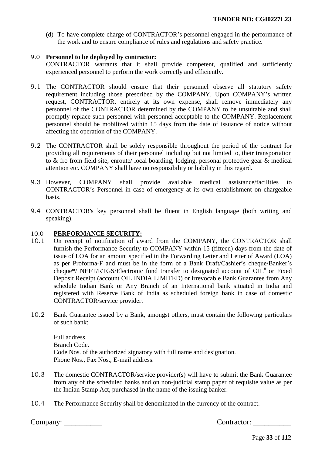(d) To have complete charge of CONTRACTOR's personnel engaged in the performance of the work and to ensure compliance of rules and regulations and safety practice.

# 9.0 **Personnel to be deployed by contractor:**

CONTRACTOR warrants that it shall provide competent, qualified and sufficiently experienced personnel to perform the work correctly and efficiently.

- 9.1 The CONTRACTOR should ensure that their personnel observe all statutory safety requirement including those prescribed by the COMPANY. Upon COMPANY's written request, CONTRACTOR, entirely at its own expense, shall remove immediately any personnel of the CONTRACTOR determined by the COMPANY to be unsuitable and shall promptly replace such personnel with personnel acceptable to the COMPANY. Replacement personnel should be mobilized within 15 days from the date of issuance of notice without affecting the operation of the COMPANY.
- 9.2 The CONTRACTOR shall be solely responsible throughout the period of the contract for providing all requirements of their personnel including but not limited to, their transportation to & fro from field site, enroute/ local boarding, lodging, personal protective gear & medical attention etc. COMPANY shall have no responsibility or liability in this regard.
- 9.3 However, COMPANY shall provide available medical assistance/facilities to CONTRACTOR's Personnel in case of emergency at its own establishment on chargeable basis.
- 9.4 CONTRACTOR's key personnel shall be fluent in English language (both writing and speaking).

# <span id="page-32-0"></span>10.0 **PERFORMANCE SECURITY:**<br>10.1 On receipt of notification of aw

- 10.1 On receipt of notification of award from the COMPANY, the CONTRACTOR shall furnish the Performance Security to COMPANY within 15 (fifteen) days from the date of issue of LOA for an amount specified in the Forwarding Letter and Letter of Award (LOA) as per Proforma-F and must be in the form of a Bank Draft/Cashier's cheque/Banker's cheque\*/ NEFT/RTGS/Electronic fund transfer to designated account of  $OIL^*$  or Fixed Deposit Receipt (account OIL INDIA LIMITED) or irrevocable Bank Guarantee from Any schedule Indian Bank or Any Branch of an International bank situated in India and registered with Reserve Bank of India as scheduled foreign bank in case of domestic CONTRACTOR/service provider.
- 10.2 Bank Guarantee issued by a Bank, amongst others, must contain the following particulars of such bank:

Full address. Branch Code. Code Nos. of the authorized signatory with full name and designation. Phone Nos., Fax Nos., E-mail address.

- 10.3 The domestic CONTRACTOR/service provider(s) will have to submit the Bank Guarantee from any of the scheduled banks and on non-judicial stamp paper of requisite value as per the Indian Stamp Act, purchased in the name of the issuing banker.
- 10.4 The Performance Security shall be denominated in the currency of the contract.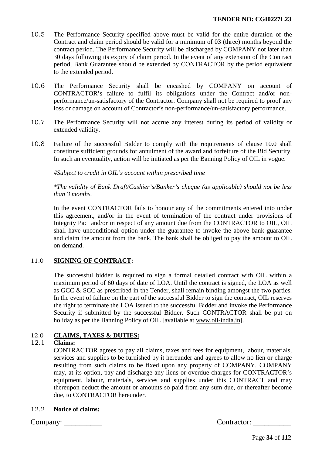- 10.5 The Performance Security specified above must be valid for the entire duration of the Contract and claim period should be valid for a minimum of 03 (three) months beyond the contract period. The Performance Security will be discharged by COMPANY not later than 30 days following its expiry of claim period. In the event of any extension of the Contract period, Bank Guarantee should be extended by CONTRACTOR by the period equivalent to the extended period.
- 10.6 The Performance Security shall be encashed by COMPANY on account of CONTRACTOR's failure to fulfil its obligations under the Contract and/or nonperformance/un-satisfactory of the Contractor. Company shall not be required to proof any loss or damage on account of Contractor's non-performance/un-satisfactory performance.
- 10.7 The Performance Security will not accrue any interest during its period of validity or extended validity.
- 10.8 Failure of the successful Bidder to comply with the requirements of clause [10.0](#page-32-0) shall constitute sufficient grounds for annulment of the award and forfeiture of the Bid Security. In such an eventuality, action will be initiated as per the Banning Policy of OIL in vogue.

 *#Subject to credit in OIL's account within prescribed time* 

*\*The validity of Bank Draft/Cashier's/Banker's cheque (as applicable) should not be less than 3 months.* 

In the event CONTRACTOR fails to honour any of the commitments entered into under this agreement, and/or in the event of termination of the contract under provisions of Integrity Pact and/or in respect of any amount due from the CONTRACTOR to OIL, OIL shall have unconditional option under the guarantee to invoke the above bank guarantee and claim the amount from the bank. The bank shall be obliged to pay the amount to OIL on demand.

# 11.0 **SIGNING OF CONTRACT:**

The successful bidder is required to sign a formal detailed contract with OIL within a maximum period of 60 days of date of LOA. Until the contract is signed, the LOA as well as GCC & SCC as prescribed in the Tender, shall remain binding amongst the two parties. In the event of failure on the part of the successful Bidder to sign the contract, OIL reserves the right to terminate the LOA issued to the successful Bidder and invoke the Performance Security if submitted by the successful Bidder. Such CONTRACTOR shall be put on holiday as per the Banning Policy of OIL [available at [www.oil-india.in\]](http://www.oil-india.in/).

# 12.0 **CLAIMS, TAXES & DUTIES:**

# 12.1 **Claims:**

CONTRACTOR agrees to pay all claims, taxes and fees for equipment, labour, materials, services and supplies to be furnished by it hereunder and agrees to allow no lien or charge resulting from such claims to be fixed upon any property of COMPANY. COMPANY may, at its option, pay and discharge any liens or overdue charges for CONTRACTOR's equipment, labour, materials, services and supplies under this CONTRACT and may thereupon deduct the amount or amounts so paid from any sum due, or thereafter become due, to CONTRACTOR hereunder.

# 12.2 **Notice of claims:**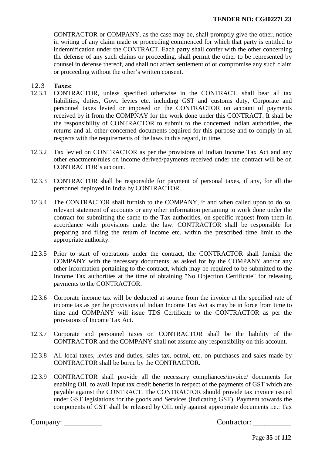CONTRACTOR or COMPANY, as the case may be, shall promptly give the other, notice in writing of any claim made or proceeding commenced for which that party is entitled to indemnification under the CONTRACT. Each party shall confer with the other concerning the defense of any such claims or proceeding, shall permit the other to be represented by counsel in defense thereof, and shall not affect settlement of or compromise any such claim or proceeding without the other's written consent.

# 12.3 **Taxes:**

- 12.3.1 CONTRACTOR, unless specified otherwise in the CONTRACT, shall bear all tax liabilities, duties, Govt. levies etc. including GST and customs duty, Corporate and personnel taxes levied or imposed on the CONTRACTOR on account of payments received by it from the COMPNAY for the work done under this CONTRACT. It shall be the responsibility of CONTRACTOR to submit to the concerned Indian authorities, the returns and all other concerned documents required for this purpose and to comply in all respects with the requirements of the laws in this regard, in time.
- 12.3.2 Tax levied on CONTRACTOR as per the provisions of Indian Income Tax Act and any other enactment/rules on income derived/payments received under the contract will be on CONTRACTOR's account.
- 12.3.3 CONTRACTOR shall be responsible for payment of personal taxes, if any, for all the personnel deployed in India by CONTRACTOR.
- 12.3.4 The CONTRACTOR shall furnish to the COMPANY, if and when called upon to do so, relevant statement of accounts or any other information pertaining to work done under the contract for submitting the same to the Tax authorities, on specific request from them in accordance with provisions under the law. CONTRACTOR shall be responsible for preparing and filing the return of income etc. within the prescribed time limit to the appropriate authority.
- 12.3.5 Prior to start of operations under the contract, the CONTRACTOR shall furnish the COMPANY with the necessary documents, as asked for by the COMPANY and/or any other information pertaining to the contract, which may be required to be submitted to the Income Tax authorities at the time of obtaining "No Objection Certificate" for releasing payments to the CONTRACTOR.
- 12.3.6 Corporate income tax will be deducted at source from the invoice at the specified rate of income tax as per the provisions of Indian Income Tax Act as may be in force from time to time and COMPANY will issue TDS Certificate to the CONTRACTOR as per the provisions of Income Tax Act.
- 12.3.7 Corporate and personnel taxes on CONTRACTOR shall be the liability of the CONTRACTOR and the COMPANY shall not assume any responsibility on this account.
- 12.3.8 All local taxes, levies and duties, sales tax, octroi, etc. on purchases and sales made by CONTRACTOR shall be borne by the CONTRACTOR.
- 12.3.9 CONTRACTOR shall provide all the necessary compliances/invoice/ documents for enabling OIL to avail Input tax credit benefits in respect of the payments of GST which are payable against the CONTRACT. The CONTRACTOR should provide tax invoice issued under GST legislations for the goods and Services (indicating GST). Payment towards the components of GST shall be released by OIL only against appropriate documents i.e.: Tax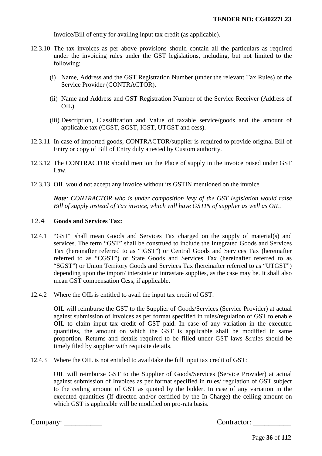Invoice/Bill of entry for availing input tax credit (as applicable).

- 12.3.10 The tax invoices as per above provisions should contain all the particulars as required under the invoicing rules under the GST legislations, including, but not limited to the following:
	- (i) Name, Address and the GST Registration Number (under the relevant Tax Rules) of the Service Provider (CONTRACTOR).
	- (ii) Name and Address and GST Registration Number of the Service Receiver (Address of OIL).
	- (iii) Description, Classification and Value of taxable service/goods and the amount of applicable tax (CGST, SGST, IGST, UTGST and cess).
- 12.3.11 In case of imported goods, CONTRACTOR/supplier is required to provide original Bill of Entry or copy of Bill of Entry duly attested by Custom authority.
- 12.3.12 The CONTRACTOR should mention the Place of supply in the invoice raised under GST Law.
- 12.3.13 OIL would not accept any invoice without its GSTIN mentioned on the invoice

*Note: CONTRACTOR who is under composition levy of the GST legislation would raise Bill of supply instead of Tax invoice, which will have GSTIN of supplier as well as OIL.* 

#### 12.4 **Goods and Services Tax:**

- 12.4.1 "GST" shall mean Goods and Services Tax charged on the supply of material(s) and services. The term "GST" shall be construed to include the Integrated Goods and Services Tax (hereinafter referred to as "IGST") or Central Goods and Services Tax (hereinafter referred to as "CGST") or State Goods and Services Tax (hereinafter referred to as "SGST") or Union Territory Goods and Services Tax (hereinafter referred to as "UTGST") depending upon the import/ interstate or intrastate supplies, as the case may be. It shall also mean GST compensation Cess, if applicable.
- 12.4.2 Where the OIL is entitled to avail the input tax credit of GST:

OIL will reimburse the GST to the Supplier of Goods/Services (Service Provider) at actual against submission of Invoices as per format specified in rules/regulation of GST to enable OIL to claim input tax credit of GST paid. In case of any variation in the executed quantities, the amount on which the GST is applicable shall be modified in same proportion. Returns and details required to be filled under GST laws &rules should be timely filed by supplier with requisite details.

12.4.3 Where the OIL is not entitled to avail/take the full input tax credit of GST:

OIL will reimburse GST to the Supplier of Goods/Services (Service Provider) at actual against submission of Invoices as per format specified in rules/ regulation of GST subject to the ceiling amount of GST as quoted by the bidder. In case of any variation in the executed quantities (If directed and/or certified by the In-Charge) the ceiling amount on which GST is applicable will be modified on pro-rata basis.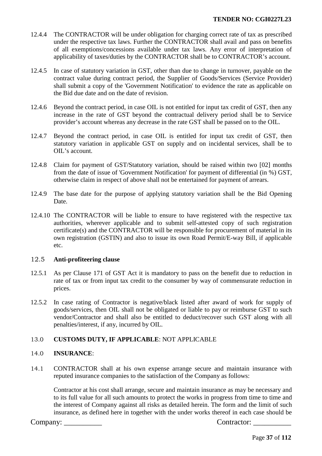- 12.4.4 The CONTRACTOR will be under obligation for charging correct rate of tax as prescribed under the respective tax laws. Further the CONTRACTOR shall avail and pass on benefits of all exemptions/concessions available under tax laws. Any error of interpretation of applicability of taxes/duties by the CONTRACTOR shall be to CONTRACTOR's account.
- 12.4.5 In case of statutory variation in GST, other than due to change in turnover, payable on the contract value during contract period, the Supplier of Goods/Services (Service Provider) shall submit a copy of the 'Government Notification' to evidence the rate as applicable on the Bid due date and on the date of revision.
- 12.4.6 Beyond the contract period, in case OIL is not entitled for input tax credit of GST, then any increase in the rate of GST beyond the contractual delivery period shall be to Service provider's account whereas any decrease in the rate GST shall be passed on to the OIL.
- 12.4.7 Beyond the contract period, in case OIL is entitled for input tax credit of GST, then statutory variation in applicable GST on supply and on incidental services, shall be to OIL's account.
- 12.4.8 Claim for payment of GST/Statutory variation, should be raised within two [02] months from the date of issue of 'Government Notification' for payment of differential (in %) GST, otherwise claim in respect of above shall not be entertained for payment of arrears.
- 12.4.9 The base date for the purpose of applying statutory variation shall be the Bid Opening Date.
- 12.4.10 The CONTRACTOR will be liable to ensure to have registered with the respective tax authorities, wherever applicable and to submit self-attested copy of such registration certificate(s) and the CONTRACTOR will be responsible for procurement of material in its own registration (GSTIN) and also to issue its own Road Permit/E-way Bill, if applicable etc.

## 12.5 **Anti-profiteering clause**

- 12.5.1 As per Clause 171 of GST Act it is mandatory to pass on the benefit due to reduction in rate of tax or from input tax credit to the consumer by way of commensurate reduction in prices.
- 12.5.2 In case rating of Contractor is negative/black listed after award of work for supply of goods/services, then OIL shall not be obligated or liable to pay or reimburse GST to such vendor/Contractor and shall also be entitled to deduct/recover such GST along with all penalties/interest, if any, incurred by OIL.

# 13.0 **CUSTOMS DUTY, IF APPLICABLE**: NOT APPLICABLE

## 14.0 **INSURANCE**:

14.1 CONTRACTOR shall at his own expense arrange secure and maintain insurance with reputed insurance companies to the satisfaction of the Company as follows:

Contractor at his cost shall arrange, secure and maintain insurance as may be necessary and to its full value for all such amounts to protect the works in progress from time to time and the interest of Company against all risks as detailed herein. The form and the limit of such insurance, as defined here in together with the under works thereof in each case should be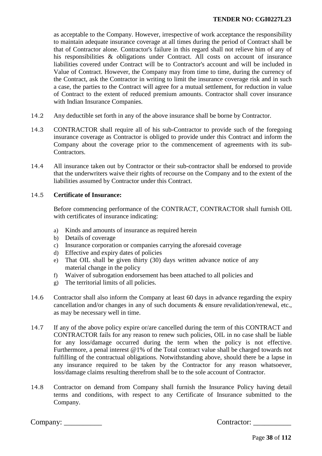as acceptable to the Company. However, irrespective of work acceptance the responsibility to maintain adequate insurance coverage at all times during the period of Contract shall be that of Contractor alone. Contractor's failure in this regard shall not relieve him of any of his responsibilities & obligations under Contract. All costs on account of insurance liabilities covered under Contract will be to Contractor's account and will be included in Value of Contract. However, the Company may from time to time, during the currency of the Contract, ask the Contractor in writing to limit the insurance coverage risk and in such a case, the parties to the Contract will agree for a mutual settlement, for reduction in value of Contract to the extent of reduced premium amounts. Contractor shall cover insurance with Indian Insurance Companies.

- 14.2 Any deductible set forth in any of the above insurance shall be borne by Contractor.
- 14.3 CONTRACTOR shall require all of his sub-Contractor to provide such of the foregoing insurance coverage as Contractor is obliged to provide under this Contract and inform the Company about the coverage prior to the commencement of agreements with its sub-Contractors.
- 14.4 All insurance taken out by Contractor or their sub-contractor shall be endorsed to provide that the underwriters waive their rights of recourse on the Company and to the extent of the liabilities assumed by Contractor under this Contract.

## 14.5 **Certificate of Insurance:**

Before commencing performance of the CONTRACT, CONTRACTOR shall furnish OIL with certificates of insurance indicating:

- a) Kinds and amounts of insurance as required herein
- b) Details of coverage
- c) Insurance corporation or companies carrying the aforesaid coverage
- d) Effective and expiry dates of policies
- e) That OIL shall be given thirty (30) days written advance notice of any material change in the policy
- f) Waiver of subrogation endorsement has been attached to all policies and
- g) The territorial limits of all policies.
- 14.6 Contractor shall also inform the Company at least 60 days in advance regarding the expiry cancellation and/or changes in any of such documents & ensure revalidation/renewal, etc., as may be necessary well in time.
- 14.7 If any of the above policy expire or/are cancelled during the term of this CONTRACT and CONTRACTOR fails for any reason to renew such policies, OIL in no case shall be liable for any loss/damage occurred during the term when the policy is not effective. Furthermore, a penal interest @1% of the Total contract value shall be charged towards not fulfilling of the contractual obligations. Notwithstanding above, should there be a lapse in any insurance required to be taken by the Contractor for any reason whatsoever, loss/damage claims resulting therefrom shall be to the sole account of Contractor.
- 14.8 Contractor on demand from Company shall furnish the Insurance Policy having detail terms and conditions, with respect to any Certificate of Insurance submitted to the Company.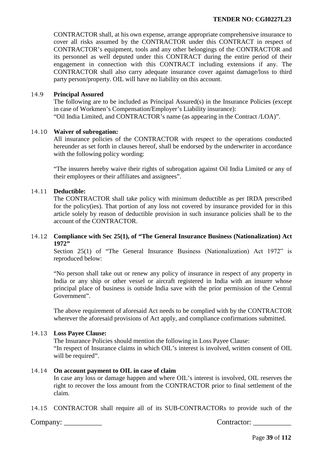CONTRACTOR shall, at his own expense, arrange appropriate comprehensive insurance to cover all risks assumed by the CONTRACTOR under this CONTRACT in respect of CONTRACTOR's equipment, tools and any other belongings of the CONTRACTOR and its personnel as well deputed under this CONTRACT during the entire period of their engagement in connection with this CONTRACT including extensions if any. The CONTRACTOR shall also carry adequate insurance cover against damage/loss to third party person/property. OIL will have no liability on this account.

## 14.9 **Principal Assured**

The following are to be included as Principal Assured(s) in the Insurance Policies (except in case of Workmen's Compensation/Employer's Liability insurance): "Oil India Limited, and CONTRACTOR's name (as appearing in the Contract /LOA)".

## 14.10 **Waiver of subrogation:**

All insurance policies of the CONTRACTOR with respect to the operations conducted hereunder as set forth in clauses hereof, shall be endorsed by the underwriter in accordance with the following policy wording:

"The insurers hereby waive their rights of subrogation against Oil India Limited or any of their employees or their affiliates and assignees".

### 14.11 **Deductible:**

The CONTRACTOR shall take policy with minimum deductible as per IRDA prescribed for the policy(ies). That portion of any loss not covered by insurance provided for in this article solely by reason of deductible provision in such insurance policies shall be to the account of the CONTRACTOR.

## 14.12 **Compliance with Sec 25(1), of "The General Insurance Business (Nationalization) Act 1972"**

Section 25(1) of "The General Insurance Business (Nationalization) Act 1972" is reproduced below:

"No person shall take out or renew any policy of insurance in respect of any property in India or any ship or other vessel or aircraft registered in India with an insurer whose principal place of business is outside India save with the prior permission of the Central Government".

The above requirement of aforesaid Act needs to be complied with by the CONTRACTOR wherever the aforesaid provisions of Act apply, and compliance confirmations submitted.

## 14.13 **Loss Payee Clause:**

 The Insurance Policies should mention the following in Loss Payee Clause: "In respect of Insurance claims in which OIL's interest is involved, written consent of OIL will be required".

## 14.14 **On account payment to OIL in case of claim**

 In case any loss or damage happen and where OIL's interest is involved, OIL reserves the right to recover the loss amount from the CONTRACTOR prior to final settlement of the claim.

14.15 CONTRACTOR shall require all of its SUB-CONTRACTORs to provide such of the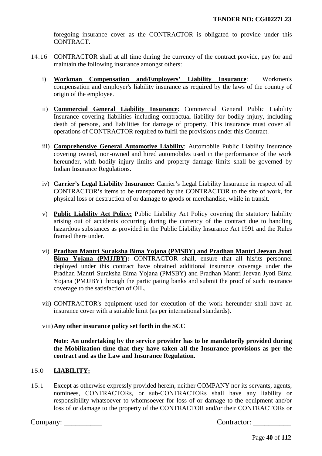foregoing insurance cover as the CONTRACTOR is obligated to provide under this CONTRACT.

- 14.16 CONTRACTOR shall at all time during the currency of the contract provide, pay for and maintain the following insurance amongst others:
	- i) **Workman Compensation and/Employers' Liability Insurance**: Workmen's compensation and employer's liability insurance as required by the laws of the country of origin of the employee.
	- ii) **Commercial General Liability Insurance**: Commercial General Public Liability Insurance covering liabilities including contractual liability for bodily injury, including death of persons, and liabilities for damage of property. This insurance must cover all operations of CONTRACTOR required to fulfil the provisions under this Contract.
	- iii) **Comprehensive General Automotive Liability**: Automobile Public Liability Insurance covering owned, non-owned and hired automobiles used in the performance of the work hereunder, with bodily injury limits and property damage limits shall be governed by Indian Insurance Regulations.
	- iv) **Carrier's Legal Liability Insurance:** Carrier's Legal Liability Insurance in respect of all CONTRACTOR's items to be transported by the CONTRACTOR to the site of work, for physical loss or destruction of or damage to goods or merchandise, while in transit.
	- v) **Public Liability Act Policy:** Public Liability Act Policy covering the statutory liability arising out of accidents occurring during the currency of the contract due to handling hazardous substances as provided in the Public Liability Insurance Act 1991 and the Rules framed there under.
	- vi) **Pradhan Mantri Suraksha Bima Yojana (PMSBY) and Pradhan Mantri Jeevan Jyoti Bima Yojana (PMJJBY):** CONTRACTOR shall, ensure that all his/its personnel deployed under this contract have obtained additional insurance coverage under the Pradhan Mantri Suraksha Bima Yojana (PMSBY) and Pradhan Mantri Jeevan Jyoti Bima Yojana (PMJJBY) through the participating banks and submit the proof of such insurance coverage to the satisfaction of OIL.
	- vii) CONTRACTOR's equipment used for execution of the work hereunder shall have an insurance cover with a suitable limit (as per international standards).

# viii)**Any other insurance policy set forth in the SCC**

**Note: An undertaking by the service provider has to be mandatorily provided during the Mobilization time that they have taken all the Insurance provisions as per the contract and as the Law and Insurance Regulation.**

# 15.0 **LIABILITY:**

15.1 Except as otherwise expressly provided herein, neither COMPANY nor its servants, agents, nominees, CONTRACTORs, or sub-CONTRACTORs shall have any liability or responsibility whatsoever to whomsoever for loss of or damage to the equipment and/or loss of or damage to the property of the CONTRACTOR and/or their CONTRACTORs or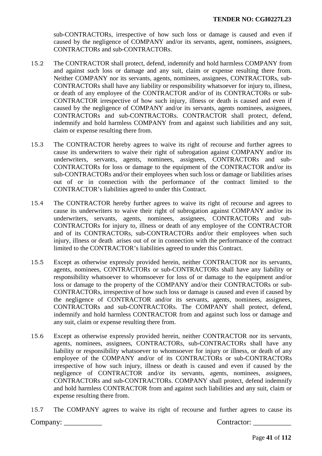sub-CONTRACTORs, irrespective of how such loss or damage is caused and even if caused by the negligence of COMPANY and/or its servants, agent, nominees, assignees, CONTRACTORs and sub-CONTRACTORs.

- 15.2 The CONTRACTOR shall protect, defend, indemnify and hold harmless COMPANY from and against such loss or damage and any suit, claim or expense resulting there from. Neither COMPANY nor its servants, agents, nominees, assignees, CONTRACTORs, sub-CONTRACTORs shall have any liability or responsibility whatsoever for injury to, illness, or death of any employee of the CONTRACTOR and/or of its CONTRACTORs or sub-CONTRACTOR irrespective of how such injury, illness or death is caused and even if caused by the negligence of COMPANY and/or its servants, agents nominees, assignees, CONTRACTORs and sub-CONTRACTORs. CONTRACTOR shall protect, defend, indemnify and hold harmless COMPANY from and against such liabilities and any suit, claim or expense resulting there from.
- 15.3 The CONTRACTOR hereby agrees to waive its right of recourse and further agrees to cause its underwriters to waive their right of subrogation against COMPANY and/or its underwriters, servants, agents, nominees, assignees, CONTRACTORs and sub-CONTRACTORs for loss or damage to the equipment of the CONTRACTOR and/or its sub-CONTRACTORs and/or their employees when such loss or damage or liabilities arises out of or in connection with the performance of the contract limited to the CONTRACTOR's liabilities agreed to under this Contract.
- 15.4 The CONTRACTOR hereby further agrees to waive its right of recourse and agrees to cause its underwriters to waive their right of subrogation against COMPANY and/or its underwriters, servants, agents, nominees, assignees, CONTRACTORs and sub-CONTRACTORs for injury to, illness or death of any employee of the CONTRACTOR and of its CONTRACTORs, sub-CONTRACTORs and/or their employees when such injury, illness or death arises out of or in connection with the performance of the contract limited to the CONTRACTOR's liabilities agreed to under this Contract.
- 15.5 Except as otherwise expressly provided herein, neither CONTRACTOR nor its servants, agents, nominees, CONTRACTORs or sub-CONTRACTORs shall have any liability or responsibility whatsoever to whomsoever for loss of or damage to the equipment and/or loss or damage to the property of the COMPANY and/or their CONTRACTORs or sub-CONTRACTORs, irrespective of how such loss or damage is caused and even if caused by the negligence of CONTRACTOR and/or its servants, agents, nominees, assignees, CONTRACTORs and sub-CONTRACTORs. The COMPANY shall protect, defend, indemnify and hold harmless CONTRACTOR from and against such loss or damage and any suit, claim or expense resulting there from.
- 15.6 Except as otherwise expressly provided herein, neither CONTRACTOR nor its servants, agents, nominees, assignees, CONTRACTORs, sub-CONTRACTORs shall have any liability or responsibility whatsoever to whomsoever for injury or illness, or death of any employee of the COMPANY and/or of its CONTRACTORs or sub-CONTRACTORs irrespective of how such injury, illness or death is caused and even if caused by the negligence of CONTRACTOR and/or its servants, agents, nominees, assignees, CONTRACTORs and sub-CONTRACTORs. COMPANY shall protect, defend indemnify and hold harmless CONTRACTOR from and against such liabilities and any suit, claim or expense resulting there from.
- 15.7 The COMPANY agrees to waive its right of recourse and further agrees to cause its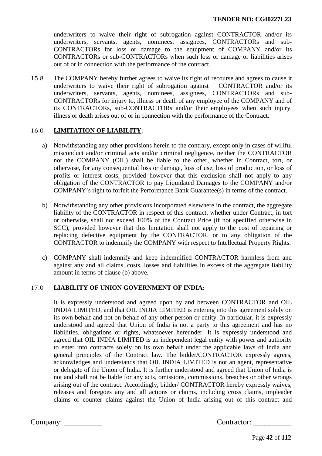underwriters to waive their right of subrogation against CONTRACTOR and/or its underwriters, servants, agents, nominees, assignees, CONTRACTORs and sub-CONTRACTORs for loss or damage to the equipment of COMPANY and/or its CONTRACTORs or sub-CONTRACTORs when such loss or damage or liabilities arises out of or in connection with the performance of the contract.

15.8 The COMPANY hereby further agrees to waive its right of recourse and agrees to cause it underwriters to waive their right of subrogation against CONTRACTOR and/or its underwriters, servants, agents, nominees, assignees, CONTRACTORs and sub-CONTRACTORs for injury to, illness or death of any employee of the COMPANY and of its CONTRACTORs, sub-CONTRACTORs and/or their employees when such injury, illness or death arises out of or in connection with the performance of the Contract.

# 16.0 **LIMITATION OF LIABILITY**:

- a) Notwithstanding any other provisions herein to the contrary, except only in cases of willful misconduct and/or criminal acts and/or criminal negligence, neither the CONTRACTOR nor the COMPANY (OIL) shall be liable to the other, whether in Contract, tort, or otherwise, for any consequential loss or damage, loss of use, loss of production, or loss of profits or interest costs, provided however that this exclusion shall not apply to any obligation of the CONTRACTOR to pay Liquidated Damages to the COMPANY and/or COMPANY's right to forfeit the Performance Bank Guarantee(s) in terms of the contract.
- b) Notwithstanding any other provisions incorporated elsewhere in the contract, the aggregate liability of the CONTRACTOR in respect of this contract, whether under Contract, in tort or otherwise, shall not exceed 100% of the Contract Price (if not specified otherwise in SCC), provided however that this limitation shall not apply to the cost of repairing or replacing defective equipment by the CONTRACTOR, or to any obligation of the CONTRACTOR to indemnify the COMPANY with respect to Intellectual Property Rights.
- c) COMPANY shall indemnify and keep indemnified CONTRACTOR harmless from and against any and all claims, costs, losses and liabilities in excess of the aggregate liability amount in terms of clause (b) above.

## 17.0 **LIABILITY OF UNION GOVERNMENT OF INDIA:**

It is expressly understood and agreed upon by and between CONTRACTOR and OIL INDIA LIMITED, and that OIL INDIA LIMITED is entering into this agreement solely on its own behalf and not on behalf of any other person or entity. In particular, it is expressly understood and agreed that Union of India is not a party to this agreement and has no liabilities, obligations or rights, whatsoever hereunder. It is expressly understood and agreed that OIL INDIA LIMITED is an independent legal entity with power and authority to enter into contracts solely on its own behalf under the applicable laws of India and general principles of the Contract law. The bidder/CONTRACTOR expressly agrees, acknowledges and understands that OIL INDIA LIMITED is not an agent, representative or delegate of the Union of India. It is further understood and agreed that Union of India is not and shall not be liable for any acts, omissions, commissions, breaches or other wrongs arising out of the contract. Accordingly, bidder/ CONTRACTOR hereby expressly waives, releases and foregoes any and all actions or claims, including cross claims, impleader claims or counter claims against the Union of India arising out of this contract and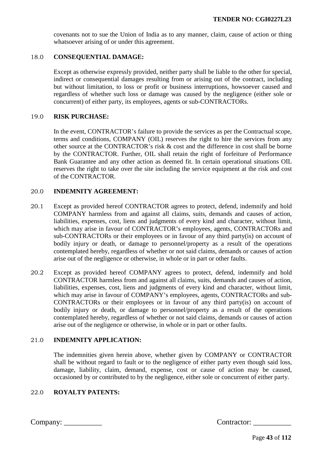covenants not to sue the Union of India as to any manner, claim, cause of action or thing whatsoever arising of or under this agreement.

## 18.0 **CONSEQUENTIAL DAMAGE:**

Except as otherwise expressly provided, neither party shall be liable to the other for special, indirect or consequential damages resulting from or arising out of the contract, including but without limitation, to loss or profit or business interruptions, howsoever caused and regardless of whether such loss or damage was caused by the negligence (either sole or concurrent) of either party, its employees, agents or sub-CONTRACTORs.

### 19.0 **RISK PURCHASE:**

In the event, CONTRACTOR's failure to provide the services as per the Contractual scope, terms and conditions, COMPANY (OIL) reserves the right to hire the services from any other source at the CONTRACTOR's risk & cost and the difference in cost shall be borne by the CONTRACTOR. Further, OIL shall retain the right of forfeiture of Performance Bank Guarantee and any other action as deemed fit. In certain operational situations OIL reserves the right to take over the site including the service equipment at the risk and cost of the CONTRACTOR.

### 20.0 **INDEMNITY AGREEMENT:**

- 20.1 Except as provided hereof CONTRACTOR agrees to protect, defend, indemnify and hold COMPANY harmless from and against all claims, suits, demands and causes of action, liabilities, expenses, cost, liens and judgments of every kind and character, without limit, which may arise in favour of CONTRACTOR's employees, agents, CONTRACTORs and sub-CONTRACTORs or their employees or in favour of any third party(is) on account of bodily injury or death, or damage to personnel/property as a result of the operations contemplated hereby, regardless of whether or not said claims, demands or causes of action arise out of the negligence or otherwise, in whole or in part or other faults.
- 20.2 Except as provided hereof COMPANY agrees to protect, defend, indemnify and hold CONTRACTOR harmless from and against all claims, suits, demands and causes of action, liabilities, expenses, cost, liens and judgments of every kind and character, without limit, which may arise in favour of COMPANY's employees, agents, CONTRACTORs and sub-CONTRACTORs or their employees or in favour of any third party(is) on account of bodily injury or death, or damage to personnel/property as a result of the operations contemplated hereby, regardless of whether or not said claims, demands or causes of action arise out of the negligence or otherwise, in whole or in part or other faults.

# 21.0 **INDEMNITY APPLICATION:**

The indemnities given herein above, whether given by COMPANY or CONTRACTOR shall be without regard to fault or to the negligence of either party even though said loss, damage, liability, claim, demand, expense, cost or cause of action may be caused, occasioned by or contributed to by the negligence, either sole or concurrent of either party.

## 22.0 **ROYALTY PATENTS:**

| Contractor: |  |
|-------------|--|
|             |  |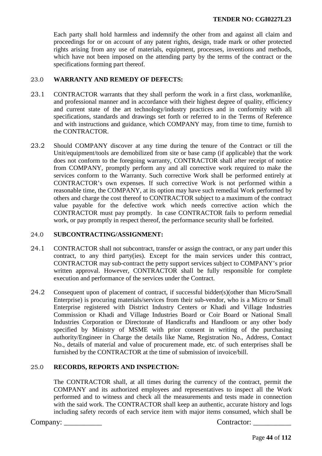Each party shall hold harmless and indemnify the other from and against all claim and proceedings for or on account of any patent rights, design, trade mark or other protected rights arising from any use of materials, equipment, processes, inventions and methods, which have not been imposed on the attending party by the terms of the contract or the specifications forming part thereof.

## 23.0 **WARRANTY AND REMEDY OF DEFECTS:**

- 23.1 CONTRACTOR warrants that they shall perform the work in a first class, workmanlike, and professional manner and in accordance with their highest degree of quality, efficiency and current state of the art technology/industry practices and in conformity with all specifications, standards and drawings set forth or referred to in the Terms of Reference and with instructions and guidance, which COMPANY may, from time to time, furnish to the CONTRACTOR.
- 23.2 Should COMPANY discover at any time during the tenure of the Contract or till the Unit/equipment/tools are demobilized from site or base camp (if applicable) that the work does not conform to the foregoing warranty, CONTRACTOR shall after receipt of notice from COMPANY, promptly perform any and all corrective work required to make the services conform to the Warranty. Such corrective Work shall be performed entirely at CONTRACTOR's own expenses. If such corrective Work is not performed within a reasonable time, the COMPANY, at its option may have such remedial Work performed by others and charge the cost thereof to CONTRACTOR subject to a maximum of the contract value payable for the defective work which needs corrective action which the CONTRACTOR must pay promptly. In case CONTRACTOR fails to perform remedial work, or pay promptly in respect thereof, the performance security shall be forfeited.

## 24.0 **SUBCONTRACTING/ASSIGNMENT:**

- 24.1 CONTRACTOR shall not subcontract, transfer or assign the contract, or any part under this contract, to any third party(ies). Except for the main services under this contract, CONTRACTOR may sub-contract the petty support services subject to COMPANY's prior written approval. However, CONTRACTOR shall be fully responsible for complete execution and performance of the services under the Contract.
- 24.2 Consequent upon of placement of contract, if successful bidder(s)(other than Micro/Small Enterprise) is procuring materials/services from their sub-vendor, who is a Micro or Small Enterprise registered with District Industry Centers or Khadi and Village Industries Commission or Khadi and Village Industries Board or Coir Board or National Small Industries Corporation or Directorate of Handicrafts and Handloom or any other body specified by Ministry of MSME with prior consent in writing of the purchasing authority/Engineer in Charge the details like Name, Registration No., Address, Contact No., details of material and value of procurement made, etc. of such enterprises shall be furnished by the CONTRACTOR at the time of submission of invoice/bill.

# 25.0 **RECORDS, REPORTS AND INSPECTION:**

The CONTRACTOR shall, at all times during the currency of the contract, permit the COMPANY and its authorized employees and representatives to inspect all the Work performed and to witness and check all the measurements and tests made in connection with the said work. The CONTRACTOR shall keep an authentic, accurate history and logs including safety records of each service item with major items consumed, which shall be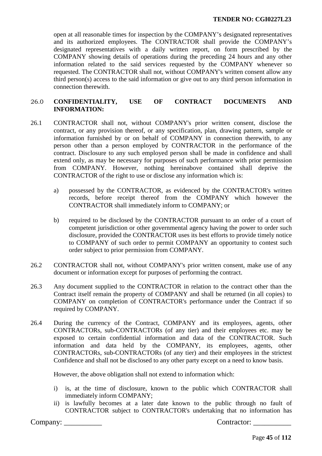open at all reasonable times for inspection by the COMPANY's designated representatives and its authorized employees. The CONTRACTOR shall provide the COMPANY's designated representatives with a daily written report, on form prescribed by the COMPANY showing details of operations during the preceding 24 hours and any other information related to the said services requested by the COMPANY whenever so requested. The CONTRACTOR shall not, without COMPANY's written consent allow any third person(s) access to the said information or give out to any third person information in connection therewith.

# 26.0 **CONFIDENTIALITY, USE OF CONTRACT DOCUMENTS AND INFORMATION:**

- 26.1 CONTRACTOR shall not, without COMPANY's prior written consent, disclose the contract, or any provision thereof, or any specification, plan, drawing pattern, sample or information furnished by or on behalf of COMPANY in connection therewith, to any person other than a person employed by CONTRACTOR in the performance of the contract. Disclosure to any such employed person shall be made in confidence and shall extend only, as may be necessary for purposes of such performance with prior permission from COMPANY. However, nothing hereinabove contained shall deprive the CONTRACTOR of the right to use or disclose any information which is:
	- a) possessed by the CONTRACTOR, as evidenced by the CONTRACTOR's written records, before receipt thereof from the COMPANY which however the CONTRACTOR shall immediately inform to COMPANY; or
	- b) required to be disclosed by the CONTRACTOR pursuant to an order of a court of competent jurisdiction or other governmental agency having the power to order such disclosure, provided the CONTRACTOR uses its best efforts to provide timely notice to COMPANY of such order to permit COMPANY an opportunity to contest such order subject to prior permission from COMPANY.
- 26.2 CONTRACTOR shall not, without COMPANY's prior written consent, make use of any document or information except for purposes of performing the contract.
- 26.3 Any document supplied to the CONTRACTOR in relation to the contract other than the Contract itself remain the property of COMPANY and shall be returned (in all copies) to COMPANY on completion of CONTRACTOR's performance under the Contract if so required by COMPANY.
- 26.4 During the currency of the Contract, COMPANY and its employees, agents, other CONTRACTORs, sub-CONTRACTORs (of any tier) and their employees etc. may be exposed to certain confidential information and data of the CONTRACTOR. Such information and data held by the COMPANY, its employees, agents, other CONTRACTORs, sub-CONTRACTORs (of any tier) and their employees in the strictest Confidence and shall not be disclosed to any other party except on a need to know basis.

However, the above obligation shall not extend to information which:

- i) is, at the time of disclosure, known to the public which CONTRACTOR shall immediately inform COMPANY;
- ii) is lawfully becomes at a later date known to the public through no fault of CONTRACTOR subject to CONTRACTOR's undertaking that no information has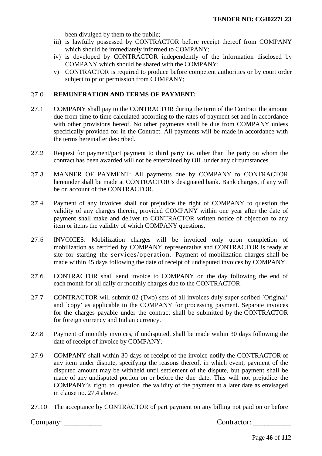been divulged by them to the public;

- iii) is lawfully possessed by CONTRACTOR before receipt thereof from COMPANY which should be immediately informed to COMPANY;
- iv) is developed by CONTRACTOR independently of the information disclosed by COMPANY which should be shared with the COMPANY;
- v) CONTRACTOR is required to produce before competent authorities or by court order subject to prior permission from COMPANY;

## 27.0 **REMUNERATION AND TERMS OF PAYMENT:**

- 27.1 COMPANY shall pay to the CONTRACTOR during the term of the Contract the amount due from time to time calculated according to the rates of payment set and in accordance with other provisions hereof. No other payments shall be due from COMPANY unless specifically provided for in the Contract. All payments will be made in accordance with the terms hereinafter described.
- 27.2 Request for payment/part payment to third party i.e. other than the party on whom the contract has been awarded will not be entertained by OIL under any circumstances.
- 27.3 MANNER OF PAYMENT: All payments due by COMPANY to CONTRACTOR hereunder shall be made at CONTRACTOR's designated bank. Bank charges, if any will be on account of the CONTRACTOR.
- 27.4 Payment of any invoices shall not prejudice the right of COMPANY to question the validity of any charges therein, provided COMPANY within one year after the date of payment shall make and deliver to CONTRACTOR written notice of objection to any item or items the validity of which COMPANY questions.
- 27.5 INVOICES: Mobilization charges will be invoiced only upon completion of mobilization as certified by COMPANY representative and CONTRACTOR is ready at site for starting the services/operation. Payment of mobilization charges shall be made within 45 days following the date of receipt of undisputed invoices by COMPANY.
- 27.6 CONTRACTOR shall send invoice to COMPANY on the day following the end of each month for all daily or monthly charges due to the CONTRACTOR.
- 27.7 CONTRACTOR will submit 02 (Two) sets of all invoices duly super scribed `Original' and `copy' as applicable to the COMPANY for processing payment. Separate invoices for the charges payable under the contract shall be submitted by the CONTRACTOR for foreign currency and Indian currency.
- 27.8 Payment of monthly invoices, if undisputed, shall be made within 30 days following the date of receipt of invoice by COMPANY.
- 27.9 COMPANY shall within 30 days of receipt of the invoice notify the CONTRACTOR of any item under dispute, specifying the reasons thereof, in which event, payment of the disputed amount may be withheld until settlement of the dispute, but payment shall be made of any undisputed portion on or before the due date. This will not prejudice the COMPANY's right to question the validity of the payment at a later date as envisaged in clause no. 27.4 above.
- 27.10 The acceptance by CONTRACTOR of part payment on any billing not paid on or before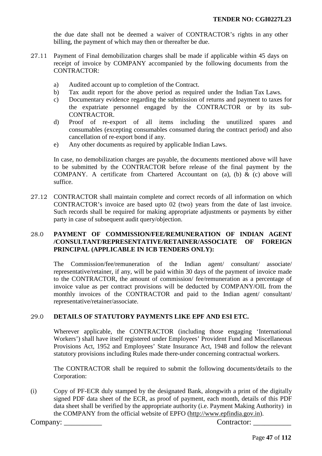the due date shall not be deemed a waiver of CONTRACTOR's rights in any other billing, the payment of which may then or thereafter be due.

- 27.11 Payment of Final demobilization charges shall be made if applicable within 45 days on receipt of invoice by COMPANY accompanied by the following documents from the CONTRACTOR:
	- a) Audited account up to completion of the Contract.
	- b) Tax audit report for the above period as required under the Indian Tax Laws.
	- c) Documentary evidence regarding the submission of returns and payment to taxes for the expatriate personnel engaged by the CONTRACTOR or by its sub-CONTRACTOR.
	- d) Proof of re-export of all items including the unutilized spares and consumables (excepting consumables consumed during the contract period) and also cancellation of re-export bond if any.
	- e) Any other documents as required by applicable Indian Laws.

 In case, no demobilization charges are payable, the documents mentioned above will have to be submitted by the CONTRACTOR before release of the final payment by the COMPANY. A certificate from Chartered Accountant on (a), (b) & (c) above will suffice.

27.12 CONTRACTOR shall maintain complete and correct records of all information on which CONTRACTOR's invoice are based upto 02 (two) years from the date of last invoice. Such records shall be required for making appropriate adjustments or payments by either party in case of subsequent audit query/objection.

# 28.0 **PAYMENT OF COMMISSION/FEE/REMUNERATION OF INDIAN AGENT /CONSULTANT/REPRESENTATIVE/RETAINER/ASSOCIATE OF FOREIGN PRINCIPAL (APPLICABLE IN ICB TENDERS ONLY):**

The Commission/fee/remuneration of the Indian agent/ consultant/ associate/ representative/retainer, if any, will be paid within 30 days of the payment of invoice made to the CONTRACTOR, the amount of commission/ fee/remuneration as a percentage of invoice value as per contract provisions will be deducted by COMPANY/OIL from the monthly invoices of the CONTRACTOR and paid to the Indian agent/ consultant/ representative/retainer/associate.

# 29.0 **DETAILS OF STATUTORY PAYMENTS LIKE EPF AND ESI ETC.**

Wherever applicable, the CONTRACTOR (including those engaging 'International Workers') shall have itself registered under Employees' Provident Fund and Miscellaneous Provisions Act, 1952 and Employees' State Insurance Act, 1948 and follow the relevant statutory provisions including Rules made there-under concerning contractual workers.

The CONTRACTOR shall be required to submit the following documents/details to the Corporation:

(i) Copy of PF-ECR duly stamped by the designated Bank, alongwith a print of the digitally signed PDF data sheet of the ECR, as proof of payment, each month, details of this PDF data sheet shall be verified by the appropriate authority (i.e. Payment Making Authority) in the COMPANY from the official website of EPFO [\(http://www.epfindia.gov.in\)](http://www.epfindia.gov.in/).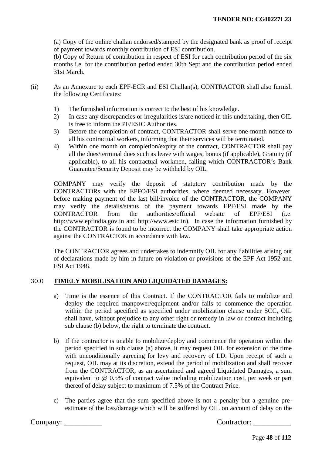(a) Copy of the online challan endorsed/stamped by the designated bank as proof of receipt of payment towards monthly contribution of ESI contribution.

(b) Copy of Return of contribution in respect of ESI for each contribution period of the six months i.e. for the contribution period ended 30th Sept and the contribution period ended 31st March.

- (ii) As an Annexure to each EPF-ECR and ESI Challan(s), CONTRACTOR shall also furnish the following Certificates:
	- 1) The furnished information is correct to the best of his knowledge.<br>2) In case any discrepancies or irregularities is/are noticed in this un
	- In case any discrepancies or irregularities is/are noticed in this undertaking, then OIL is free to inform the PF/ESIC Authorities.
	- 3) Before the completion of contract, CONTRACTOR shall serve one-month notice to all his contractual workers, informing that their services will be terminated.
	- 4) Within one month on completion/expiry of the contract, CONTRACTOR shall pay all the dues/terminal dues such as leave with wages, bonus (if applicable), Gratuity (if applicable), to all his contractual workmen, failing which CONTRACTOR's Bank Guarantee/Security Deposit may be withheld by OIL.

COMPANY may verify the deposit of statutory contribution made by the CONTRACTORs with the EPFO/ESI authorities, where deemed necessary. However, before making payment of the last bill/invoice of the CONTRACTOR, the COMPANY may verify the details/status of the payment towards EPF/ESI made by the CONTRACTOR from the authorities/official website of EPF/ESI (i.e. http://www.epfindia.gov.in and http://www.esic.in). In case the information furnished by the CONTRACTOR is found to be incorrect the COMPANY shall take appropriate action against the CONTRACTOR in accordance with law.

The CONTRACTOR agrees and undertakes to indemnify OIL for any liabilities arising out of declarations made by him in future on violation or provisions of the EPF Act 1952 and ESI Act 1948.

# 30.0 **TIMELY MOBILISATION AND LIQUIDATED DAMAGES:**

- a) Time is the essence of this Contract. If the CONTRACTOR fails to mobilize and deploy the required manpower/equipment and/or fails to commence the operation within the period specified as specified under mobilization clause under SCC, OIL shall have, without prejudice to any other right or remedy in law or contract including sub clause (b) below, the right to terminate the contract.
- b) If the contractor is unable to mobilize/deploy and commence the operation within the period specified in sub clause (a) above, it may request OIL for extension of the time with unconditionally agreeing for levy and recovery of LD. Upon receipt of such a request, OIL may at its discretion, extend the period of mobilization and shall recover from the CONTRACTOR, as an ascertained and agreed Liquidated Damages, a sum equivalent to @ 0.5% of contract value including mobilization cost, per week or part thereof of delay subject to maximum of 7.5% of the Contract Price.
- c) The parties agree that the sum specified above is not a penalty but a genuine preestimate of the loss/damage which will be suffered by OIL on account of delay on the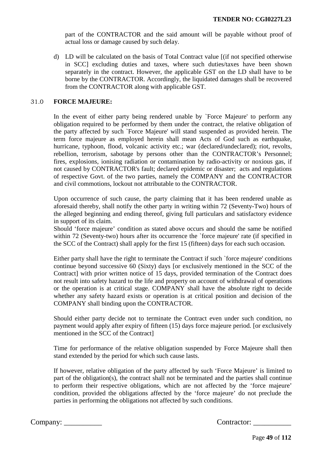part of the CONTRACTOR and the said amount will be payable without proof of actual loss or damage caused by such delay.

d) LD will be calculated on the basis of Total Contract value [(if not specified otherwise in SCC] excluding duties and taxes, where such duties/taxes have been shown separately in the contract. However, the applicable GST on the LD shall have to be borne by the CONTRACTOR. Accordingly, the liquidated damages shall be recovered from the CONTRACTOR along with applicable GST.

### 31.0 **FORCE MAJEURE:**

In the event of either party being rendered unable by `Force Majeure' to perform any obligation required to be performed by them under the contract, the relative obligation of the party affected by such `Force Majeure' will stand suspended as provided herein. The term force majeure as employed herein shall mean Acts of God such as earthquake, hurricane, typhoon, flood, volcanic activity etc.; war (declared/undeclared); riot, revolts, rebellion, terrorism, sabotage by persons other than the CONTRACTOR's Personnel; fires, explosions, ionising radiation or contamination by radio-activity or noxious gas, if not caused by CONTRACTOR's fault; declared epidemic or disaster; acts and regulations of respective Govt. of the two parties, namely the COMPANY and the CONTRACTOR and civil commotions, lockout not attributable to the CONTRACTOR.

Upon occurrence of such cause, the party claiming that it has been rendered unable as aforesaid thereby, shall notify the other party in writing within 72 (Seventy-Two) hours of the alleged beginning and ending thereof, giving full particulars and satisfactory evidence in support of its claim.

Should 'force majeure' condition as stated above occurs and should the same be notified within 72 (Seventy-two) hours after its occurrence the 'force majeure' rate (if specified in the SCC of the Contract) shall apply for the first 15 (fifteen) days for each such occasion*.* 

Either party shall have the right to terminate the Contract if such `force majeure' conditions continue beyond successive 60 (Sixty) days [or exclusively mentioned in the SCC of the Contract] with prior written notice of 15 days, provided termination of the Contract does not result into safety hazard to the life and property on account of withdrawal of operations or the operation is at critical stage. COMPANY shall have the absolute right to decide whether any safety hazard exists or operation is at critical position and decision of the COMPANY shall binding upon the CONTRACTOR.

Should either party decide not to terminate the Contract even under such condition, no payment would apply after expiry of fifteen (15) days force majeure period*.* [or exclusively mentioned in the SCC of the Contract]

Time for performance of the relative obligation suspended by Force Majeure shall then stand extended by the period for which such cause lasts.

If however, relative obligation of the party affected by such 'Force Majeure' is limited to part of the obligation(s), the contract shall not be terminated and the parties shall continue to perform their respective obligations, which are not affected by the 'force majeure' condition, provided the obligations affected by the 'force majeure' do not preclude the parties in performing the obligations not affected by such conditions.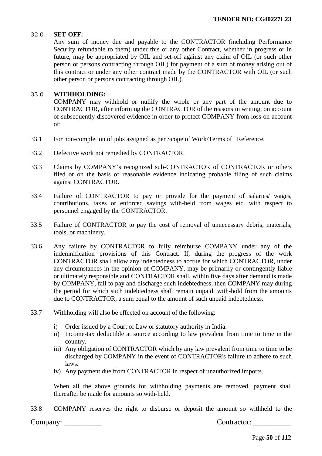### 32.0 **SET-OFF:**

Any sum of money due and payable to the CONTRACTOR (including Performance Security refundable to them) under this or any other Contract, whether in progress or in future, may be appropriated by OIL and set-off against any claim of OIL (or such other person or persons contracting through OIL) for payment of a sum of money arising out of this contract or under any other contract made by the CONTRACTOR with OIL (or such other person or persons contracting through OIL).

### 33.0 **WITHHOLDING:**

COMPANY may withhold or nullify the whole or any part of the amount due to CONTRACTOR, after informing the CONTRACTOR of the reasons in writing, on account of subsequently discovered evidence in order to protect COMPANY from loss on account of:

- 33.1 For non-completion of jobs assigned as per Scope of Work/Terms of Reference.
- 33.2 Defective work not remedied by CONTRACTOR.
- 33.3 Claims by COMPANY's recognized sub-CONTRACTOR of CONTRACTOR or others filed or on the basis of reasonable evidence indicating probable filing of such claims against CONTRACTOR.
- 33.4 Failure of CONTRACTOR to pay or provide for the payment of salaries/ wages, contributions, taxes or enforced savings with-held from wages etc. with respect to personnel engaged by the CONTRACTOR.
- 33.5 Failure of CONTRACTOR to pay the cost of removal of unnecessary debris, materials, tools, or machinery.
- 33.6 Any failure by CONTRACTOR to fully reimburse COMPANY under any of the indemnification provisions of this Contract. If, during the progress of the work CONTRACTOR shall allow any indebtedness to accrue for which CONTRACTOR, under any circumstances in the opinion of COMPANY, may be primarily or contingently liable or ultimately responsible and CONTRACTOR shall, within five days after demand is made by COMPANY, fail to pay and discharge such indebtedness, then COMPANY may during the period for which such indebtedness shall remain unpaid, with-hold from the amounts due to CONTRACTOR, a sum equal to the amount of such unpaid indebtedness.
- 33.7 Withholding will also be effected on account of the following:
	- i) Order issued by a Court of Law or statutory authority in India.
	- ii) Income-tax deductible at source according to law prevalent from time to time in the country.
	- iii) Any obligation of CONTRACTOR which by any law prevalent from time to time to be discharged by COMPANY in the event of CONTRACTOR's failure to adhere to such laws.
	- iv) Any payment due from CONTRACTOR in respect of unauthorized imports.

When all the above grounds for withholding payments are removed, payment shall thereafter be made for amounts so with-held.

33.8 COMPANY reserves the right to disburse or deposit the amount so withheld to the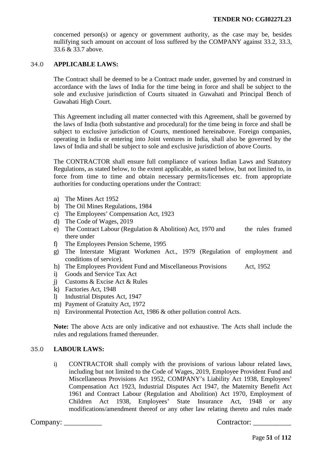concerned person(s) or agency or government authority, as the case may be, besides nullifying such amount on account of loss suffered by the COMPANY against 33.2, 33.3, 33.6 & 33.7 above.

## 34.0 **APPLICABLE LAWS:**

The Contract shall be deemed to be a Contract made under, governed by and construed in accordance with the laws of India for the time being in force and shall be subject to the sole and exclusive jurisdiction of Courts situated in Guwahati and Principal Bench of Guwahati High Court.

This Agreement including all matter connected with this Agreement, shall be governed by the laws of India (both substantive and procedural) for the time being in force and shall be subject to exclusive jurisdiction of Courts, mentioned hereinabove. Foreign companies, operating in India or entering into Joint ventures in India, shall also be governed by the laws of India and shall be subject to sole and exclusive jurisdiction of above Courts.

The CONTRACTOR shall ensure full compliance of various Indian Laws and Statutory Regulations, as stated below, to the extent applicable, as stated below, but not limited to, in force from time to time and obtain necessary permits/licenses etc. from appropriate authorities for conducting operations under the Contract:

- a) The Mines Act 1952
- b) The Oil Mines Regulations, 1984
- c) The Employees' Compensation Act, 1923
- d) The Code of Wages, 2019
- e) The Contract Labour (Regulation & Abolition) Act, 1970 and the rules framed there under
- f) The Employees Pension Scheme, 1995
- g) The Interstate Migrant Workmen Act., 1979 (Regulation of employment and conditions of service).
- h) The Employees Provident Fund and Miscellaneous Provisions Act, 1952
- i) Goods and Service Tax Act
- j) Customs & Excise Act & Rules
- k) Factories Act, 1948
- l) Industrial Disputes Act, 1947
- m) Payment of Gratuity Act, 1972
- n) Environmental Protection Act, 1986 & other pollution control Acts.

**Note:** The above Acts are only indicative and not exhaustive. The Acts shall include the rules and regulations framed thereunder.

## 35.0 **LABOUR LAWS:**

i) CONTRACTOR shall comply with the provisions of various labour related laws, including but not limited to the Code of Wages, 2019, Employee Provident Fund and Miscellaneous Provisions Act 1952, COMPANY's Liability Act 1938, Employees' Compensation Act 1923, Industrial Disputes Act 1947, the Maternity Benefit Act 1961 and Contract Labour (Regulation and Abolition) Act 1970, Employment of Children Act 1938, Employees' State Insurance Act, 1948 or any Children Act 1938, Employees' State Insurance Act, 1948 or any modifications/amendment thereof or any other law relating thereto and rules made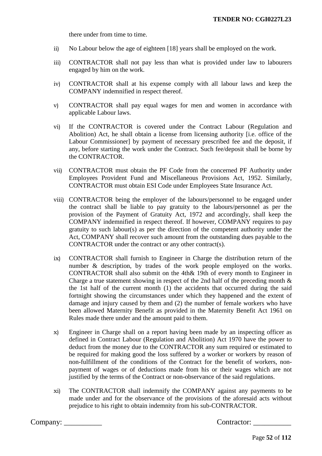there under from time to time.

- ii) No Labour below the age of eighteen [18] years shall be employed on the work.
- iii) CONTRACTOR shall not pay less than what is provided under law to labourers engaged by him on the work.
- iv) CONTRACTOR shall at his expense comply with all labour laws and keep the COMPANY indemnified in respect thereof.
- v) CONTRACTOR shall pay equal wages for men and women in accordance with applicable Labour laws.
- vi) If the CONTRACTOR is covered under the Contract Labour (Regulation and Abolition) Act, he shall obtain a license from licensing authority [i.e. office of the Labour Commissioner] by payment of necessary prescribed fee and the deposit, if any, before starting the work under the Contract. Such fee/deposit shall be borne by the CONTRACTOR.
- vii) CONTRACTOR must obtain the PF Code from the concerned PF Authority under Employees Provident Fund and Miscellaneous Provisions Act, 1952. Similarly, CONTRACTOR must obtain ESI Code under Employees State Insurance Act.
- viii) CONTRACTOR being the employer of the labours/personnel to be engaged under the contract shall be liable to pay gratuity to the labours/personnel as per the provision of the Payment of Gratuity Act, 1972 and accordingly, shall keep the COMPANY indemnified in respect thereof. If however, COMPANY requires to pay gratuity to such labour(s) as per the direction of the competent authority under the Act, COMPANY shall recover such amount from the outstanding dues payable to the CONTRACTOR under the contract or any other contract(s).
- ix) CONTRACTOR shall furnish to Engineer in Charge the distribution return of the number & description, by trades of the work people employed on the works. CONTRACTOR shall also submit on the 4th& 19th of every month to Engineer in Charge a true statement showing in respect of the 2nd half of the preceding month  $\&$ the 1st half of the current month (1) the accidents that occurred during the said fortnight showing the circumstances under which they happened and the extent of damage and injury caused by them and (2) the number of female workers who have been allowed Maternity Benefit as provided in the Maternity Benefit Act 1961 on Rules made there under and the amount paid to them.
- x) Engineer in Charge shall on a report having been made by an inspecting officer as defined in Contract Labour (Regulation and Abolition) Act 1970 have the power to deduct from the money due to the CONTRACTOR any sum required or estimated to be required for making good the loss suffered by a worker or workers by reason of non-fulfillment of the conditions of the Contract for the benefit of workers, nonpayment of wages or of deductions made from his or their wages which are not justified by the terms of the Contract or non-observance of the said regulations.
- xi) The CONTRACTOR shall indemnify the COMPANY against any payments to be made under and for the observance of the provisions of the aforesaid acts without prejudice to his right to obtain indemnity from his sub-CONTRACTOR.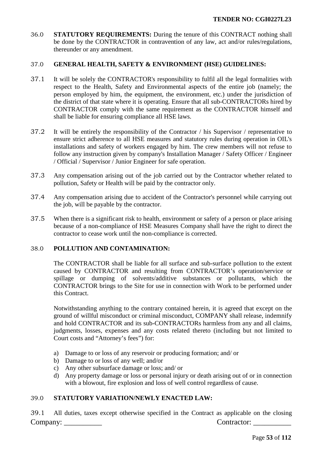36.0 **STATUTORY REQUIREMENTS:** During the tenure of this CONTRACT nothing shall be done by the CONTRACTOR in contravention of any law, act and/or rules/regulations, thereunder or any amendment.

## 37.0 **GENERAL HEALTH, SAFETY & ENVIRONMENT (HSE) GUIDELINES:**

- 37.1 It will be solely the CONTRACTOR's responsibility to fulfil all the legal formalities with respect to the Health, Safety and Environmental aspects of the entire job (namely; the person employed by him, the equipment, the environment, etc.) under the jurisdiction of the district of that state where it is operating. Ensure that all sub-CONTRACTORs hired by CONTRACTOR comply with the same requirement as the CONTRACTOR himself and shall be liable for ensuring compliance all HSE laws.
- 37.2 It will be entirely the responsibility of the Contractor / his Supervisor / representative to ensure strict adherence to all HSE measures and statutory rules during operation in OIL's installations and safety of workers engaged by him. The crew members will not refuse to follow any instruction given by company's Installation Manager / Safety Officer / Engineer / Official / Supervisor / Junior Engineer for safe operation.
- 37.3 Any compensation arising out of the job carried out by the Contractor whether related to pollution, Safety or Health will be paid by the contractor only.
- 37.4 Any compensation arising due to accident of the Contractor's personnel while carrying out the job, will be payable by the contractor.
- 37.5 When there is a significant risk to health, environment or safety of a person or place arising because of a non-compliance of HSE Measures Company shall have the right to direct the contractor to cease work until the non-compliance is corrected.

## 38.0 **POLLUTION AND CONTAMINATION:**

The CONTRACTOR shall be liable for all surface and sub-surface pollution to the extent caused by CONTRACTOR and resulting from CONTRACTOR's operation/service or spillage or dumping of solvents/additive substances or pollutants, which the CONTRACTOR brings to the Site for use in connection with Work to be performed under this Contract.

Notwithstanding anything to the contrary contained herein, it is agreed that except on the ground of willful misconduct or criminal misconduct, COMPANY shall release, indemnify and hold CONTRACTOR and its sub-CONTRACTORs harmless from any and all claims, judgments, losses, expenses and any costs related thereto (including but not limited to Court costs and "Attorney's fees") for:

- a) Damage to or loss of any reservoir or producing formation; and/ or
- b) Damage to or loss of any well; and/or
- c) Any other subsurface damage or loss; and/ or
- d) Any property damage or loss or personal injury or death arising out of or in connection with a blowout, fire explosion and loss of well control regardless of cause.

## 39.0 **STATUTORY VARIATION/NEWLY ENACTED LAW:**

Company: \_\_\_\_\_\_\_\_\_\_ Contractor: \_\_\_\_\_\_\_\_\_\_ 39.1 All duties, taxes except otherwise specified in the Contract as applicable on the closing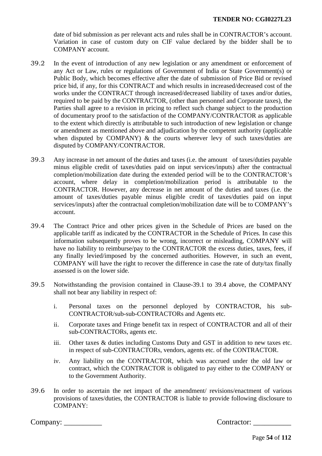date of bid submission as per relevant acts and rules shall be in CONTRACTOR's account. Variation in case of custom duty on CIF value declared by the bidder shall be to COMPANY account.

- 39.2 In the event of introduction of any new legislation or any amendment or enforcement of any Act or Law, rules or regulations of Government of India or State Government(s) or Public Body, which becomes effective after the date of submission of Price Bid or revised price bid, if any, for this CONTRACT and which results in increased/decreased cost of the works under the CONTRACT through increased/decreased liability of taxes and/or duties, required to be paid by the CONTRACTOR, (other than personnel and Corporate taxes), the Parties shall agree to a revision in pricing to reflect such change subject to the production of documentary proof to the satisfaction of the COMPANY/CONTRACTOR as applicable to the extent which directly is attributable to such introduction of new legislation or change or amendment as mentioned above and adjudication by the competent authority (applicable when disputed by COMPANY)  $\&$  the courts wherever levy of such taxes/duties are disputed by COMPANY/CONTRACTOR.
- 39.3 Any increase in net amount of the duties and taxes (i.e. the amount of taxes/duties payable minus eligible credit of taxes/duties paid on input services/inputs) after the contractual completion/mobilization date during the extended period will be to the CONTRACTOR's account, where delay in completion/mobilization period is attributable to the CONTRACTOR. However, any decrease in net amount of the duties and taxes (i.e. the amount of taxes/duties payable minus eligible credit of taxes/duties paid on input services/inputs) after the contractual completion/mobilization date will be to COMPANY's account.
- 39.4 The Contract Price and other prices given in the Schedule of Prices are based on the applicable tariff as indicated by the CONTRACTOR in the Schedule of Prices. In case this information subsequently proves to be wrong, incorrect or misleading, COMPANY will have no liability to reimburse/pay to the CONTRACTOR the excess duties, taxes, fees, if any finally levied/imposed by the concerned authorities. However, in such an event, COMPANY will have the right to recover the difference in case the rate of duty/tax finally assessed is on the lower side.
- 39.5 Notwithstanding the provision contained in Clause-39.1 to 39.4 above, the COMPANY shall not bear any liability in respect of:
	- i. Personal taxes on the personnel deployed by CONTRACTOR, his sub-CONTRACTOR/sub-sub-CONTRACTORs and Agents etc.
	- ii. Corporate taxes and Fringe benefit tax in respect of CONTRACTOR and all of their sub-CONTRACTORs, agents etc.
	- iii. Other taxes & duties including Customs Duty and GST in addition to new taxes etc. in respect of sub-CONTRACTORs, vendors, agents etc. of the CONTRACTOR.
	- iv. Any liability on the CONTRACTOR, which was accrued under the old law or contract, which the CONTRACTOR is obligated to pay either to the COMPANY or to the Government Authority.
- 39.6 In order to ascertain the net impact of the amendment/ revisions/enactment of various provisions of taxes/duties, the CONTRACTOR is liable to provide following disclosure to COMPANY: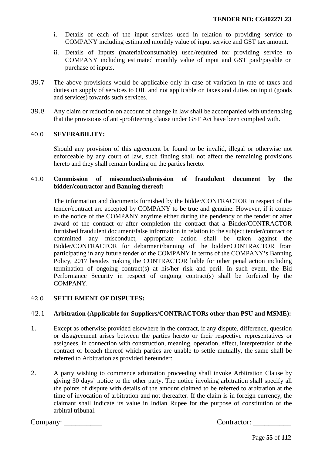- i. Details of each of the input services used in relation to providing service to COMPANY including estimated monthly value of input service and GST tax amount.
- ii. Details of Inputs (material/consumable) used/required for providing service to COMPANY including estimated monthly value of input and GST paid/payable on purchase of inputs.
- 39.7 The above provisions would be applicable only in case of variation in rate of taxes and duties on supply of services to OIL and not applicable on taxes and duties on input (goods and services) towards such services.
- 39.8 Any claim or reduction on account of change in law shall be accompanied with undertaking that the provisions of anti-profiteering clause under GST Act have been complied with.

## 40.0 **SEVERABILITY:**

Should any provision of this agreement be found to be invalid, illegal or otherwise not enforceable by any court of law, such finding shall not affect the remaining provisions hereto and they shall remain binding on the parties hereto.

## 41.0 **Commission of misconduct/submission of fraudulent document by the bidder/contractor and Banning thereof:**

The information and documents furnished by the bidder/CONTRACTOR in respect of the tender/contract are accepted by COMPANY to be true and genuine. However, if it comes to the notice of the COMPANY anytime either during the pendency of the tender or after award of the contract or after completion the contract that a Bidder/CONTRACTOR furnished fraudulent document/false information in relation to the subject tender/contract or committed any misconduct, appropriate action shall be taken against the Bidder/CONTRACTOR for debarment/banning of the bidder/CONTRACTOR from participating in any future tender of the COMPANY in terms of the COMPANY's Banning Policy, 2017 besides making the CONTRACTOR liable for other penal action including termination of ongoing contract(s) at his/her risk and peril. In such event, the Bid Performance Security in respect of ongoing contract(s) shall be forfeited by the COMPANY.

## 42.0 **SETTLEMENT OF DISPUTES:**

# 42.1 **Arbitration (Applicable for Suppliers/CONTRACTORs other than PSU and MSME):**

- 1. Except as otherwise provided elsewhere in the contract, if any dispute, difference, question or disagreement arises between the parties hereto or their respective representatives or assignees, in connection with construction, meaning, operation, effect, interpretation of the contract or breach thereof which parties are unable to settle mutually, the same shall be referred to Arbitration as provided hereunder:
- 2. A party wishing to commence arbitration proceeding shall invoke Arbitration Clause by giving 30 days' notice to the other party. The notice invoking arbitration shall specify all the points of dispute with details of the amount claimed to be referred to arbitration at the time of invocation of arbitration and not thereafter. If the claim is in foreign currency, the claimant shall indicate its value in Indian Rupee for the purpose of constitution of the arbitral tribunal.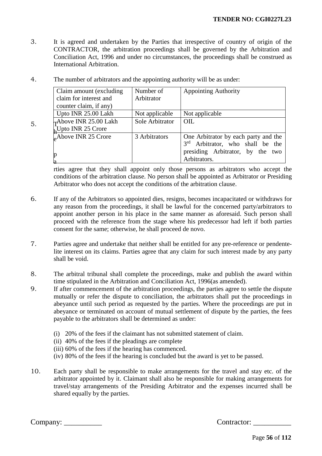3. It is agreed and undertaken by the Parties that irrespective of country of origin of the CONTRACTOR, the arbitration proceedings shall be governed by the Arbitration and Conciliation Act, 1996 and under no circumstances, the proceedings shall be construed as International Arbitration.

| Claim amount (excluding)        | Number of       | <b>Appointing Authority</b>          |
|---------------------------------|-----------------|--------------------------------------|
| claim for interest and          | Arbitrator      |                                      |
| counter claim, if any)          |                 |                                      |
| Upto INR 25.00 Lakh             | Not applicable  | Not applicable                       |
| Above INR 25.00 Lakh            | Sole Arbitrator | OIL                                  |
| $\bigcup_{h}$ Upto INR 25 Crore |                 |                                      |
| $A$ bove INR 25 Crore           | 3 Arbitrators   | One Arbitrator by each party and the |
|                                 |                 | 3rd Arbitrator, who shall be the     |
|                                 |                 | presiding Arbitrator, by the two     |
|                                 |                 | Arbitrators.                         |

4. The number of arbitrators and the appointing authority will be as under:

rties agree that they shall appoint only those persons as arbitrators who accept the conditions of the arbitration clause. No person shall be appointed as Arbitrator or Presiding Arbitrator who does not accept the conditions of the arbitration clause.

- 6. If any of the Arbitrators so appointed dies, resigns, becomes incapacitated or withdraws for any reason from the proceedings, it shall be lawful for the concerned party/arbitrators to appoint another person in his place in the same manner as aforesaid. Such person shall proceed with the reference from the stage where his predecessor had left if both parties consent for the same; otherwise, he shall proceed de novo.
- 7. Parties agree and undertake that neither shall be entitled for any pre-reference or pendentelite interest on its claims. Parties agree that any claim for such interest made by any party shall be void.
- 8. The arbitral tribunal shall complete the proceedings, make and publish the award within time stipulated in the Arbitration and Conciliation Act, 1996(as amended).
- 9. If after commencement of the arbitration proceedings, the parties agree to settle the dispute mutually or refer the dispute to conciliation, the arbitrators shall put the proceedings in abeyance until such period as requested by the parties. Where the proceedings are put in abeyance or terminated on account of mutual settlement of dispute by the parties, the fees payable to the arbitrators shall be determined as under:
	- (i) 20% of the fees if the claimant has not submitted statement of claim.
	- (ii) 40% of the fees if the pleadings are complete
	- (iii) 60% of the fees if the hearing has commenced.
	- (iv) 80% of the fees if the hearing is concluded but the award is yet to be passed.
- 10. Each party shall be responsible to make arrangements for the travel and stay etc. of the arbitrator appointed by it. Claimant shall also be responsible for making arrangements for travel/stay arrangements of the Presiding Arbitrator and the expenses incurred shall be shared equally by the parties.

Company: \_\_\_\_\_\_\_\_\_\_ Contractor: \_\_\_\_\_\_\_\_\_\_

 $5.$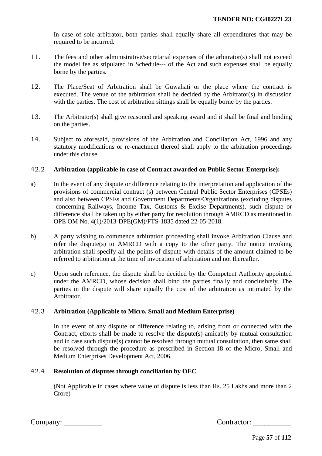In case of sole arbitrator, both parties shall equally share all expenditures that may be required to be incurred.

- 11. The fees and other administrative/secretarial expenses of the arbitrator(s) shall not exceed the model fee as stipulated in Schedule--- of the Act and such expenses shall be equally borne by the parties.
- 12. The Place/Seat of Arbitration shall be Guwahati or the place where the contract is executed. The venue of the arbitration shall be decided by the Arbitrator(s) in discussion with the parties. The cost of arbitration sittings shall be equally borne by the parties.
- 13. The Arbitrator(s) shall give reasoned and speaking award and it shall be final and binding on the parties.
- 14. Subject to aforesaid, provisions of the Arbitration and Conciliation Act, 1996 and any statutory modifications or re-enactment thereof shall apply to the arbitration proceedings under this clause.

## 42.2 **Arbitration (applicable in case of Contract awarded on Public Sector Enterprise):**

- a) In the event of any dispute or difference relating to the interpretation and application of the provisions of commercial contract (s) between Central Public Sector Enterprises (CPSEs) and also between CPSEs and Government Departments/Organizations (excluding disputes -concerning Railways, Income Tax, Customs & Excise Departments), such dispute or difference shall be taken up by either party for resolution through AMRCD as mentioned in OPE OM No. 4(1)/2013-DPE(GM)/FTS-1835 dated 22-05-2018.
- b) A party wishing to commence arbitration proceeding shall invoke Arbitration Clause and refer the dispute(s) to AMRCD with a copy to the other party. The notice invoking arbitration shall specify all the points of dispute with details of the amount claimed to be referred to arbitration at the time of invocation of arbitration and not thereafter.
- c) Upon such reference, the dispute shall be decided by the Competent Authority appointed under the AMRCD, whose decision shall bind the parties finally and conclusively. The parties in the dispute will share equally the cost of the arbitration as intimated by the Arbitrator.

## 42.3 **Arbitration (Applicable to Micro, Small and Medium Enterprise)**

In the event of any dispute or difference relating to, arising from or connected with the Contract, efforts shall be made to resolve the dispute(s) amicably by mutual consultation and in case such dispute(s) cannot be resolved through mutual consultation, then same shall be resolved through the procedure as prescribed in Section-18 of the Micro, Small and Medium Enterprises Development Act, 2006.

## 42.4 **Resolution of disputes through conciliation by OEC**

(Not Applicable in cases where value of dispute is less than Rs. 25 Lakhs and more than 2 Crore)

| Company: |  |
|----------|--|
|          |  |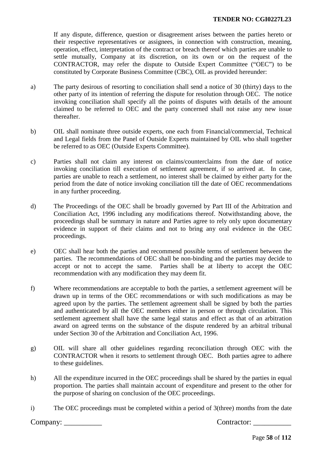If any dispute, difference, question or disagreement arises between the parties hereto or their respective representatives or assignees, in connection with construction, meaning, operation, effect, interpretation of the contract or breach thereof which parties are unable to settle mutually, Company at its discretion, on its own or on the request of the CONTRACTOR, may refer the dispute to Outside Expert Committee ("OEC") to be constituted by Corporate Business Committee (CBC), OIL as provided hereunder:

- a) The party desirous of resorting to conciliation shall send a notice of 30 (thirty) days to the other party of its intention of referring the dispute for resolution through OEC. The notice invoking conciliation shall specify all the points of disputes with details of the amount claimed to be referred to OEC and the party concerned shall not raise any new issue thereafter.
- b) OIL shall nominate three outside experts, one each from Financial/commercial, Technical and Legal fields from the Panel of Outside Experts maintained by OIL who shall together be referred to as OEC (Outside Experts Committee).
- c) Parties shall not claim any interest on claims/counterclaims from the date of notice invoking conciliation till execution of settlement agreement, if so arrived at. In case, parties are unable to reach a settlement, no interest shall be claimed by either party for the period from the date of notice invoking conciliation till the date of OEC recommendations in any further proceeding.
- d) The Proceedings of the OEC shall be broadly governed by Part III of the Arbitration and Conciliation Act, 1996 including any modifications thereof. Notwithstanding above, the proceedings shall be summary in nature and Parties agree to rely only upon documentary evidence in support of their claims and not to bring any oral evidence in the OEC proceedings.
- e) OEC shall hear both the parties and recommend possible terms of settlement between the parties. The recommendations of OEC shall be non-binding and the parties may decide to accept or not to accept the same. Parties shall be at liberty to accept the OEC recommendation with any modification they may deem fit.
- f) Where recommendations are acceptable to both the parties, a settlement agreement will be drawn up in terms of the OEC recommendations or with such modifications as may be agreed upon by the parties. The settlement agreement shall be signed by both the parties and authenticated by all the OEC members either in person or through circulation. This settlement agreement shall have the same legal status and effect as that of an arbitration award on agreed terms on the substance of the dispute rendered by an arbitral tribunal under Section 30 of the Arbitration and Conciliation Act, 1996.
- g) OIL will share all other guidelines regarding reconciliation through OEC with the CONTRACTOR when it resorts to settlement through OEC. Both parties agree to adhere to these guidelines.
- h) All the expenditure incurred in the OEC proceedings shall be shared by the parties in equal proportion. The parties shall maintain account of expenditure and present to the other for the purpose of sharing on conclusion of the OEC proceedings.
- i) The OEC proceedings must be completed within a period of 3(three) months from the date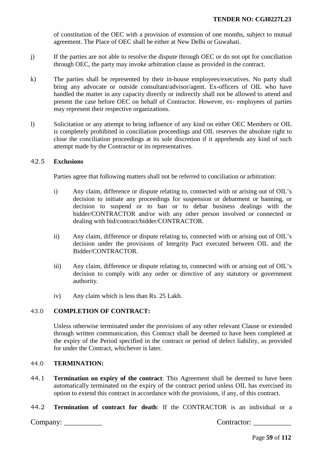of constitution of the OEC with a provision of extension of one months, subject to mutual agreement. The Place of OEC shall be either at New Delhi or Guwahati.

- j) If the parties are not able to resolve the dispute through OEC or do not opt for conciliation through OEC, the party may invoke arbitration clause as provided in the contract.
- k) The parties shall be represented by their in-house employees/executives. No party shall bring any advocate or outside consultant/advisor/agent. Ex-officers of OIL who have handled the matter in any capacity directly or indirectly shall not be allowed to attend and present the case before OEC on behalf of Contractor. However, ex- employees of parties may represent their respective organizations.
- l) Solicitation or any attempt to bring influence of any kind on either OEC Members or OIL is completely prohibited in conciliation proceedings and OIL reserves the absolute right to close the conciliation proceedings at its sole discretion if it apprehends any kind of such attempt made by the Contractor or its representatives.

## 42.5 **Exclusions**

Parties agree that following matters shall not be referred to conciliation or arbitration:

- i) Any claim, difference or dispute relating to, connected with or arising out of OIL's decision to initiate any proceedings for suspension or debarment or banning, or decision to suspend or to ban or to debar business dealings with the bidder/CONTRACTOR and/or with any other person involved or connected or dealing with bid/contract/bidder/CONTRACTOR.
- ii) Any claim, difference or dispute relating to, connected with or arising out of OIL's decision under the provisions of Integrity Pact executed between OIL and the Bidder/CONTRACTOR.
- iii) Any claim, difference or dispute relating to, connected with or arising out of OIL's decision to comply with any order or directive of any statutory or government authority.
- iv) Any claim which is less than Rs. 25 Lakh.

# 43.0 **COMPLETION OF CONTRACT:**

Unless otherwise terminated under the provisions of any other relevant Clause or extended through written communication, this Contract shall be deemed to have been completed at the expiry of the Period specified in the contract or period of defect liability, as provided for under the Contract, whichever is later.

## 44.0 **TERMINATION:**

- 44.1 **Termination on expiry of the contract**: This Agreement shall be deemed to have been automatically terminated on the expiry of the contract period unless OIL has exercised its option to extend this contract in accordance with the provisions, if any, of this contract.
- 44.2 **Termination of contract for death**: If the CONTRACTOR is an individual or a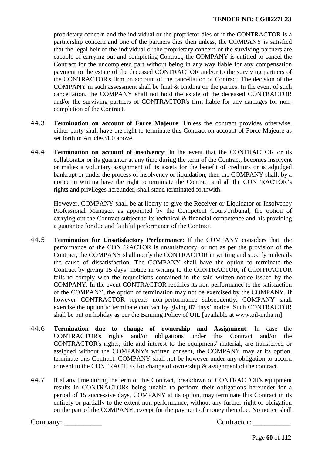proprietary concern and the individual or the proprietor dies or if the CONTRACTOR is a partnership concern and one of the partners dies then unless, the COMPANY is satisfied that the legal heir of the individual or the proprietary concern or the surviving partners are capable of carrying out and completing Contract, the COMPANY is entitled to cancel the Contract for the uncompleted part without being in any way liable for any compensation payment to the estate of the deceased CONTRACTOR and/or to the surviving partners of the CONTRACTOR's firm on account of the cancellation of Contract. The decision of the COMPANY in such assessment shall be final & binding on the parties. In the event of such cancellation, the COMPANY shall not hold the estate of the deceased CONTRACTOR and/or the surviving partners of CONTRACTOR's firm liable for any damages for noncompletion of the Contract.

- 44.3 **Termination on account of Force Majeure**: Unless the contract provides otherwise, either party shall have the right to terminate this Contract on account of Force Majeure as set forth in Article-31.0 above.
- 44.4 **Termination on account of insolvency**: In the event that the CONTRACTOR or its collaborator or its guarantor at any time during the term of the Contract, becomes insolvent or makes a voluntary assignment of its assets for the benefit of creditors or is adjudged bankrupt or under the process of insolvency or liquidation, then the COMPANY shall, by a notice in writing have the right to terminate the Contract and all the CONTRACTOR's rights and privileges hereunder, shall stand terminated forthwith.

However, COMPANY shall be at liberty to give the Receiver or Liquidator or Insolvency Professional Manager, as appointed by the Competent Court/Tribunal, the option of carrying out the Contract subject to its technical & financial competence and his providing a guarantee for due and faithful performance of the Contract.

- 44.5 **Termination for Unsatisfactory Performance**: If the COMPANY considers that, the performance of the CONTRACTOR is unsatisfactory, or not as per the provision of the Contract, the COMPANY shall notify the CONTRACTOR in writing and specify in details the cause of dissatisfaction. The COMPANY shall have the option to terminate the Contract by giving 15 days' notice in writing to the CONTRACTOR, if CONTRACTOR fails to comply with the requisitions contained in the said written notice issued by the COMPANY. In the event CONTRACTOR rectifies its non-performance to the satisfaction of the COMPANY, the option of termination may not be exercised by the COMPANY. If however CONTRACTOR repeats non-performance subsequently, COMPANY shall exercise the option to terminate contract by giving 07 days' notice. Such CONTRACTOR shall be put on holiday as per the Banning Policy of OIL [available at [www.oil-india.in\]](http://www.oil-india.in/).
- 44.6 **Termination due to change of ownership and Assignment**: In case the CONTRACTOR's rights and/or obligations under this Contract and/or the CONTRACTOR's rights, title and interest to the equipment/ material, are transferred or assigned without the COMPANY's written consent, the COMPANY may at its option, terminate this Contract. COMPANY shall not be however under any obligation to accord consent to the CONTRACTOR for change of ownership & assignment of the contract.
- 44.7 If at any time during the term of this Contract, breakdown of CONTRACTOR's equipment results in CONTRACTORs being unable to perform their obligations hereunder for a period of 15 successive days, COMPANY at its option, may terminate this Contract in its entirely or partially to the extent non-performance, without any further right or obligation on the part of the COMPANY, except for the payment of money then due. No notice shall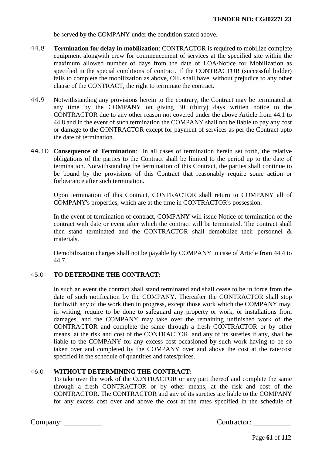be served by the COMPANY under the condition stated above.

- 44.8 **Termination for delay in mobilization**: CONTRACTOR is required to mobilize complete equipment alongwith crew for commencement of services at the specified site within the maximum allowed number of days from the date of LOA/Notice for Mobilization as specified in the special conditions of contract. If the CONTRACTOR (successful bidder) fails to complete the mobilization as above, OIL shall have, without prejudice to any other clause of the CONTRACT, the right to terminate the contract.
- 44.9 Notwithstanding any provisions herein to the contrary, the Contract may be terminated at any time by the COMPANY on giving 30 (thirty) days written notice to the CONTRACTOR due to any other reason not covered under the above Article from 44.1 to 44.8 and in the event of such termination the COMPANY shall not be liable to pay any cost or damage to the CONTRACTOR except for payment of services as per the Contract upto the date of termination.
- 44.10 **Consequence of Termination**: In all cases of termination herein set forth, the relative obligations of the parties to the Contract shall be limited to the period up to the date of termination. Notwithstanding the termination of this Contract, the parties shall continue to be bound by the provisions of this Contract that reasonably require some action or forbearance after such termination.

Upon termination of this Contract, CONTRACTOR shall return to COMPANY all of COMPANY's properties, which are at the time in CONTRACTOR's possession.

In the event of termination of contract, COMPANY will issue Notice of termination of the contract with date or event after which the contract will be terminated. The contract shall then stand terminated and the CONTRACTOR shall demobilize their personnel & materials.

Demobilization charges shall not be payable by COMPANY in case of Article from 44.4 to 44.7.

# 45.0 **TO DETERMINE THE CONTRACT:**

In such an event the contract shall stand terminated and shall cease to be in force from the date of such notification by the COMPANY. Thereafter the CONTRACTOR shall stop forthwith any of the work then in progress, except those work which the COMPANY may, in writing, require to be done to safeguard any property or work, or installations from damages, and the COMPANY may take over the remaining unfinished work of the CONTRACTOR and complete the same through a fresh CONTRACTOR or by other means, at the risk and cost of the CONTRACTOR, and any of its sureties if any, shall be liable to the COMPANY for any excess cost occasioned by such work having to be so taken over and completed by the COMPANY over and above the cost at the rate/cost specified in the schedule of quantities and rates/prices.

## 46.0 **WITHOUT DETERMINING THE CONTRACT:**

To take over the work of the CONTRACTOR or any part thereof and complete the same through a fresh CONTRACTOR or by other means, at the risk and cost of the CONTRACTOR. The CONTRACTOR and any of its sureties are liable to the COMPANY for any excess cost over and above the cost at the rates specified in the schedule of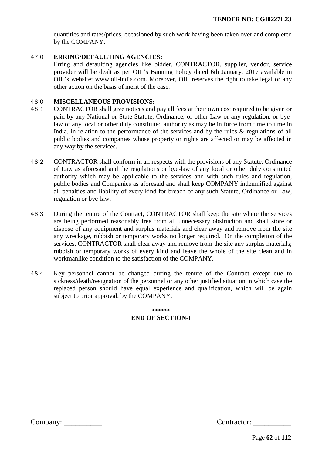quantities and rates/prices, occasioned by such work having been taken over and completed by the COMPANY.

## 47.0 **ERRING/DEFAULTING AGENCIES:**

Erring and defaulting agencies like bidder, CONTRACTOR, supplier, vendor, service provider will be dealt as per OIL's Banning Policy dated 6th January, 2017 available in OIL's website: www.oil-india.com. Moreover, OIL reserves the right to take legal or any other action on the basis of merit of the case.

#### 48.0 **MISCELLANEOUS PROVISIONS:**

- 48.1 CONTRACTOR shall give notices and pay all fees at their own cost required to be given or paid by any National or State Statute, Ordinance, or other Law or any regulation, or byelaw of any local or other duly constituted authority as may be in force from time to time in India, in relation to the performance of the services and by the rules & regulations of all public bodies and companies whose property or rights are affected or may be affected in any way by the services.
- 48.2 CONTRACTOR shall conform in all respects with the provisions of any Statute, Ordinance of Law as aforesaid and the regulations or bye-law of any local or other duly constituted authority which may be applicable to the services and with such rules and regulation, public bodies and Companies as aforesaid and shall keep COMPANY indemnified against all penalties and liability of every kind for breach of any such Statute, Ordinance or Law, regulation or bye-law.
- 48.3 During the tenure of the Contract, CONTRACTOR shall keep the site where the services are being performed reasonably free from all unnecessary obstruction and shall store or dispose of any equipment and surplus materials and clear away and remove from the site any wreckage, rubbish or temporary works no longer required. On the completion of the services, CONTRACTOR shall clear away and remove from the site any surplus materials; rubbish or temporary works of every kind and leave the whole of the site clean and in workmanlike condition to the satisfaction of the COMPANY.
- 48.4 Key personnel cannot be changed during the tenure of the Contract except due to sickness/death/resignation of the personnel or any other justified situation in which case the replaced person should have equal experience and qualification, which will be again subject to prior approval, by the COMPANY.

# **\*\*\*\*\*\* END OF SECTION-I**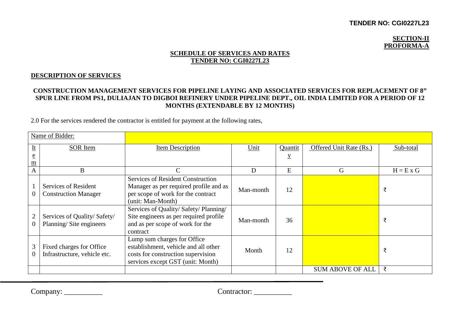## **TENDER NO: CGI0227L23**

### **SECTION-II PROFORMA-A**

## **SCHEDULE OF SERVICES AND RATES TENDER NO: CGI0227L23**

## **DESCRIPTION OF SERVICES**

# **CONSTRUCTION MANAGEMENT SERVICES FOR PIPELINE LAYING AND ASSOCIATED SERVICES FOR REPLACEMENT OF 8" SPUR LINE FROM PS1, DULIAJAN TO DIGBOI REFINERY UNDER PIPELINE DEPT., OIL INDIA LIMITED FOR A PERIOD OF 12 MONTHS (EXTENDABLE BY 12 MONTHS)**

2.0 For the services rendered the contractor is entitled for payment at the following rates,

|                             | Name of Bidder:                                          |                                                                                                                                                |           |         |                         |             |
|-----------------------------|----------------------------------------------------------|------------------------------------------------------------------------------------------------------------------------------------------------|-----------|---------|-------------------------|-------------|
| $\underline{\mathbf{I}}$    | <b>SOR</b> Item                                          | Item Description                                                                                                                               | Unit      | Quantit | Offered Unit Rate (Rs.) | Sub-total   |
| $\underline{e}$             |                                                          |                                                                                                                                                |           | y       |                         |             |
| $\underline{\underline{m}}$ |                                                          |                                                                                                                                                |           |         |                         |             |
| $\mathbf{A}$                | B                                                        |                                                                                                                                                | D         | E       | G                       | $H = E X G$ |
| $\theta$                    | Services of Resident<br><b>Construction Manager</b>      | <b>Services of Resident Construction</b><br>Manager as per required profile and as<br>per scope of work for the contract<br>(unit: Man-Month)  | Man-month | 12      |                         | ₹           |
| $\mathbf{2}$<br>$\theta$    | Services of Quality/Safety/<br>Planning/Site engineers   | Services of Quality/ Safety/ Planning/<br>Site engineers as per required profile<br>and as per scope of work for the<br>contract               | Man-month | 36      |                         | ₹           |
| 3<br>$\overline{0}$         | Fixed charges for Office<br>Infrastructure, vehicle etc. | Lump sum charges for Office<br>establishment, vehicle and all other<br>costs for construction supervision<br>services except GST (unit: Month) | Month     | 12      |                         | ₹           |
|                             |                                                          |                                                                                                                                                |           |         | <b>SUM ABOVE OF ALL</b> | ₹           |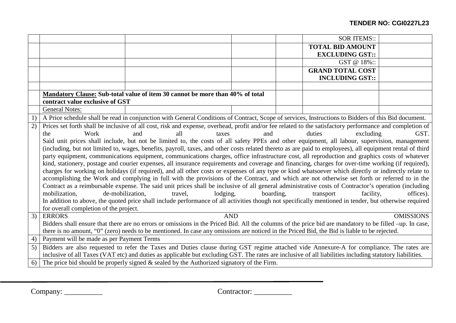| <b>TOTAL BID AMOUNT</b><br><b>EXCLUDING GST::</b><br>GST @ 18%::<br><b>GRAND TOTAL COST</b><br><b>INCLUDING GST::</b>                                          |                                                                                                                                                     |  |  |  |
|----------------------------------------------------------------------------------------------------------------------------------------------------------------|-----------------------------------------------------------------------------------------------------------------------------------------------------|--|--|--|
|                                                                                                                                                                |                                                                                                                                                     |  |  |  |
|                                                                                                                                                                |                                                                                                                                                     |  |  |  |
|                                                                                                                                                                |                                                                                                                                                     |  |  |  |
|                                                                                                                                                                |                                                                                                                                                     |  |  |  |
|                                                                                                                                                                |                                                                                                                                                     |  |  |  |
|                                                                                                                                                                |                                                                                                                                                     |  |  |  |
| Mandatory Clause: Sub-total value of item 30 cannot be more than 40% of total                                                                                  |                                                                                                                                                     |  |  |  |
| contract value exclusive of GST                                                                                                                                |                                                                                                                                                     |  |  |  |
| <b>General Notes:</b>                                                                                                                                          |                                                                                                                                                     |  |  |  |
| A Price schedule shall be read in conjunction with General Conditions of Contract, Scope of services, Instructions to Bidders of this Bid document.<br>1)      |                                                                                                                                                     |  |  |  |
| Prices set forth shall be inclusive of all cost, risk and expense, overhead, profit and/or fee related to the satisfactory performance and completion of<br>2) |                                                                                                                                                     |  |  |  |
| excluding<br>Work<br>all<br>duties<br>and<br>taxes<br>and<br>the                                                                                               | GST.                                                                                                                                                |  |  |  |
| Said unit prices shall include, but not be limited to, the costs of all safety PPEs and other equipment, all labour, supervision, management                   |                                                                                                                                                     |  |  |  |
| (including, but not limited to, wages, benefits, payroll, taxes, and other costs related thereto as are paid to employees), all equipment rental of third      |                                                                                                                                                     |  |  |  |
|                                                                                                                                                                | party equipment, communications equipment, communications charges, office infrastructure cost, all reproduction and graphics costs of whatever      |  |  |  |
|                                                                                                                                                                | kind, stationery, postage and courier expenses, all insurance requirements and coverage and financing, charges for over-time working (if required), |  |  |  |
| charges for working on holidays (if required), and all other costs or expenses of any type or kind whatsoever which directly or indirectly relate to           |                                                                                                                                                     |  |  |  |
| accomplishing the Work and complying in full with the provisions of the Contract, and which are not otherwise set forth or referred to in the                  |                                                                                                                                                     |  |  |  |
| Contract as a reimbursable expense. The said unit prices shall be inclusive of all general administrative costs of Contractor's operation (including           |                                                                                                                                                     |  |  |  |
| mobilization,<br>de-mobilization,<br>lodging,<br>boarding,<br>facility.<br>travel.<br>transport                                                                | offices).                                                                                                                                           |  |  |  |
| In addition to above, the quoted price shall include performance of all activities though not specifically mentioned in tender, but otherwise required         |                                                                                                                                                     |  |  |  |
| for overall completion of the project.                                                                                                                         |                                                                                                                                                     |  |  |  |
| 3)<br><b>ERRORS</b><br><b>AND</b>                                                                                                                              | <b>OMISSIONS</b>                                                                                                                                    |  |  |  |
| Bidders shall ensure that there are no errors or omissions in the Priced Bid. All the columns of the price bid are mandatory to be filled -up. In case,        |                                                                                                                                                     |  |  |  |
| there is no amount, "0" (zero) needs to be mentioned. In case any omissions are noticed in the Priced Bid, the Bid is liable to be rejected.                   |                                                                                                                                                     |  |  |  |
| Payment will be made as per Payment Terms<br>4)                                                                                                                |                                                                                                                                                     |  |  |  |
| Bidders are also requested to refer the Taxes and Duties clause during GST regime attached vide Annexure-A for compliance. The rates are<br>5)                 |                                                                                                                                                     |  |  |  |
| inclusive of all Taxes (VAT etc) and duties as applicable but excluding GST. The rates are inclusive of all liabilities including statutory liabilities.       |                                                                                                                                                     |  |  |  |
| The price bid should be properly signed $\&$ sealed by the Authorized signatory of the Firm.<br>6)                                                             |                                                                                                                                                     |  |  |  |

Company: \_\_\_\_\_\_\_\_\_\_ Contractor: \_\_\_\_\_\_\_\_\_\_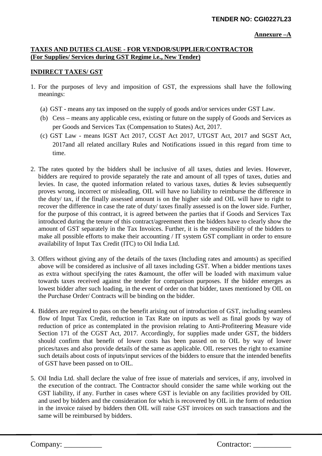#### **Annexure –A**

## **TAXES AND DUTIES CLAUSE - FOR VENDOR/SUPPLIER/CONTRACTOR (For Supplies/ Services during GST Regime i.e., New Tender)**

## **INDIRECT TAXES/ GST**

- 1. For the purposes of levy and imposition of GST, the expressions shall have the following meanings:
	- (a) GST means any tax imposed on the supply of goods and/or services under GST Law.
	- (b) Cess means any applicable cess, existing or future on the supply of Goods and Services as per Goods and Services Tax (Compensation to States) Act, 2017.
	- (c) GST Law means IGST Act 2017, CGST Act 2017, UTGST Act, 2017 and SGST Act, 2017and all related ancillary Rules and Notifications issued in this regard from time to time.
- 2. The rates quoted by the bidders shall be inclusive of all taxes, duties and levies. However, bidders are required to provide separately the rate and amount of all types of taxes, duties and levies. In case, the quoted information related to various taxes, duties & levies subsequently proves wrong, incorrect or misleading, OIL will have no liability to reimburse the difference in the duty/ tax, if the finally assessed amount is on the higher side and OIL will have to right to recover the difference in case the rate of duty/ taxes finally assessed is on the lower side. Further, for the purpose of this contract, it is agreed between the parties that if Goods and Services Tax introduced during the tenure of this contract/agreement then the bidders have to clearly show the amount of GST separately in the Tax Invoices. Further, it is the responsibility of the bidders to make all possible efforts to make their accounting / IT system GST compliant in order to ensure availability of Input Tax Credit (ITC) to Oil India Ltd.
- 3. Offers without giving any of the details of the taxes (Including rates and amounts) as specified above will be considered as inclusive of all taxes including GST. When a bidder mentions taxes as extra without specifying the rates &amount, the offer will be loaded with maximum value towards taxes received against the tender for comparison purposes. If the bidder emerges as lowest bidder after such loading, in the event of order on that bidder, taxes mentioned by OIL on the Purchase Order/ Contracts will be binding on the bidder.
- 4. Bidders are required to pass on the benefit arising out of introduction of GST, including seamless flow of Input Tax Credit, reduction in Tax Rate on inputs as well as final goods by way of reduction of price as contemplated in the provision relating to Anti-Profiteering Measure vide Section 171 of the CGST Act, 2017. Accordingly, for supplies made under GST, the bidders should confirm that benefit of lower costs has been passed on to OIL by way of lower prices/taxes and also provide details of the same as applicable. OIL reserves the right to examine such details about costs of inputs/input services of the bidders to ensure that the intended benefits of GST have been passed on to OIL.
- 5. Oil India Ltd. shall declare the value of free issue of materials and services, if any, involved in the execution of the contract. The Contractor should consider the same while working out the GST liability, if any. Further in cases where GST is leviable on any facilities provided by OIL and used by bidders and the consideration for which is recovered by OIL in the form of reduction in the invoice raised by bidders then OIL will raise GST invoices on such transactions and the same will be reimbursed by bidders.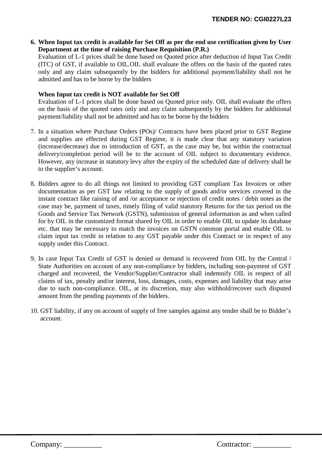**6. When Input tax credit is available for Set Off as per the end use certification given by User Department at the time of raising Purchase Requisition (P.R.)**

Evaluation of L-1 prices shall be done based on Quoted price after deduction of Input Tax Credit (ITC) of GST, if available to OIL.OIL shall evaluate the offers on the basis of the quoted rates only and any claim subsequently by the bidders for additional payment/liability shall not be admitted and has to be borne by the bidders

## **When Input tax credit is NOT available for Set Off**

Evaluation of L-1 prices shall be done based on Quoted price only. OIL shall evaluate the offers on the basis of the quoted rates only and any claim subsequently by the bidders for additional payment/liability shall not be admitted and has to be borne by the bidders

- 7. In a situation where Purchase Orders (POs)/ Contracts have been placed prior to GST Regime and supplies are effected during GST Regime, it is made clear that any statutory variation (increase/decrease) due to introduction of GST, as the case may be, but within the contractual delivery/completion period will be to the account of OIL subject to documentary evidence. However, any increase in statutory levy after the expiry of the scheduled date of delivery shall be to the supplier's account.
- 8. Bidders agree to do all things not limited to providing GST compliant Tax Invoices or other documentation as per GST law relating to the supply of goods and/or services covered in the instant contract like raising of and /or acceptance or rejection of credit notes / debit notes as the case may be, payment of taxes, timely filing of valid statutory Returns for the tax period on the Goods and Service Tax Network (GSTN), submission of general information as and when called for by OIL in the customized format shared by OIL in order to enable OIL to update its database etc. that may be necessary to match the invoices on GSTN common portal and enable OIL to claim input tax credit in relation to any GST payable under this Contract or in respect of any supply under this Contract.
- 9. In case Input Tax Credit of GST is denied or demand is recovered from OIL by the Central / State Authorities on account of any non-compliance by bidders, including non-payment of GST charged and recovered, the Vendor/Supplier/Contractor shall indemnify OIL in respect of all claims of tax, penalty and/or interest, loss, damages, costs, expenses and liability that may arise due to such non-compliance. OIL, at its discretion, may also withhold/recover such disputed amount from the pending payments of the bidders.
- 10. GST liability, if any on account of supply of free samples against any tender shall be to Bidder's account.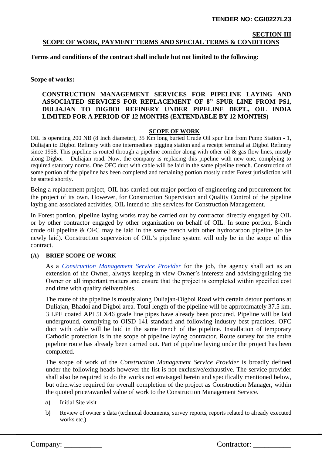## **SECTION-III SCOPE OF WORK, PAYMENT TERMS AND SPECIAL TERMS & CONDITIONS**

**Terms and conditions of the contract shall include but not limited to the following:** 

**Scope of works:**

## **CONSTRUCTION MANAGEMENT SERVICES FOR PIPELINE LAYING AND ASSOCIATED SERVICES FOR REPLACEMENT OF 8" SPUR LINE FROM PS1, DULIAJAN TO DIGBOI REFINERY UNDER PIPELINE DEPT., OIL INDIA LIMITED FOR A PERIOD OF 12 MONTHS (EXTENDABLE BY 12 MONTHS)**

### **SCOPE OF WORK**

OIL is operating 200 NB (8 Inch diameter), 35 Km long buried Crude Oil spur line from Pump Station - 1, Duliajan to Digboi Refinery with one intermediate pigging station and a receipt terminal at Digboi Refinery since 1958. This pipeline is routed through a pipeline corridor along with other oil  $\&$  gas flow lines, mostly along Digboi – Duliajan road. Now, the company is replacing this pipeline with new one, complying to required statutory norms. One OFC duct with cable will be laid in the same pipeline trench. Construction of some portion of the pipeline has been completed and remaining portion mostly under Forest jurisdiction will be started shortly.

Being a replacement project, OIL has carried out major portion of engineering and procurement for the project of its own. However, for Construction Supervision and Quality Control of the pipeline laying and associated activities, OIL intend to hire services for Construction Management.

In Forest portion, pipeline laying works may be carried out by contractor directly engaged by OIL or by other contractor engaged by other organization on behalf of OIL. In some portion, 8-inch crude oil pipeline & OFC may be laid in the same trench with other hydrocarbon pipeline (to be newly laid). Construction supervision of OIL's pipeline system will only be in the scope of this contract.

## **(A) BRIEF SCOPE OF WORK**

As a *Construction Management Service Provider* for the job, the agency shall act as an extension of the Owner, always keeping in view Owner's interests and advising/guiding the Owner on all important matters and ensure that the project is completed within specified cost and time with quality deliverables.

The route of the pipeline is mostly along Duliajan-Digboi Road with certain detour portions at Duliajan, Bhadoi and Digboi area. Total length of the pipeline will be approximately 37.5 km. 3 LPE coated API 5LX46 grade line pipes have already been procured. Pipeline will be laid underground, complying to OISD 141 standard and following industry best practices. OFC duct with cable will be laid in the same trench of the pipeline. Installation of temporary Cathodic protection is in the scope of pipeline laying contractor. Route survey for the entire pipeline route has already been carried out. Part of pipeline laying under the project has been completed.

The scope of work of the *Construction Management Service Provider* is broadly defined under the following heads however the list is not exclusive/exhaustive. The service provider shall also be required to do the works not envisaged herein and specifically mentioned below, but otherwise required for overall completion of the project as Construction Manager, within the quoted price/awarded value of work to the Construction Management Service.

- a) Initial Site visit
- b) Review of owner's data (technical documents, survey reports, reports related to already executed works etc.)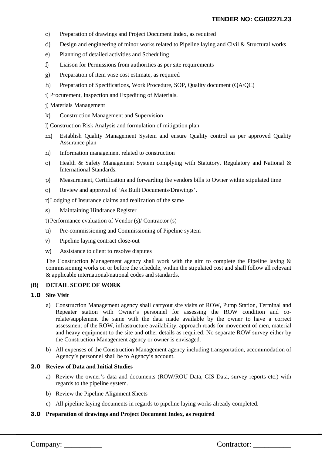- c) Preparation of drawings and Project Document Index, as required
- d) Design and engineering of minor works related to Pipeline laying and Civil & Structural works
- e) Planning of detailed activities and Scheduling
- f) Liaison for Permissions from authorities as per site requirements
- g) Preparation of item wise cost estimate, as required
- h) Preparation of Specifications, Work Procedure, SOP, Quality document (QA/QC)

i) Procurement, Inspection and Expediting of Materials.

j) Materials Management

k) Construction Management and Supervision

l) Construction Risk Analysis and formulation of mitigation plan

- m) Establish Quality Management System and ensure Quality control as per approved Quality Assurance plan
- n) Information management related to construction
- o) Health & Safety Management System complying with Statutory, Regulatory and National & International Standards.
- p) Measurement, Certification and forwarding the vendors bills to Owner within stipulated time
- q) Review and approval of 'As Built Documents/Drawings'.

r)Lodging of Insurance claims and realization of the same

s) Maintaining Hindrance Register

t)Performance evaluation of Vendor (s)/ Contractor (s)

- u) Pre-commissioning and Commissioning of Pipeline system
- v) Pipeline laying contract close-out
- w) Assistance to client to resolve disputes

The Construction Management agency shall work with the aim to complete the Pipeline laying  $\&$ commissioning works on or before the schedule, within the stipulated cost and shall follow all relevant & applicable international/national codes and standards.

#### **(B) DETAIL SCOPE OF WORK**

#### **1.0 Site Visit**

- a) Construction Management agency shall carryout site visits of ROW, Pump Station, Terminal and Repeater station with Owner's personnel for assessing the ROW condition and corelate/supplement the same with the data made available by the owner to have a correct assessment of the ROW, infrastructure availability, approach roads for movement of men, material and heavy equipment to the site and other details as required. No separate ROW survey either by the Construction Management agency or owner is envisaged.
- b) All expenses of the Construction Management agency including transportation, accommodation of Agency's personnel shall be to Agency's account.

### **2.0 Review of Data and Initial Studies**

- a) Review the owner's data and documents (ROW/ROU Data, GIS Data, survey reports etc.) with regards to the pipeline system.
- b) Review the Pipeline Alignment Sheets
- c) All pipeline laying documents in regards to pipeline laying works already completed.

#### **3.0 Preparation of drawings and Project Document Index, as required**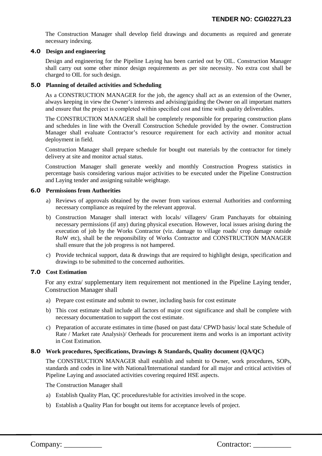The Construction Manager shall develop field drawings and documents as required and generate necessary indexing.

#### **4.0 Design and engineering**

Design and engineering for the Pipeline Laying has been carried out by OIL. Construction Manager shall carry out some other minor design requirements as per site necessity. No extra cost shall be charged to OIL for such design.

#### **5.0 Planning of detailed activities and Scheduling**

As a CONSTRUCTION MANAGER for the job, the agency shall act as an extension of the Owner, always keeping in view the Owner's interests and advising/guiding the Owner on all important matters and ensure that the project is completed within specified cost and time with quality deliverables.

The CONSTRUCTION MANAGER shall be completely responsible for preparing construction plans and schedules in line with the Overall Construction Schedule provided by the owner. Construction Manager shall evaluate Contractor's resource requirement for each activity and monitor actual deployment in field.

Construction Manager shall prepare schedule for bought out materials by the contractor for timely delivery at site and monitor actual status.

Construction Manager shall generate weekly and monthly Construction Progress statistics in percentage basis considering various major activities to be executed under the Pipeline Construction and Laying tender and assigning suitable weightage.

#### **6.0 Permissions from Authorities**

- a) Reviews of approvals obtained by the owner from various external Authorities and conforming necessary compliance as required by the relevant approval.
- b) Construction Manager shall interact with locals/ villagers/ Gram Panchayats for obtaining necessary permissions (if any) during physical execution. However, local issues arising during the execution of job by the Works Contractor (viz. damage to village roads/ crop damage outside RoW etc), shall be the responsibility of Works Contractor and CONSTRUCTION MANAGER shall ensure that the job progress is not hampered.
- c) Provide technical support, data & drawings that are required to highlight design, specification and drawings to be submitted to the concerned authorities.

#### **7.0 Cost Estimation**

For any extra/ supplementary item requirement not mentioned in the Pipeline Laying tender, Construction Manager shall

- a) Prepare cost estimate and submit to owner, including basis for cost estimate
- b) This cost estimate shall include all factors of major cost significance and shall be complete with necessary documentation to support the cost estimate.
- c) Preparation of accurate estimates in time (based on past data/ CPWD basis/ local state Schedule of Rate / Market rate Analysis)/ Oerheads for procurement items and works is an important activity in Cost Estimation.

#### **8.0 Work procedures, Specifications, Drawings & Standards, Quality document (QA/QC)**

The CONSTRUCTION MANAGER shall establish and submit to Owner, work procedures, SOPs, standards and codes in line with National/International standard for all major and critical activities of Pipeline Laying and associated activities covering required HSE aspects.

The Construction Manager shall

- a) Establish Quality Plan, QC procedures/table for activities involved in the scope.
- b) Establish a Quality Plan for bought out items for acceptance levels of project.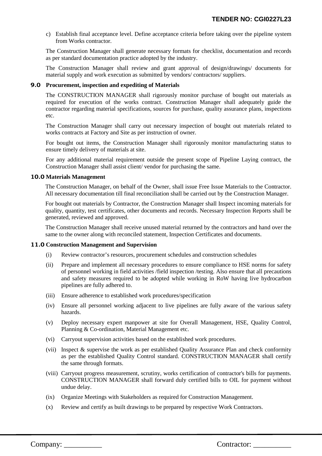c) Establish final acceptance level. Define acceptance criteria before taking over the pipeline system from Works contractor.

The Construction Manager shall generate necessary formats for checklist, documentation and records as per standard documentation practice adopted by the industry.

The Construction Manager shall review and grant approval of design/drawings/ documents for material supply and work execution as submitted by vendors/ contractors/ suppliers.

#### **9.0 Procurement, inspection and expediting of Materials**

The CONSTRUCTION MANAGER shall rigorously monitor purchase of bought out materials as required for execution of the works contract. Construction Manager shall adequately guide the contractor regarding material specifications, sources for purchase, quality assurance plans, inspections etc.

The Construction Manager shall carry out necessary inspection of bought out materials related to works contracts at Factory and Site as per instruction of owner.

For bought out items, the Construction Manager shall rigorously monitor manufacturing status to ensure timely delivery of materials at site.

For any additional material requirement outside the present scope of Pipeline Laying contract, the Construction Manager shall assist client/ vendor for purchasing the same.

#### **10.0 Materials Management**

The Construction Manager, on behalf of the Owner, shall issue Free Issue Materials to the Contractor. All necessary documentation till final reconciliation shall be carried out by the Construction Manager.

For bought out materials by Contractor, the Construction Manager shall Inspect incoming materials for quality, quantity, test certificates, other documents and records. Necessary Inspection Reports shall be generated, reviewed and approved.

The Construction Manager shall receive unused material returned by the contractors and hand over the same to the owner along with reconciled statement, Inspection Certificates and documents.

#### **11.0 Construction Management and Supervision**

- (i) Review contractor's resources, procurement schedules and construction schedules
- (ii) Prepare and implement all necessary procedures to ensure compliance to HSE norms for safety of personnel working in field activities /field inspection /testing. Also ensure that all precautions and safety measures required to be adopted while working in RoW having live hydrocarbon pipelines are fully adhered to.
- (iii) Ensure adherence to established work procedures/specification
- (iv) Ensure all personnel working adjacent to live pipelines are fully aware of the various safety hazards.
- (v) Deploy necessary expert manpower at site for Overall Management, HSE, Quality Control, Planning & Co-ordination, Material Management etc.
- (vi) Carryout supervision activities based on the established work procedures.
- (vii) Inspect & supervise the work as per established Quality Assurance Plan and check conformity as per the established Quality Control standard. CONSTRUCTION MANAGER shall certify the same through formats.
- (viii) Carryout progress measurement, scrutiny, works certification of contractor's bills for payments. CONSTRUCTION MANAGER shall forward duly certified bills to OIL for payment without undue delay.
- (ix) Organize Meetings with Stakeholders as required for Construction Management.
- (x) Review and certify as built drawings to be prepared by respective Work Contractors.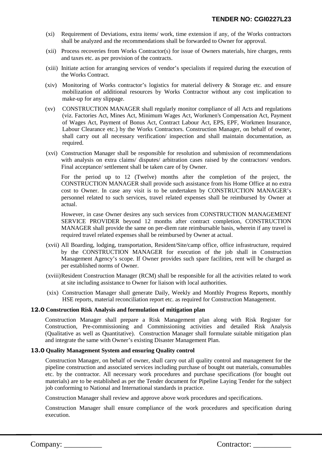- (xi) Requirement of Deviations, extra items/ work, time extension if any, of the Works contractors shall be analyzed and the recommendations shall be forwarded to Owner for approval.
- (xii) Process recoveries from Works Contractor(s) for issue of Owners materials, hire charges, rents and taxes etc. as per provision of the contracts.
- (xiii) Initiate action for arranging services of vendor's specialists if required during the execution of the Works Contract.
- (xiv) Monitoring of Works contractor's logistics for material delivery & Storage etc. and ensure mobilization of additional resources by Works Contractor without any cost implication to make-up for any slippage.
- (xv) CONSTRUCTION MANAGER shall regularly monitor compliance of all Acts and regulations (viz. Factories Act, Mines Act, Minimum Wages Act, Workmen's Compensation Act, Payment of Wages Act, Payment of Bonus Act, Contract Labour Act, EPS, EPF, Workmen Insurance, Labour Clearance etc.) by the Works Contractors. Construction Manager, on behalf of owner, shall carry out all necessary verification/ inspection and shall maintain documentation, as required.
- (xvi) Construction Manager shall be responsible for resolution and submission of recommendations with analysis on extra claims/ disputes/ arbitration cases raised by the contractors/ vendors. Final acceptance/ settlement shall be taken care of by Owner.

For the period up to 12 (Twelve) months after the completion of the project, the CONSTRUCTION MANAGER shall provide such assistance from his Home Office at no extra cost to Owner. In case any visit is to be undertaken by CONSTRUCTION MANAGER's personnel related to such services, travel related expenses shall be reimbursed by Owner at actual.

However, in case Owner desires any such services from CONSTRUCTION MANAGEMENT SERVICE PROVIDER beyond 12 months after contract completion, CONSTRUCTION MANAGER shall provide the same on per-diem rate reimbursable basis, wherein if any travel is required travel related expenses shall be reimbursed by Owner at actual.

- (xvii) All Boarding, lodging, transportation, Resident/Site/camp office, office infrastructure, required by the CONSTRUCTION MANAGER for execution of the job shall in Construction Management Agency's scope. If Owner provides such spare facilities, rent will be charged as per established norms of Owner.
- (xviii)Resident Construction Manager (RCM) shall be responsible for all the activities related to work at site including assistance to Owner for liaison with local authorities.
- (xix) Construction Manager shall generate Daily, Weekly and Monthly Progress Reports, monthly HSE reports, material reconciliation report etc. as required for Construction Management.

#### **12.0 Construction Risk Analysis and formulation of mitigation plan**

Construction Manager shall prepare a Risk Management plan along with Risk Register for Construction, Pre-commissioning and Commissioning activities and detailed Risk Analysis (Qualitative as well as Quantitative). Construction Manager shall formulate suitable mitigation plan and integrate the same with Owner's existing Disaster Management Plan.

#### **13.0 Quality Management System and ensuring Quality control**

Construction Manager, on behalf of owner, shall carry out all quality control and management for the pipeline construction and associated services including purchase of bought out materials, consumables etc. by the contractor. All necessary work procedures and purchase specifications (for bought out materials) are to be established as per the Tender document for Pipeline Laying Tender for the subject job conforming to National and International standards in practice.

Construction Manager shall review and approve above work procedures and specifications.

Construction Manager shall ensure compliance of the work procedures and specification during execution.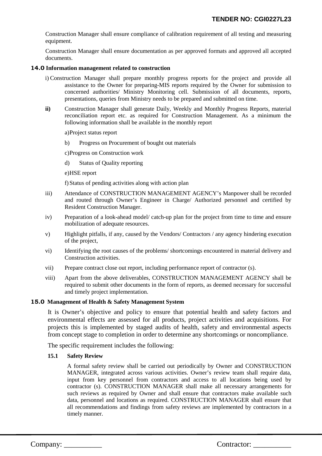Construction Manager shall ensure compliance of calibration requirement of all testing and measuring equipment.

Construction Manager shall ensure documentation as per approved formats and approved all accepted documents.

#### **14.0 Information management related to construction**

- i) Construction Manager shall prepare monthly progress reports for the project and provide all assistance to the Owner for preparing-MIS reports required by the Owner for submission to concerned authorities/ Ministry Monitoring cell. Submission of all documents, reports, presentations, queries from Ministry needs to be prepared and submitted on time.
- **ii)** Construction Manager shall generate Daily, Weekly and Monthly Progress Reports, material reconciliation report etc. as required for Construction Management. As a minimum the following information shall be available in the monthly report

a)Project status report

b) Progress on Procurement of bought out materials

c)Progress on Construction work

- d) Status of Quality reporting
- e)HSE report

f) Status of pending activities along with action plan

- iii) Attendance of CONSTRUCTION MANAGEMENT AGENCY's Manpower shall be recorded and routed through Owner's Engineer in Charge/ Authorized personnel and certified by Resident Construction Manager.
- iv) Preparation of a look-ahead model/ catch-up plan for the project from time to time and ensure mobilization of adequate resources.
- v) Highlight pitfalls, if any, caused by the Vendors/ Contractors / any agency hindering execution of the project,
- vi) Identifying the root causes of the problems/ shortcomings encountered in material delivery and Construction activities.
- vii) Prepare contract close out report, including performance report of contractor (s).
- viii) Apart from the above deliverables, CONSTRUCTION MANAGEMENT AGENCY shall be required to submit other documents in the form of reports, as deemed necessary for successful and timely project implementation.

#### **15.0 Management of Health & Safety Management System**

It is Owner's objective and policy to ensure that potential health and safety factors and environmental effects are assessed for all products, project activities and acquisitions. For projects this is implemented by staged audits of health, safety and environmental aspects from concept stage to completion in order to determine any shortcomings or noncompliance.

The specific requirement includes the following:

#### **15.1 Safety Review**

A formal safety review shall be carried out periodically by Owner and CONSTRUCTION MANAGER, integrated across various activities. Owner's review team shall require data, input from key personnel from contractors and access to all locations being used by contractor (s). CONSTRUCTION MANAGER shall make all necessary arrangements for such reviews as required by Owner and shall ensure that contractors make available such data, personnel and locations as required. CONSTRUCTION MANAGER shall ensure that all recommendations and findings from safety reviews are implemented by contractors in a timely manner.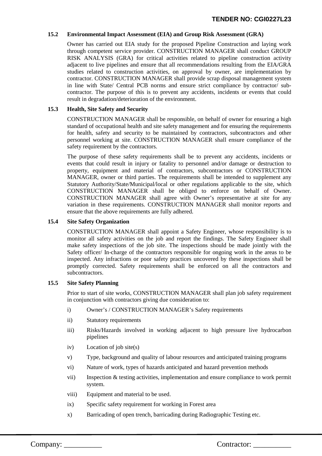#### **15.2 Environmental Impact Assessment (EIA) and Group Risk Assessment (GRA)**

Owner has carried out EIA study for the proposed Pipeline Construction and laying work through competent service provider. CONSTRUCTION MANAGER shall conduct GROUP RISK ANALYSIS (GRA) for critical activities related to pipeline construction activity adjacent to live pipelines and ensure that all recommendations resulting from the EIA/GRA studies related to construction activities, on approval by owner, are implementation by contractor. CONSTRUCTION MANAGER shall provide scrap disposal management system in line with State/ Central PCB norms and ensure strict compliance by contractor/ subcontractor. The purpose of this is to prevent any accidents, incidents or events that could result in degradation/deterioration of the environment.

#### **15.3 Health, Site Safety and Security**

CONSTRUCTION MANAGER shall be responsible, on behalf of owner for ensuring a high standard of occupational health and site safety management and for ensuring the requirements for health, safety and security to be maintained by contractors, subcontractors and other personnel working at site. CONSTRUCTION MANAGER shall ensure compliance of the safety requirement by the contractors.

The purpose of these safety requirements shall be to prevent any accidents, incidents or events that could result in injury or fatality to personnel and/or damage or destruction to property, equipment and material of contractors, subcontractors or CONSTRUCTION MANAGER, owner or third parties. The requirements shall be intended to supplement any Statutory Authority/State/Municipal/local or other regulations applicable to the site, which CONSTRUCTION MANAGER shall be obliged to enforce on behalf of Owner. CONSTRUCTION MANAGER shall agree with Owner's representative at site for any variation in these requirements. CONSTRUCTION MANAGER shall monitor reports and ensure that the above requirements are fully adhered.

#### **15.4 Site Safety Organization**

CONSTRUCTION MANAGER shall appoint a Safety Engineer, whose responsibility is to monitor all safety activities on the job and report the findings. The Safety Engineer shall make safety inspections of the job site. The inspections should be made jointly with the Safety officer/ In-charge of the contractors responsible for ongoing work in the areas to be inspected. Any infractions or poor safety practices uncovered by these inspections shall be promptly corrected. Safety requirements shall be enforced on all the contractors and subcontractors.

#### **15.5 Site Safety Planning**

Prior to start of site works, CONSTRUCTION MANAGER shall plan job safety requirement in conjunction with contractors giving due consideration to:

- i) Owner's / CONSTRUCTION MANAGER's Safety requirements
- ii) Statutory requirements
- iii) Risks/Hazards involved in working adjacent to high pressure live hydrocarbon pipelines
- iv) Location of job site(s)
- v) Type, background and quality of labour resources and anticipated training programs
- vi) Nature of work, types of hazards anticipated and hazard prevention methods
- vii) Inspection & testing activities, implementation and ensure compliance to work permit system.
- viii) Equipment and material to be used.
- ix) Specific safety requirement for working in Forest area
- x) Barricading of open trench, barricading during Radiographic Testing etc.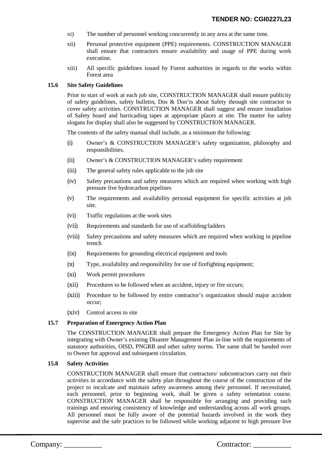- xi) The number of personnel working concurrently in any area at the same time.
- xii) Personal protective equipment (PPE) requirements. CONSTRUCTION MANAGER shall ensure that contractors ensure availability and usage of PPE during work execution.
- xiii) All specific guidelines issued by Forest authorities in regards to the works within Forest area

#### **15.6 Site Safety Guidelines**

Prior to start of work at each job site, CONSTRUCTION MANAGER shall ensure publicity of safety guidelines, safety bulletin, Dos & Don'ts about Safety through site contractor to cover safety activities. CONSTRUCTION MANAGER shall suggest and ensure installation of Safety board and barricading tapes at appropriate places at site. The matter for safety slogans for display shall also be suggested by CONSTRUCTION MANAGER.

The contents of the safety manual shall include, as a minimum the following:

- (i) Owner's & CONSTRUCTION MANAGER's safety organization, philosophy and responsibilities.
- (ii) Owner's & CONSTRUCTION MANAGER's safety requirement
- (iii) The general safety rules applicable to the job site
- (iv) Safety precautions and safety measures which are required when working with high pressure live hydrocarbon pipelines
- (v) The requirements and availability personal equipment for specific activities at job site.
- (vi) Traffic regulations at the work sites
- (vii) Requirements and standards for use of scaffolding/ladders
- (viii) Safety precautions and safety measures which are required when working in pipeline trench
- (ix) Requirements for grounding electrical equipment and tools
- (x) Type, availability and responsibility for use of firefighting equipment;
- (xi) Work permit procedures
- (xii) Procedures to be followed when an accident, injury or fire occurs;
- (xiii) Procedure to be followed by entire contractor's organization should major accident occur;
- (xiv) Control access to site

#### **15.7 Preparation of Emergency Action Plan**

The CONSTRUCTION MANAGER shall prepare the Emergency Action Plan for Site by integrating with Owner's existing Disaster Management Plan in-line with the requirements of statutory authorities, OISD, PNGRB and other safety norms. The same shall be handed over to Owner for approval and subsequent circulation.

#### **15.8 Safety Activities**

CONSTRUCTION MANAGER shall ensure that contractors/ subcontractors carry out their activities in accordance with the safety plan throughout the course of the construction of the project to inculcate and maintain safety awareness among their personnel. If necessitated, each personnel, prior to beginning work, shall be given a safety orientation course. CONSTRUCTION MANAGER shall be responsible for arranging and providing such trainings and ensuring consistency of knowledge and understanding across all work groups. All personnel must be fully aware of the potential hazards involved in the work they supervise and the safe practices to be followed while working adjacent to high pressure live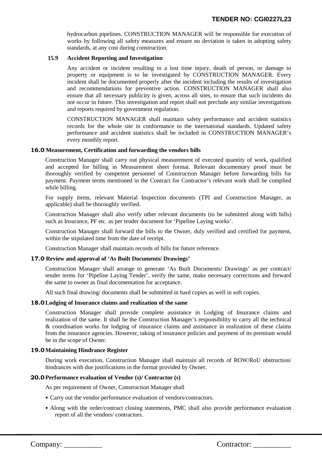hydrocarbon pipelines. CONSTRUCTION MANAGER will be responsible for execution of works by following all safety measures and ensure no deviation is taken in adopting safety standards, at any cost during construction.

#### **15.9 Accident Reporting and Investigation**

Any accident or incident resulting in a lost time injury, death of person, or damage to property or equipment is to be investigated by CONSTRUCTION MANAGER. Every incident shall be documented properly after the incident including the results of investigation and recommendations for preventive action. CONSTRUCTION MANAGER shall also ensure that all necessary publicity is given, across all sites, to ensure that such incidents do not occur in future. This investigation and report shall not preclude any similar investigations and reports required by government regulation.

CONSTRUCTION MANAGER shall maintain safety performance and accident statistics records for the whole site in conformance to the international standards. Updated safety performance and accident statistics shall be included in CONSTRUCTION MANAGER's every monthly report.

#### **16.0 Measurement, Certification and forwarding the vendors bills**

Construction Manager shall carry out physical measurement of executed quantity of work, qualified and accepted for billing in Measurement sheet format. Relevant documentary proof must be thoroughly verified by competent personnel of Construction Manager before forwarding bills for payment. Payment terms mentioned in the Contract for Contractor's relevant work shall be complied while billing.

For supply items, relevant Material Inspection documents (TPI and Construction Manager, as applicable) shall be thoroughly verified.

Construction Manager shall also verify other relevant documents (to be submitted along with bills) such as Insurance, PF etc. as per tender document for 'Pipeline Laying works'.

Construction Manager shall forward the bills to the Owner, duly verified and certified for payment, within the stipulated time from the date of receipt.

Construction Manager shall maintain records of bills for future reference.

#### **17.0 Review and approval of 'As Built Documents/ Drawings'**

Construction Manager shall arrange to generate 'As Built Documents/ Drawings' as per contract/ tender terms for 'Pipeline Laying Tender', verify the same, make necessary corrections and forward the same to owner as final documentation for acceptance.

All such final drawing/ documents shall be submitted in hard copies as well in soft copies.

#### **18.0Lodging of Insurance claims and realization of the same**

Construction Manager shall provide complete assistance in Lodging of Insurance claims and realization of the same. It shall be the Construction Manager's responsibility to carry all the technical & coordination works for lodging of insurance claims and assistance in realization of these claims from the insurance agencies. However, taking of insurance policies and payment of its premium would be in the scope of Owner.

#### **19.0Maintaining Hindrance Register**

During work execution, Construction Manager shall maintain all records of ROW/RoU obstruction/ hindrances with due justifications in the format provided by Owner.

#### **20.0Performance evaluation of Vendor (s)/ Contractor (s)**

As per requirement of Owner, Construction Manager shall

- Carry out the vendor performance evaluation of vendors/contractors.
- Along with the order/contract closing statements, PMC shall also provide performance evaluation report of all the vendors/ contractors.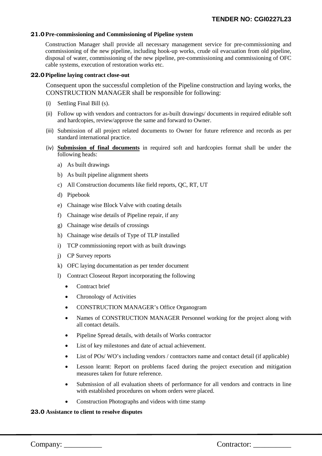#### **21.0Pre-commissioning and Commissioning of Pipeline system**

Construction Manager shall provide all necessary management service for pre-commissioning and commissioning of the new pipeline, including hook-up works, crude oil evacuation from old pipeline, disposal of water, commissioning of the new pipeline, pre-commissioning and commissioning of OFC cable systems, execution of restoration works etc.

#### **22.0Pipeline laying contract close-out**

Consequent upon the successful completion of the Pipeline construction and laying works, the CONSTRUCTION MANAGER shall be responsible for following:

- (i) Settling Final Bill (s).
- (ii) Follow up with vendors and contractors for as-built drawings/ documents in required editable soft and hardcopies, review/approve the same and forward to Owner.
- (iii) Submission of all project related documents to Owner for future reference and records as per standard international practice.
- (iv) **Submission of final documents** in required soft and hardcopies format shall be under the following heads:
	- a) As built drawings
	- b) As built pipeline alignment sheets
	- c) All Construction documents like field reports, QC, RT, UT
	- d) Pipebook
	- e) Chainage wise Block Valve with coating details
	- f) Chainage wise details of Pipeline repair, if any
	- g) Chainage wise details of crossings
	- h) Chainage wise details of Type of TLP installed
	- i) TCP commissioning report with as built drawings
	- j) CP Survey reports
	- k) OFC laying documentation as per tender document
	- l) Contract Closeout Report incorporating the following
		- Contract brief
		- Chronology of Activities
		- CONSTRUCTION MANAGER's Office Organogram
		- Names of CONSTRUCTION MANAGER Personnel working for the project along with all contact details.
		- Pipeline Spread details, with details of Works contractor
		- List of key milestones and date of actual achievement.
		- List of POs/WO's including vendors / contractors name and contact detail (if applicable)
		- Lesson learnt: Report on problems faced during the project execution and mitigation measures taken for future reference.
		- Submission of all evaluation sheets of performance for all vendors and contracts in line with established procedures on whom orders were placed.
		- Construction Photographs and videos with time stamp

#### **23.0 Assistance to client to resolve disputes**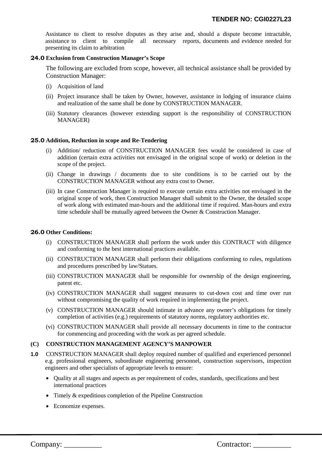Assistance to client to resolve disputes as they arise and, should a dispute become intractable, assistance to client to compile all necessary reports, documents and evidence needed for presenting its claim to arbitration

#### **24.0 Exclusion from Construction Manager's Scope**

The following are excluded from scope, however, all technical assistance shall be provided by Construction Manager:

- (i) Acquisition of land
- (ii) Project insurance shall be taken by Owner, however, assistance in lodging of insurance claims and realization of the same shall be done by CONSTRUCTION MANAGER.
- (iii) Statutory clearances (however extending support is the responsibility of CONSTRUCTION MANAGER)

#### **25.0 Addition, Reduction in scope and Re-Tendering**

- (i) Addition/ reduction of CONSTRUCTION MANAGER fees would be considered in case of addition (certain extra activities not envisaged in the original scope of work) or deletion in the scope of the project.
- (ii) Change in drawings / documents due to site conditions is to be carried out by the CONSTRUCTION MANAGER without any extra cost to Owner.
- (iii) In case Construction Manager is required to execute certain extra activities not envisaged in the original scope of work, then Construction Manager shall submit to the Owner, the detailed scope of work along with estimated man-hours and the additional time if required. Man-hours and extra time schedule shall be mutually agreed between the Owner & Construction Manager.

#### **26.0 Other Conditions:**

- (i) CONSTRUCTION MANAGER shall perform the work under this CONTRACT with diligence and conforming to the best international practices available.
- (ii) CONSTRUCTION MANAGER shall perform their obligations conforming to rules, regulations and procedures prescribed by law/Statues.
- (iii) CONSTRUCTION MANAGER shall be responsible for ownership of the design engineering, patent etc.
- (iv) CONSTRUCTION MANAGER shall suggest measures to cut-down cost and time over run without compromising the quality of work required in implementing the project.
- (v) CONSTRUCTION MANAGER should intimate in advance any owner's obligations for timely completion of activities (e.g.) requirements of statutory norms, regulatory authorities etc.
- (vi) CONSTRUCTION MANAGER shall provide all necessary documents in time to the contractor for commencing and proceeding with the work as per agreed schedule.

#### **(C) CONSTRUCTION MANAGEMENT AGENCY'S MANPOWER**

- **1.0** CONSTRUCTION MANAGER shall deploy required number of qualified and experienced personnel e.g. professional engineers, subordinate engineering personnel, construction supervisors, inspection engineers and other specialists of appropriate levels to ensure:
	- Quality at all stages and aspects as per requirement of codes, standards, specifications and best international practices
	- Timely & expeditious completion of the Pipeline Construction
	- Economize expenses.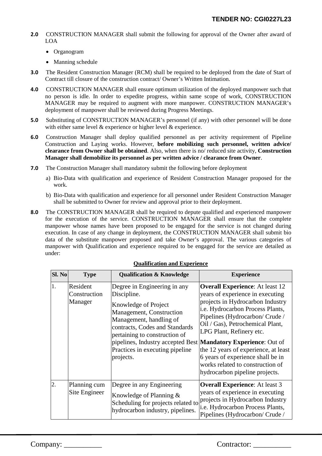- **2.0** CONSTRUCTION MANAGER shall submit the following for approval of the Owner after award of LOA
	- Organogram
	- Manning schedule
- **3.0** The Resident Construction Manager (RCM) shall be required to be deployed from the date of Start of Contract till closure of the construction contract/ Owner's Written Intimation.
- **4.0** CONSTRUCTION MANAGER shall ensure optimum utilization of the deployed manpower such that no person is idle. In order to expedite progress, within same scope of work, CONSTRUCTION MANAGER may be required to augment with more manpower. CONSTRUCTION MANAGER's deployment of manpower shall be reviewed during Progress Meetings.
- **5.0** Substituting of CONSTRUCTION MANAGER's personnel (if any) with other personnel will be done with either same level & experience or higher level & experience.
- **6.0** Construction Manager shall deploy qualified personnel as per activity requirement of Pipeline Construction and Laying works. However, **before mobilizing such personnel, written advice/ clearance from Owner shall be obtained**. Also, when there is no/ reduced site activity, **Construction Manager shall demobilize its personnel as per written advice / clearance from Owner**.
- **7.0** The Construction Manager shall mandatory submit the following before deployment
	- a) Bio-Data with qualification and experience of Resident Construction Manager proposed for the work.
	- b) Bio-Data with qualification and experience for all personnel under Resident Construction Manager shall be submitted to Owner for review and approval prior to their deployment.
- **8.0** The CONSTRUCTION MANAGER shall be required to depute qualified and experienced manpower for the execution of the service. CONSTRUCTION MANAGER shall ensure that the complete manpower whose names have been proposed to be engaged for the service is not changed during execution. In case of any change in deployment, the CONSTRUCTION MANAGER shall submit bio data of the substitute manpower proposed and take Owner's approval. The various categories of manpower with Qualification and experience required to be engaged for the service are detailed as under:

| Sl. No           | <b>Type</b>                         | <b>Qualification &amp; Knowledge</b>                                                                                                                                                                                                                                                                            | <b>Experience</b>                                                                                                                                                                                                                                                                                                                                                                                      |
|------------------|-------------------------------------|-----------------------------------------------------------------------------------------------------------------------------------------------------------------------------------------------------------------------------------------------------------------------------------------------------------------|--------------------------------------------------------------------------------------------------------------------------------------------------------------------------------------------------------------------------------------------------------------------------------------------------------------------------------------------------------------------------------------------------------|
| 1.               | Resident<br>Construction<br>Manager | Degree in Engineering in any<br>Discipline.<br>Knowledge of Project<br>Management, Construction<br>Management, handling of<br>contracts, Codes and Standards<br>pertaining to construction of<br>pipelines, Industry accepted Best Mandatory Experience: Out of<br>Practices in executing pipeline<br>projects. | <b>Overall Experience:</b> At least 12<br>years of experience in executing<br>projects in Hydrocarbon Industry<br>i.e. Hydrocarbon Process Plants,<br>Pipelines (Hydrocarbon/Crude/<br>Oil / Gas), Petrochemical Plant,<br>LPG Plant, Refinery etc.<br>the 12 years of experience, at least<br>6 years of experience shall be in<br>works related to construction of<br>hydrocarbon pipeline projects. |
| $\overline{2}$ . | Planning cum<br>Site Engineer       | Degree in any Engineering<br>Knowledge of Planning $\&$<br>Scheduling for projects related to<br>hydrocarbon industry, pipelines.                                                                                                                                                                               | <b>Overall Experience:</b> At least 3<br>years of experience in executing<br>projects in Hydrocarbon Industry<br>i.e. Hydrocarbon Process Plants,<br>Pipelines (Hydrocarbon/ Crude /                                                                                                                                                                                                                   |

#### **Qualification and Experience**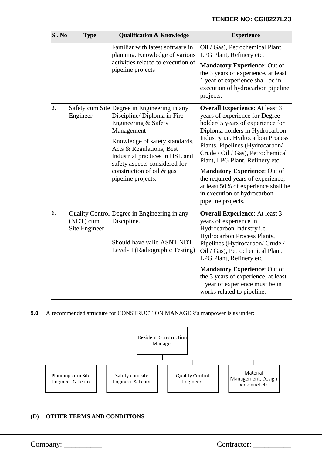| Sl. No | <b>Type</b>                | <b>Qualification &amp; Knowledge</b>                                                                                                                                                                                                                                                                   | <b>Experience</b>                                                                                                                                                                                                                                                                                                                                                                                                                                                      |
|--------|----------------------------|--------------------------------------------------------------------------------------------------------------------------------------------------------------------------------------------------------------------------------------------------------------------------------------------------------|------------------------------------------------------------------------------------------------------------------------------------------------------------------------------------------------------------------------------------------------------------------------------------------------------------------------------------------------------------------------------------------------------------------------------------------------------------------------|
|        |                            | Familiar with latest software in<br>planning. Knowledge of various<br>activities related to execution of<br>pipeline projects                                                                                                                                                                          | Oil / Gas), Petrochemical Plant,<br>LPG Plant, Refinery etc.<br><b>Mandatory Experience: Out of</b><br>the 3 years of experience, at least<br>1 year of experience shall be in<br>execution of hydrocarbon pipeline<br>projects.                                                                                                                                                                                                                                       |
| 3.     | Engineer                   | Safety cum Site Degree in Engineering in any<br>Discipline/ Diploma in Fire<br>Engineering & Safety<br>Management<br>Knowledge of safety standards,<br>Acts & Regulations, Best<br>Industrial practices in HSE and<br>safety aspects considered for<br>construction of oil & gas<br>pipeline projects. | <b>Overall Experience:</b> At least 3<br>years of experience for Degree<br>holder/ 5 years of experience for<br>Diploma holders in Hydrocarbon<br>Industry i.e. Hydrocarbon Process<br>Plants, Pipelines (Hydrocarbon/<br>Crude / Oil / Gas), Petrochemical<br>Plant, LPG Plant, Refinery etc.<br><b>Mandatory Experience: Out of</b><br>the required years of experience,<br>at least 50% of experience shall be<br>in execution of hydrocarbon<br>pipeline projects. |
| 6.     | (NDT) cum<br>Site Engineer | Quality Control Degree in Engineering in any<br>Discipline.<br>Should have valid ASNT NDT<br>Level-II (Radiographic Testing)                                                                                                                                                                           | <b>Overall Experience:</b> At least 3<br>years of experience in<br>Hydrocarbon Industry i.e.<br><b>Hydrocarbon Process Plants,</b><br>Pipelines (Hydrocarbon/ Crude /<br>Oil / Gas), Petrochemical Plant,<br>LPG Plant, Refinery etc.<br><b>Mandatory Experience: Out of</b><br>the 3 years of experience, at least                                                                                                                                                    |
|        |                            |                                                                                                                                                                                                                                                                                                        | 1 year of experience must be in<br>works related to pipeline.                                                                                                                                                                                                                                                                                                                                                                                                          |

**9.0** A recommended structure for CONSTRUCTION MANAGER's manpower is as under:



### **(D) OTHER TERMS AND CONDITIONS**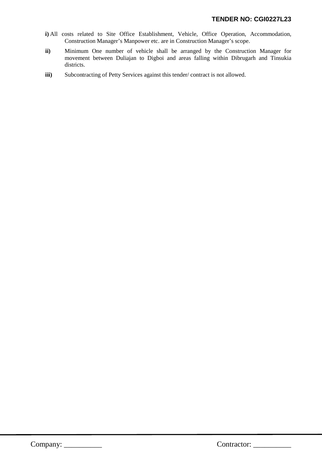- **i)** All costs related to Site Office Establishment, Vehicle, Office Operation, Accommodation, Construction Manager's Manpower etc. are in Construction Manager's scope.
- **ii)** Minimum One number of vehicle shall be arranged by the Construction Manager for movement between Duliajan to Digboi and areas falling within Dibrugarh and Tinsukia districts.
- **iii)** Subcontracting of Petty Services against this tender/ contract is not allowed.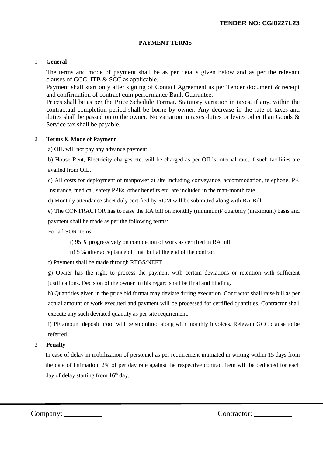#### **PAYMENT TERMS**

#### 1 **General**

The terms and mode of payment shall be as per details given below and as per the relevant clauses of GCC, ITB & SCC as applicable.

Payment shall start only after signing of Contact Agreement as per Tender document & receipt and confirmation of contract cum performance Bank Guarantee.

Prices shall be as per the Price Schedule Format. Statutory variation in taxes, if any, within the contractual completion period shall be borne by owner. Any decrease in the rate of taxes and duties shall be passed on to the owner. No variation in taxes duties or levies other than Goods & Service tax shall be payable.

#### 2 **Terms & Mode of Payment**

a) OIL will not pay any advance payment.

b) House Rent, Electricity charges etc. will be charged as per OIL's internal rate, if such facilities are availed from OIL.

c) All costs for deployment of manpower at site including conveyance, accommodation, telephone, PF,

Insurance, medical, safety PPEs, other benefits etc. are included in the man-month rate.

d) Monthly attendance sheet duly certified by RCM will be submitted along with RA Bill.

e) The CONTRACTOR has to raise the RA bill on monthly (minimum)/ quarterly (maximum) basis and

payment shall be made as per the following terms:

For all SOR items

i) 95 % progressively on completion of work as certified in RA bill.

ii) 5 % after acceptance of final bill at the end of the contract

f) Payment shall be made through RTGS/NEFT.

g) Owner has the right to process the payment with certain deviations or retention with sufficient justifications. Decision of the owner in this regard shall be final and binding.

h) Quantities given in the price bid format may deviate during execution. Contractor shall raise bill as per actual amount of work executed and payment will be processed for certified quantities. Contractor shall execute any such deviated quantity as per site requirement.

i) PF amount deposit proof will be submitted along with monthly invoices. Relevant GCC clause to be referred.

#### 3 **Penalty**

In case of delay in mobilization of personnel as per requirement intimated in writing within 15 days from the date of intimation, 2% of per day rate against the respective contract item will be deducted for each day of delay starting from 16<sup>th</sup> day.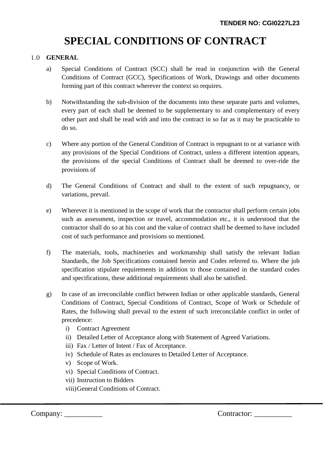# **SPECIAL CONDITIONS OF CONTRACT**

### 1.0 **GENERAL**

- a) Special Conditions of Contract (SCC) shall be read in conjunction with the General Conditions of Contract (GCC), Specifications of Work, Drawings and other documents forming part of this contract wherever the context so requires.
- b) Notwithstanding the sub-division of the documents into these separate parts and volumes, every part of each shall be deemed to be supplementary to and complementary of every other part and shall be read with and into the contract in so far as it may be practicable to do so.
- c) Where any portion of the General Condition of Contract is repugnant to or at variance with any provisions of the Special Conditions of Contract, unless a different intention appears, the provisions of the special Conditions of Contract shall be deemed to over-ride the provisions of
- d) The General Conditions of Contract and shall to the extent of such repugnancy, or variations, prevail.
- e) Wherever it is mentioned in the scope of work that the contractor shall perform certain jobs such as assessment, inspection or travel, accommodation etc., it is understood that the contractor shall do so at his cost and the value of contract shall be deemed to have included cost of such performance and provisions so mentioned.
- f) The materials, tools, machineries and workmanship shall satisfy the relevant Indian Standards, the Job Specifications contained herein and Codes referred to. Where the job specification stipulate requirements in addition to those contained in the standard codes and specifications, these additional requirements shall also be satisfied.
- g) In case of an irreconcilable conflict between Indian or other applicable standards, General Conditions of Contract, Special Conditions of Contract, Scope of Work or Schedule of Rates, the following shall prevail to the extent of such irreconcilable conflict in order of precedence:
	- i) Contract Agreement
	- ii) Detailed Letter of Acceptance along with Statement of Agreed Variations.
	- iii) Fax / Letter of Intent / Fax of Acceptance.
	- iv) Schedule of Rates as enclosures to Detailed Letter of Acceptance.
	- v) Scope of Work.
	- vi) Special Conditions of Contract.
	- vii) Instruction to Bidders
	- viii)General Conditions of Contract.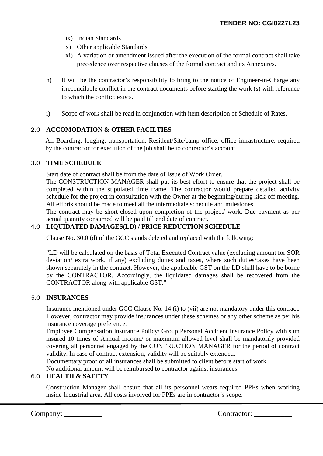- ix) Indian Standards
- x) Other applicable Standards
- xi) A variation or amendment issued after the execution of the formal contract shall take precedence over respective clauses of the formal contract and its Annexures.
- h) It will be the contractor's responsibility to bring to the notice of Engineer-in-Charge any irreconcilable conflict in the contract documents before starting the work (s) with reference to which the conflict exists.
- i) Scope of work shall be read in conjunction with item description of Schedule of Rates.

### 2.0 **ACCOMODATION & OTHER FACILTIES**

All Boarding, lodging, transportation, Resident/Site/camp office, office infrastructure, required by the contractor for execution of the job shall be to contractor's account.

#### 3.0 **TIME SCHEDULE**

Start date of contract shall be from the date of Issue of Work Order.

The CONSTRUCTION MANAGER shall put its best effort to ensure that the project shall be completed within the stipulated time frame. The contractor would prepare detailed activity schedule for the project in consultation with the Owner at the beginning/during kick-off meeting. All efforts should be made to meet all the intermediate schedule and milestones.

The contract may be short-closed upon completion of the project/ work. Due payment as per actual quantity consumed will be paid till end date of contract.

### 4.0 **LIQUIDATED DAMAGES(LD) / PRICE REDUCTION SCHEDULE**

Clause No. 30.0 (d) of the GCC stands deleted and replaced with the following:

"LD will be calculated on the basis of Total Executed Contract value (excluding amount for SOR deviation/ extra work, if any) excluding duties and taxes, where such duties/taxes have been shown separately in the contract. However, the applicable GST on the LD shall have to be borne by the CONTRACTOR. Accordingly, the liquidated damages shall be recovered from the CONTRACTOR along with applicable GST."

#### 5.0 **INSURANCES**

Insurance mentioned under GCC Clause No. 14 (i) to (vii) are not mandatory under this contract. However, contractor may provide insurances under these schemes or any other scheme as per his insurance coverage preference.

Employee Compensation Insurance Policy/ Group Personal Accident Insurance Policy with sum insured 10 times of Annual Income/ or maximum allowed level shall be mandatorily provided covering all personnel engaged by the CONTRUCTION MANAGER for the period of contract validity. In case of contract extension, validity will be suitably extended.

Documentary proof of all insurances shall be submitted to client before start of work.

No additional amount will be reimbursed to contractor against insurances.

#### 6.0 **HEALTH & SAFETY**

Construction Manager shall ensure that all its personnel wears required PPEs when working inside Industrial area. All costs involved for PPEs are in contractor's scope.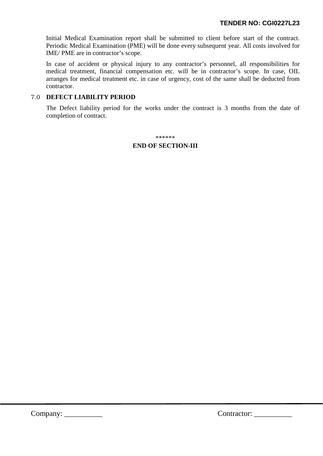Initial Medical Examination report shall be submitted to client before start of the contract. Periodic Medical Examination (PME) will be done every subsequent year. All costs involved for IME/ PME are in contractor's scope.

In case of accident or physical injury to any contractor's personnel, all responsibilities for medical treatment, financial compensation etc. will be in contractor's scope. In case, OIL arranges for medical treatment etc. in case of urgency, cost of the same shall be deducted from contractor.

### 7.0 **DEFECT LIABILITY PERIOD**

The Defect liability period for the works under the contract is 3 months from the date of completion of contract.

\*\*\*\*\*\*

## **END OF SECTION-III**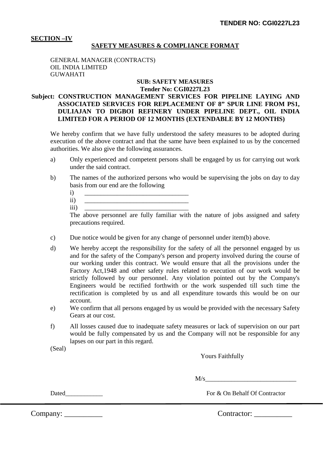#### **SECTION –IV**

#### **SAFETY MEASURES & COMPLIANCE FORMAT**

GENERAL MANAGER (CONTRACTS) OIL INDIA LIMITED GUWAHATI

#### **SUB: SAFETY MEASURES Tender No: CGI0227L23**

### **Subject: CONSTRUCTION MANAGEMENT SERVICES FOR PIPELINE LAYING AND ASSOCIATED SERVICES FOR REPLACEMENT OF 8" SPUR LINE FROM PS1, DULIAJAN TO DIGBOI REFINERY UNDER PIPELINE DEPT., OIL INDIA LIMITED FOR A PERIOD OF 12 MONTHS (EXTENDABLE BY 12 MONTHS)**

We hereby confirm that we have fully understood the safety measures to be adopted during execution of the above contract and that the same have been explained to us by the concerned authorities. We also give the following assurances.

- a) Only experienced and competent persons shall be engaged by us for carrying out work under the said contract.
- b) The names of the authorized persons who would be supervising the jobs on day to day basis from our end are the following

ii) \_\_\_\_\_\_\_\_\_\_\_\_\_\_\_\_\_\_\_\_\_\_\_\_\_\_\_\_\_\_\_\_ iii) \_\_\_\_\_\_\_\_\_\_\_\_\_\_\_\_\_\_\_\_\_\_\_\_\_\_\_\_\_\_\_\_

The above personnel are fully familiar with the nature of jobs assigned and safety precautions required.

- c) Due notice would be given for any change of personnel under item(b) above.
- d) We hereby accept the responsibility for the safety of all the personnel engaged by us and for the safety of the Company's person and property involved during the course of our working under this contract. We would ensure that all the provisions under the Factory Act,1948 and other safety rules related to execution of our work would be strictly followed by our personnel. Any violation pointed out by the Company's Engineers would be rectified forthwith or the work suspended till such time the rectification is completed by us and all expenditure towards this would be on our account.
- e) We confirm that all persons engaged by us would be provided with the necessary Safety Gears at our cost.
- f) All losses caused due to inadequate safety measures or lack of supervision on our part would be fully compensated by us and the Company will not be responsible for any lapses on our part in this regard.

(Seal)

Yours Faithfully

 $M/s$ 

Dated<br>
For & On Behalf Of Contractor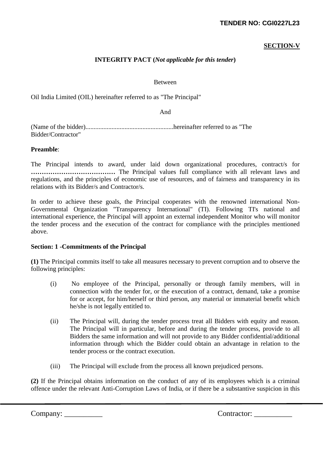### **TENDER NO: CGI0227L23**

### **SECTION-V**

### **INTEGRITY PACT (***Not applicable for this tender***)**

Between

Oil India Limited (OIL) hereinafter referred to as "The Principal"

And

(Name of the bidder)......................................................hereinafter referred to as "The Bidder/Contractor"

#### **Preamble**:

The Principal intends to award, under laid down organizational procedures, contract/s for **…………………………………** The Principal values full compliance with all relevant laws and regulations, and the principles of economic use of resources, and of fairness and transparency in its relations with its Bidder/s and Contractor/s.

In order to achieve these goals, the Principal cooperates with the renowned international Non-Governmental Organization "Transparency International" (TI). Following TI's national and international experience, the Principal will appoint an external independent Monitor who will monitor the tender process and the execution of the contract for compliance with the principles mentioned above.

#### **Section: 1 -Commitments of the Principal**

**(1)** The Principal commits itself to take all measures necessary to prevent corruption and to observe the following principles:

- (i) No employee of the Principal, personally or through family members, will in connection with the tender for, or the execution of a contract, demand, take a promise for or accept, for him/herself or third person, any material or immaterial benefit which he/she is not legally entitled to.
- (ii) The Principal will, during the tender process treat all Bidders with equity and reason. The Principal will in particular, before and during the tender process, provide to all Bidders the same information and will not provide to any Bidder confidential/additional information through which the Bidder could obtain an advantage in relation to the tender process or the contract execution.
- (iii) The Principal will exclude from the process all known prejudiced persons.

**(2)** If the Principal obtains information on the conduct of any of its employees which is a criminal offence under the relevant Anti-Corruption Laws of India, or if there be a substantive suspicion in this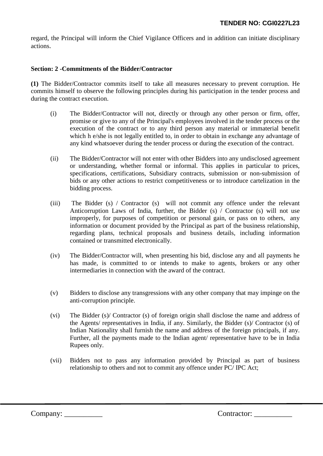regard, the Principal will inform the Chief Vigilance Officers and in addition can initiate disciplinary actions.

### **Section: 2 -Commitments of the Bidder/Contractor**

**(1)** The Bidder/Contractor commits itself to take all measures necessary to prevent corruption. He commits himself to observe the following principles during his participation in the tender process and during the contract execution.

- (i) The Bidder/Contractor will not, directly or through any other person or firm, offer, promise or give to any of the Principal's employees involved in the tender process or the execution of the contract or to any third person any material or immaterial benefit which h e/she is not legally entitled to, in order to obtain in exchange any advantage of any kind whatsoever during the tender process or during the execution of the contract.
- (ii) The Bidder/Contractor will not enter with other Bidders into any undisclosed agreement or understanding, whether formal or informal. This applies in particular to prices, specifications, certifications, Subsidiary contracts, submission or non-submission of bids or any other actions to restrict competitiveness or to introduce cartelization in the bidding process.
- (iii) The Bidder (s) / Contractor (s) will not commit any offence under the relevant Anticorruption Laws of India, further, the Bidder (s) / Contractor (s) will not use improperly, for purposes of competition or personal gain, or pass on to others, any information or document provided by the Principal as part of the business relationship, regarding plans, technical proposals and business details, including information contained or transmitted electronically.
- (iv) The Bidder/Contractor will, when presenting his bid, disclose any and all payments he has made, is committed to or intends to make to agents, brokers or any other intermediaries in connection with the award of the contract.
- (v) Bidders to disclose any transgressions with any other company that may impinge on the anti-corruption principle.
- (vi) The Bidder (s)/ Contractor (s) of foreign origin shall disclose the name and address of the Agents/ representatives in India, if any. Similarly, the Bidder (s)/ Contractor (s) of Indian Nationality shall furnish the name and address of the foreign principals, if any. Further, all the payments made to the Indian agent/ representative have to be in India Rupees only.
- (vii) Bidders not to pass any information provided by Principal as part of business relationship to others and not to commit any offence under PC/ IPC Act;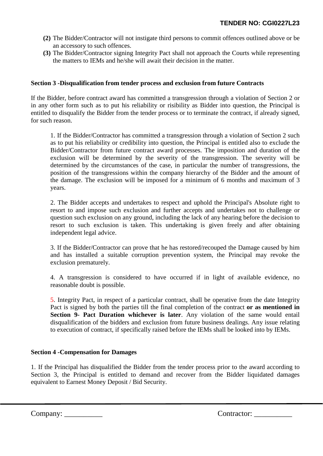- **(2)** The Bidder/Contractor will not instigate third persons to commit offences outlined above or be an accessory to such offences.
- **(3)** The Bidder/Contractor signing Integrity Pact shall not approach the Courts while representing the matters to IEMs and he/she will await their decision in the matter.

### **Section 3 -Disqualification from tender process and exclusion from future Contracts**

If the Bidder, before contract award has committed a transgression through a violation of Section 2 or in any other form such as to put his reliability or risibility as Bidder into question, the Principal is entitled to disqualify the Bidder from the tender process or to terminate the contract, if already signed, for such reason.

1. If the Bidder/Contractor has committed a transgression through a violation of Section 2 such as to put his reliability or credibility into question, the Principal is entitled also to exclude the Bidder/Contractor from future contract award processes. The imposition and duration of the exclusion will be determined by the severity of the transgression. The severity will be determined by the circumstances of the case, in particular the number of transgressions, the position of the transgressions within the company hierarchy of the Bidder and the amount of the damage. The exclusion will be imposed for a minimum of 6 months and maximum of 3 years.

2. The Bidder accepts and undertakes to respect and uphold the Principal's Absolute right to resort to and impose such exclusion and further accepts and undertakes not to challenge or question such exclusion on any ground, including the lack of any hearing before the decision to resort to such exclusion is taken. This undertaking is given freely and after obtaining independent legal advice.

3. If the Bidder/Contractor can prove that he has restored/recouped the Damage caused by him and has installed a suitable corruption prevention system, the Principal may revoke the exclusion prematurely.

4. A transgression is considered to have occurred if in light of available evidence, no reasonable doubt is possible.

5. Integrity Pact, in respect of a particular contract, shall be operative from the date Integrity Pact is signed by both the parties till the final completion of the contract **or as mentioned in Section 9- Pact Duration whichever is later**. Any violation of the same would entail disqualification of the bidders and exclusion from future business dealings. Any issue relating to execution of contract, if specifically raised before the IEMs shall be looked into by IEMs.

### **Section 4 -Compensation for Damages**

1. If the Principal has disqualified the Bidder from the tender process prior to the award according to Section 3, the Principal is entitled to demand and recover from the Bidder liquidated damages equivalent to Earnest Money Deposit / Bid Security.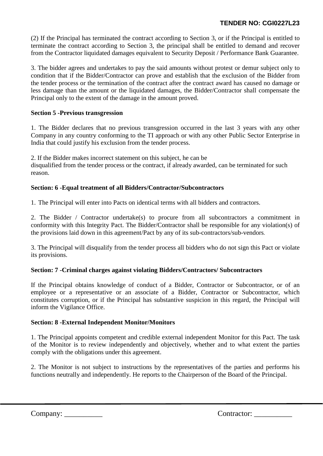### **TENDER NO: CGI0227L23**

(2) If the Principal has terminated the contract according to Section 3, or if the Principal is entitled to terminate the contract according to Section 3, the principal shall be entitled to demand and recover from the Contractor liquidated damages equivalent to Security Deposit / Performance Bank Guarantee.

3. The bidder agrees and undertakes to pay the said amounts without protest or demur subject only to condition that if the Bidder/Contractor can prove and establish that the exclusion of the Bidder from the tender process or the termination of the contract after the contract award has caused no damage or less damage than the amount or the liquidated damages, the Bidder/Contractor shall compensate the Principal only to the extent of the damage in the amount proved.

### **Section 5 -Previous transgression**

1. The Bidder declares that no previous transgression occurred in the last 3 years with any other Company in any country conforming to the TI approach or with any other Public Sector Enterprise in India that could justify his exclusion from the tender process.

2. If the Bidder makes incorrect statement on this subject, he can be disqualified from the tender process or the contract, if already awarded, can be terminated for such reason.

### **Section: 6 -Equal treatment of all Bidders/Contractor/Subcontractors**

1. The Principal will enter into Pacts on identical terms with all bidders and contractors.

2. The Bidder / Contractor undertake(s) to procure from all subcontractors a commitment in conformity with this Integrity Pact. The Bidder/Contractor shall be responsible for any violation(s) of the provisions laid down in this agreement/Pact by any of its sub-contractors/sub-vendors.

3. The Principal will disqualify from the tender process all bidders who do not sign this Pact or violate its provisions.

### **Section: 7 -Criminal charges against violating Bidders/Contractors/ Subcontractors**

If the Principal obtains knowledge of conduct of a Bidder, Contractor or Subcontractor, or of an employee or a representative or an associate of a Bidder, Contractor or Subcontractor, which constitutes corruption, or if the Principal has substantive suspicion in this regard, the Principal will inform the Vigilance Office.

#### **Section: 8 -External Independent Monitor/Monitors**

1. The Principal appoints competent and credible external independent Monitor for this Pact. The task of the Monitor is to review independently and objectively, whether and to what extent the parties comply with the obligations under this agreement.

2. The Monitor is not subject to instructions by the representatives of the parties and performs his functions neutrally and independently. He reports to the Chairperson of the Board of the Principal.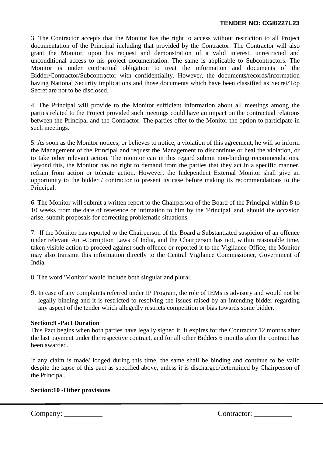3. The Contractor accepts that the Monitor has the right to access without restriction to all Project documentation of the Principal including that provided by the Contractor. The Contractor will also grant the Monitor, upon his request and demonstration of a valid interest, unrestricted and unconditional access to his project documentation. The same is applicable to Subcontractors. The Monitor is under contractual obligation to treat the information and documents of the Bidder/Contractor/Subcontractor with confidentiality. However, the documents/records/information having National Security implications and those documents which have been classified as Secret/Top Secret are not to be disclosed.

4. The Principal will provide to the Monitor sufficient information about all meetings among the parties related to the Project provided such meetings could have an impact on the contractual relations between the Principal and the Contractor. The parties offer to the Monitor the option to participate in such meetings.

5. As soon as the Monitor notices, or believes to notice, a violation of this agreement, he will so inform the Management of the Principal and request the Management to discontinue or heal the violation, or to take other relevant action. The monitor can in this regard submit non-binding recommendations. Beyond this, the Monitor has no right to demand from the parties that they act in a specific manner, refrain from action or tolerate action. However, the Independent External Monitor shall give an opportunity to the bidder / contractor to present its case before making its recommendations to the Principal.

6. The Monitor will submit a written report to the Chairperson of the Board of the Principal within 8 to 10 weeks from the date of reference or intimation to him by the 'Principal' and, should the occasion arise, submit proposals for correcting problematic situations.

7. If the Monitor has reported to the Chairperson of the Board a Substantiated suspicion of an offence under relevant Anti-Corruption Laws of India, and the Chairperson has not, within reasonable time, taken visible action to proceed against such offence or reported it to the Vigilance Office, the Monitor may also transmit this information directly to the Central Vigilance Commissioner, Government of India.

- 8. The word 'Monitor' would include both singular and plural.
- 9. In case of any complaints referred under IP Program, the role of IEMs is advisory and would not be legally binding and it is restricted to resolving the issues raised by an intending bidder regarding any aspect of the tender which allegedly restricts competition or bias towards some bidder.

#### **Section:9 -Pact Duration**

This Pact begins when both parties have legally signed it. It expires for the Contractor 12 months after the last payment under the respective contract, and for all other Bidders 6 months after the contract has been awarded.

If any claim is made/ lodged during this time, the same shall be binding and continue to be valid despite the lapse of this pact as specified above, unless it is discharged/determined by Chairperson of the Principal.

### **Section:10 -Other provisions**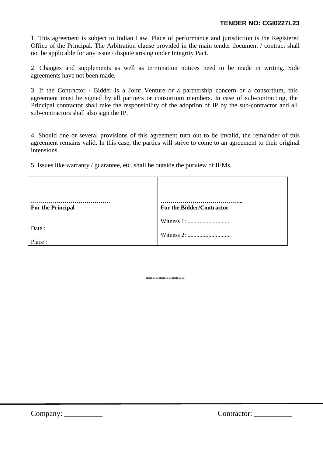1. This agreement is subject to Indian Law. Place of performance and jurisdiction is the Registered Office of the Principal. The Arbitration clause provided in the main tender document / contract shall not be applicable for any issue / dispute arising under Integrity Pact.

2. Changes and supplements as well as termination notices need to be made in writing. Side agreements have not been made.

3. If the Contractor / Bidder is a Joint Venture or a partnership concern or a consortium, this agreement must be signed by all partners or consortium members. In case of sub-contracting, the Principal contractor shall take the responsibility of the adoption of IP by the sub-contractor and all sub-contractors shall also sign the IP.

4. Should one or several provisions of this agreement turn out to be invalid, the remainder of this agreement remains valid. In this case, the parties will strive to come to an agreement to their original intensions.

5. Issues like warranty / guarantee, etc. shall be outside the purview of IEMs.

| <b>For the Principal</b> | For the Bidder/Contractor |
|--------------------------|---------------------------|
| Date:<br>Place:          |                           |

\*\*\*\*\*\*\*\*\*\*\*\*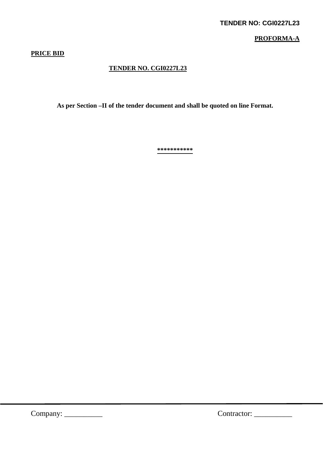### **PROFORMA-A**

### **PRICE BID**

### **TENDER NO. CGI0227L23**

 **As per Section –II of the tender document and shall be quoted on line Format.** 

**\*\*\*\*\*\*\*\*\*\*\***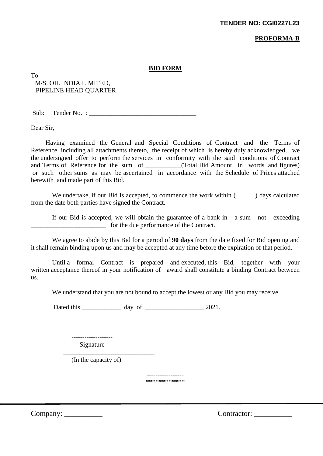#### **PROFORMA-B**

#### **BID FORM**

To M/S. OIL INDIA LIMITED, PIPELINE HEAD QUARTER

 $Sub:$  Tender No. :

Dear Sir,

Having examined the General and Special Conditions of Contract and the Terms of Reference including all attachments thereto, the receipt of which is hereby duly acknowledged, we the undersigned offer to perform the services in conformity with the said conditions of Contract and Terms of Reference for the sum of  $(Total Bid Amount in words and figures)$ or such other sums as may be ascertained in accordance with the Schedule of Prices attached herewith and made part of this Bid.

We undertake, if our Bid is accepted, to commence the work within () days calculated from the date both parties have signed the Contract.

 If our Bid is accepted, we will obtain the guarantee of a bank in a sum not exceeding for the due performance of the Contract.

 We agree to abide by this Bid for a period of **90 days** from the date fixed for Bid opening and it shall remain binding upon us and may be accepted at any time before the expiration of that period.

 Until a formal Contract is prepared and executed, this Bid, together with your written acceptance thereof in your notification of award shall constitute a binding Contract between us.

We understand that you are not bound to accept the lowest or any Bid you may receive.

Dated this \_\_\_\_\_\_\_\_\_\_\_\_ day of \_\_\_\_\_\_\_\_\_\_\_\_\_\_\_\_\_\_ 2021.

 ------------------- Signature

 $\frac{1}{2}$  ,  $\frac{1}{2}$  ,  $\frac{1}{2}$  ,  $\frac{1}{2}$  ,  $\frac{1}{2}$  ,  $\frac{1}{2}$  ,  $\frac{1}{2}$  ,  $\frac{1}{2}$  ,  $\frac{1}{2}$  ,  $\frac{1}{2}$  ,  $\frac{1}{2}$  ,  $\frac{1}{2}$  ,  $\frac{1}{2}$  ,  $\frac{1}{2}$  ,  $\frac{1}{2}$  ,  $\frac{1}{2}$  ,  $\frac{1}{2}$  ,  $\frac{1}{2}$  ,  $\frac{1$ (In the capacity of)

> ----------------- \*\*\*\*\*\*\*\*\*\*\*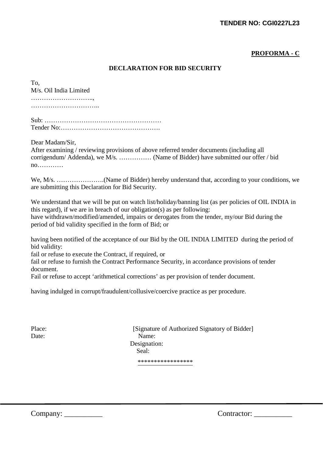### **TENDER NO: CGI0227L23**

### **PROFORMA - C**

#### **DECLARATION FOR BID SECURITY**

| To,                    |  |
|------------------------|--|
| M/s. Oil India Limited |  |
|                        |  |
|                        |  |
|                        |  |
|                        |  |
|                        |  |

Dear Madam/Sir,

After examining / reviewing provisions of above referred tender documents (including all corrigendum/ Addenda), we M/s. …………… (Name of Bidder) have submitted our offer / bid no…………

We, M/s. ………………….(Name of Bidder) hereby understand that, according to your conditions, we are submitting this Declaration for Bid Security.

We understand that we will be put on watch list/holiday/banning list (as per policies of OIL INDIA in this regard), if we are in breach of our obligation(s) as per following: have withdrawn/modified/amended, impairs or derogates from the tender, my/our Bid during the period of bid validity specified in the form of Bid; or

having been notified of the acceptance of our Bid by the OIL INDIA LIMITED during the period of bid validity:

fail or refuse to execute the Contract, if required, or

fail or refuse to furnish the Contract Performance Security, in accordance provisions of tender document.

Fail or refuse to accept 'arithmetical corrections' as per provision of tender document.

having indulged in corrupt/fraudulent/collusive/coercive practice as per procedure.

Place: [Signature of Authorized Signatory of Bidder] Date: Name: Designation: Seal: \*\*\*\*\*\*\*\*\*\*\*\*\*\*\*\*\*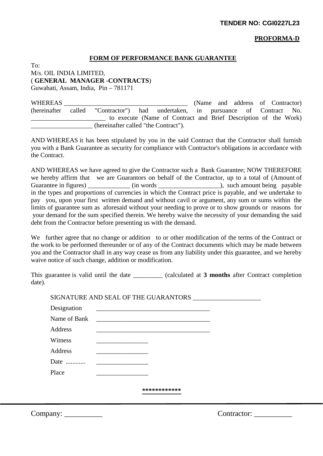#### **PROFORMA-D**

#### **FORM OF PERFORMANCE BANK GUARANTEE**

To: M/s. OIL INDIA LIMITED, ( **GENERAL MANAGER -CONTRACTS**)

Guwahati, Assam, India, Pin – 781171

WHEREAS NET ALL ASSESS WHEREAS NET A LOCAL AND MONOGRAPH (Name and address of Contractor) (hereinafter called "Contractor") had undertaken, in pursuance of Contract No. to execute (Name of Contract and Brief Description of the Work) \_\_\_\_\_\_\_\_\_\_\_\_\_\_\_\_\_\_\_ (hereinafter called "the Contract").

AND WHEREAS it has been stipulated by you in the said Contract that the Contractor shall furnish you with a Bank Guarantee as security for compliance with Contractor's obligations in accordance with the Contract.

AND WHEREAS we have agreed to give the Contractor such a Bank Guarantee; NOW THEREFORE we hereby affirm that we are Guarantors on behalf of the Contractor, up to a total of (Amount of Guarantee in figures) \_\_\_\_\_\_\_\_\_\_\_\_\_ (in words \_\_\_\_\_\_\_\_\_\_\_\_\_\_\_\_\_\_\_), such amount being payable in the types and proportions of currencies in which the Contract price is payable, and we undertake to pay you, upon your first written demand and without cavil or argument, any sum or sums within the limits of guarantee sum as aforesaid without your needing to prove or to show grounds or reasons for your demand for the sum specified therein. We hereby waive the necessity of your demanding the said debt from the Contractor before presenting us with the demand.

We further agree that no change or addition to or other modification of the terms of the Contract or the work to be performed thereunder or of any of the Contract documents which may be made between you and the Contractor shall in any way cease us from any liability under this guarantee, and we hereby waive notice of such change, addition or modification.

This guarantee is valid until the date \_\_\_\_\_\_\_\_\_ (calculated at **3 months** after Contract completion date).

|              | SIGNATURE AND SEAL OF THE GUARANTORS                                                                                |  |
|--------------|---------------------------------------------------------------------------------------------------------------------|--|
| Designation  | <u> 1989 - Johann Barbara, markazi bashkar mashrida ma'lumot olib tashkalarda olib tashkalarda olib tashkalarda</u> |  |
| Name of Bank |                                                                                                                     |  |
| Address      |                                                                                                                     |  |
| Witness      |                                                                                                                     |  |
| Address      |                                                                                                                     |  |
| Date         |                                                                                                                     |  |
| Place        |                                                                                                                     |  |
|              |                                                                                                                     |  |
|              | ************                                                                                                        |  |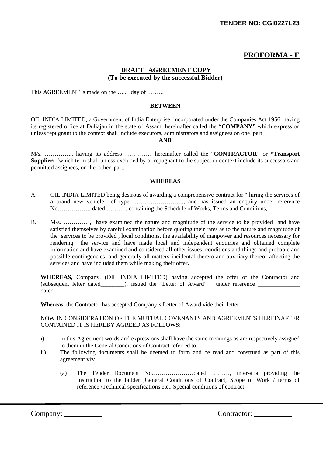# **PROFORMA - E**

#### **DRAFT AGREEMENT COPY (To be executed by the successful Bidder)**

This AGREEMENT is made on the ….. day of ……..

#### **BETWEEN**

OIL INDIA LIMITED, a Government of India Enterprise, incorporated under the Companies Act 1956, having its registered office at Duliajan in the state of Assam, hereinafter called the **"COMPANY"** which expression unless repugnant to the context shall include executors, administrators and assignees on one part

#### **AND**

M/s. ………….., having its address ………… hereinafter called the "**CONTRACTOR**" or **"Transport Supplier:** "which term shall unless excluded by or repugnant to the subject or context include its successors and permitted assignees, on the other part,

#### **WHEREAS**

- A. OIL INDIA LIMITED being desirous of awarding a comprehensive contract for " hiring the services of a brand new vehicle of type …………………….., and has issued an enquiry under reference No…………….. dated ………., containing the Schedule of Works, Terms and Conditions,
- B. M/s. ………… , have examined the nature and magnitude of the service to be provided and have satisfied themselves by careful examination before quoting their rates as to the nature and magnitude of the services to be provided , local conditions, the availability of manpower and resources necessary for rendering the service and have made local and independent enquiries and obtained complete information and have examined and considered all other issues, conditions and things and probable and possible contingencies, and generally all matters incidental thereto and auxiliary thereof affecting the services and have included them while making their offer.

**WHEREAS,** Company, (OIL INDIA LIMITED) having accepted the offer of the Contractor and (subsequent letter dated\_\_\_\_\_\_\_\_), issued the "Letter of Award" under reference \_\_\_\_\_\_\_\_\_\_\_\_\_\_\_\_\_\_\_ dated\_\_\_\_\_\_\_\_\_\_\_\_\_.

Whereas, the Contractor has accepted Company's Letter of Award vide their letter **with a ward vides** their letter

NOW IN CONSIDERATION OF THE MUTUAL COVENANTS AND AGREEMENTS HEREINAFTER CONTAINED IT IS HEREBY AGREED AS FOLLOWS:

- i) In this Agreement words and expressions shall have the same meanings as are respectively assigned to them in the General Conditions of Contract referred to.
- ii) The following documents shall be deemed to form and be read and construed as part of this agreement viz:
	- (a) The Tender Document No…………………dated ………, inter-alia providing the Instruction to the bidder ,General Conditions of Contract, Scope of Work / terms of reference /Technical specifications etc., Special conditions of contract.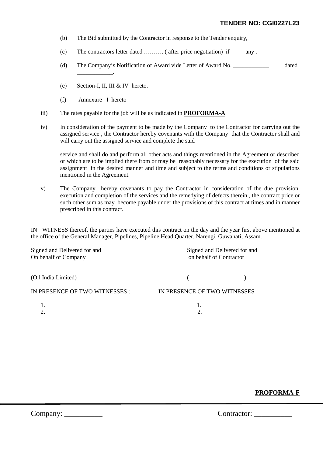#### **TENDER NO: CGI0227L23**

- (b) The Bid submitted by the Contractor in response to the Tender enquiry,
- (c) The contractors letter dated ………. ( after price negotiation) if any .
- (d) The Company's Notification of Award vide Letter of Award No. \_\_\_\_\_\_\_\_\_\_\_\_ dated
- (e) Section-I, II, III & IV hereto.
- (f) Annexure –I hereto

 $\overline{\phantom{a}}$ 

- iii) The rates payable for the job will be as indicated in **PROFORMA-A**
- iv) In consideration of the payment to be made by the Company to the Contractor for carrying out the assigned service , the Contractor hereby covenants with the Company that the Contractor shall and will carry out the assigned service and complete the said

service and shall do and perform all other acts and things mentioned in the Agreement or described or which are to be implied there from or may be reasonably necessary for the execution of the said assignment in the desired manner and time and subject to the terms and conditions or stipulations mentioned in the Agreement.

v) The Company hereby covenants to pay the Contractor in consideration of the due provision, execution and completion of the services and the remedying of defects therein , the contract price or such other sum as may become payable under the provisions of this contract at times and in manner prescribed in this contract.

IN WITNESS thereof, the parties have executed this contract on the day and the year first above mentioned at the office of the General Manager, Pipelines, Pipeline Head Quarter, Narengi, Guwahati, Assam.

| Signed and Delivered for and<br>On behalf of Company | Signed and Delivered for and<br>on behalf of Contractor |  |  |
|------------------------------------------------------|---------------------------------------------------------|--|--|
| (Oil India Limited)                                  |                                                         |  |  |
| IN PRESENCE OF TWO WITNESSES :                       | IN PRESENCE OF TWO WITNESSES                            |  |  |
|                                                      |                                                         |  |  |

### **PROFORMA-F**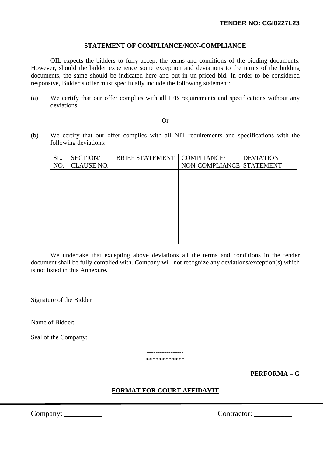#### **STATEMENT OF COMPLIANCE/NON-COMPLIANCE**

OIL expects the bidders to fully accept the terms and conditions of the bidding documents. However, should the bidder experience some exception and deviations to the terms of the bidding documents, the same should be indicated here and put in un-priced bid. In order to be considered responsive, Bidder's offer must specifically include the following statement:

(a) We certify that our offer complies with all IFB requirements and specifications without any deviations.

#### Or

(b) We certify that our offer complies with all NIT requirements and specifications with the following deviations:

| SL. | SECTION/          | <b>BRIEF STATEMENT</b> | COMPLIANCE/              | <b>DEVIATION</b> |
|-----|-------------------|------------------------|--------------------------|------------------|
| NO. | <b>CLAUSE NO.</b> |                        | NON-COMPLIANCE STATEMENT |                  |
|     |                   |                        |                          |                  |
|     |                   |                        |                          |                  |
|     |                   |                        |                          |                  |
|     |                   |                        |                          |                  |
|     |                   |                        |                          |                  |
|     |                   |                        |                          |                  |
|     |                   |                        |                          |                  |
|     |                   |                        |                          |                  |
|     |                   |                        |                          |                  |
|     |                   |                        |                          |                  |

We undertake that excepting above deviations all the terms and conditions in the tender document shall be fully complied with. Company will not recognize any deviations/exception(s) which is not listed in this Annexure.

\_\_\_\_\_\_\_\_\_\_\_\_\_\_\_\_\_\_\_\_\_\_\_\_\_\_\_\_\_\_\_\_\_\_ Signature of the Bidder

Name of Bidder:

Seal of the Company:

----------------- \*\*\*\*\*\*\*\*\*\*\*\*

**PERFORMA – G** 

### **FORMAT FOR COURT AFFIDAVIT**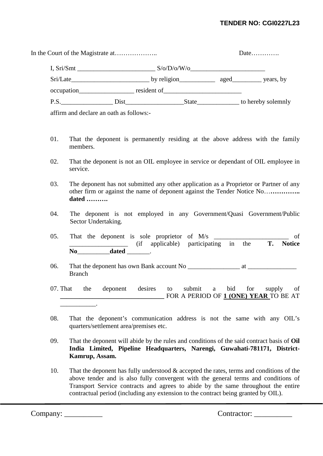### **TENDER NO: CGI0227L23**

|      |                                           |             | Date |                    |
|------|-------------------------------------------|-------------|------|--------------------|
|      |                                           | S/O/D/O/W/O |      |                    |
|      |                                           |             |      |                    |
|      |                                           | resident of |      |                    |
| P.S. |                                           |             |      | to hereby solemnly |
|      | officers and dealers are eath as follows: |             |      |                    |

affirm and declare an oath as follows:-

- 01. That the deponent is permanently residing at the above address with the family members.
- 02. That the deponent is not an OIL employee in service or dependant of OIL employee in service.
- 03. The deponent has not submitted any other application as a Proprietor or Partner of any other firm or against the name of deponent against the Tender Notice No…**………….. dated ……….**
- 04. The deponent is not employed in any Government/Quasi Government/Public Sector Undertaking.
- 05. That the deponent is sole proprietor of  $M/s$   $\qquad \qquad$  of \_\_\_\_\_\_\_\_\_\_\_\_\_\_\_\_\_\_ (if applicable) participating in the **T. Notice**  No dated \_\_\_\_\_\_\_.
- 06. That the deponent has own Bank account No \_\_\_\_\_\_\_\_\_\_\_\_\_\_\_\_ at \_\_\_\_\_\_\_\_\_\_\_\_\_\_\_ Branch
- 07. That the deponent desires to submit a bid for supply of **\_\_\_\_\_\_\_\_\_\_\_\_\_\_\_\_\_\_\_\_\_\_\_\_\_\_\_\_\_\_\_\_** FOR A PERIOD OF **1 (ONE) YEAR** TO BE AT  $\mathcal{L}$
- 08. That the deponent's communication address is not the same with any OIL's quarters/settlement area/premises etc.
- 09. That the deponent will abide by the rules and conditions of the said contract basis of **Oil India Limited, Pipeline Headquarters, Narengi, Guwahati-781171, District-Kamrup, Assam.**
- 10. That the deponent has fully understood & accepted the rates, terms and conditions of the above tender and is also fully convergent with the general terms and conditions of Transport Service contracts and agrees to abide by the same throughout the entire contractual period (including any extension to the contract being granted by OIL).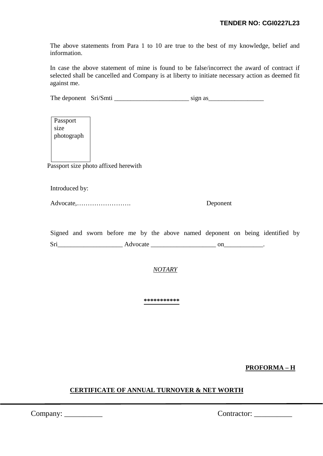The above statements from Para 1 to 10 are true to the best of my knowledge, belief and information.

In case the above statement of mine is found to be false/incorrect the award of contract if selected shall be cancelled and Company is at liberty to initiate necessary action as deemed fit against me.

The deponent Sri/Smti \_\_\_\_\_\_\_\_\_\_\_\_\_\_\_\_\_\_\_\_\_\_\_ sign as\_\_\_\_\_\_\_\_\_\_\_\_\_\_\_\_\_

Passport size photograph

Passport size photo affixed herewith

Introduced by:

Advocate,……………………. Deponent

Signed and sworn before me by the above named deponent on being identified by Sri\_\_\_\_\_\_\_\_\_\_\_\_\_\_\_\_\_\_\_\_ Advocate \_\_\_\_\_\_\_\_\_\_\_\_\_\_\_\_\_\_\_\_ on\_\_\_\_\_\_\_\_\_\_\_\_.

*NOTARY*

**\*\*\*\*\*\*\*\*\*\*\*** 

**PROFORMA – H** 

### **CERTIFICATE OF ANNUAL TURNOVER & NET WORTH**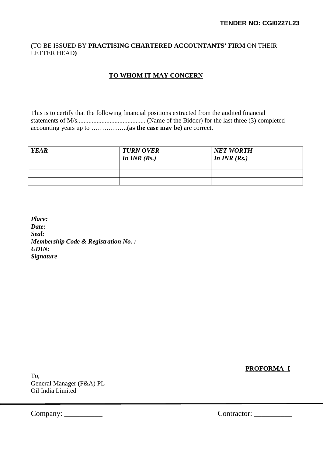### **(**TO BE ISSUED BY **PRACTISING CHARTERED ACCOUNTANTS' FIRM** ON THEIR LETTER HEAD**)**

### **TO WHOM IT MAY CONCERN**

This is to certify that the following financial positions extracted from the audited financial statements of M/s.......................................... (Name of the Bidder) for the last three (3) completed accounting years up to ……………..**(as the case may be)** are correct.

| <b>YEAR</b> | <b>TURN OVER</b><br>In $INR$ $(Rs.)$ | <b>NET WORTH</b><br>In $INR(Rs.)$ |
|-------------|--------------------------------------|-----------------------------------|
|             |                                      |                                   |
|             |                                      |                                   |
|             |                                      |                                   |

*Place: Date: Seal: Membership Code & Registration No. : UDIN: Signature*

**PROFORMA -I** 

To, General Manager (F&A) PL Oil India Limited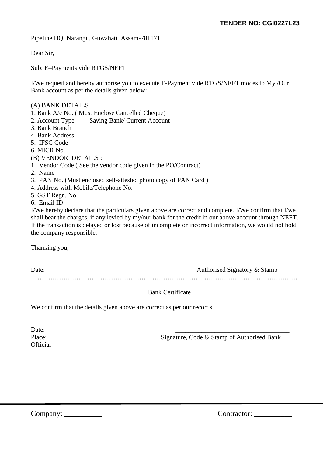Pipeline HQ, Narangi , Guwahati ,Assam-781171

Dear Sir,

Sub: E–Payments vide RTGS/NEFT

I/We request and hereby authorise you to execute E-Payment vide RTGS/NEFT modes to My /Our Bank account as per the details given below:

#### (A) BANK DETAILS

- 1. Bank A/c No. ( Must Enclose Cancelled Cheque)
- 2. Account Type Saving Bank/ Current Account
- 3. Bank Branch
- 4. Bank Address
- 5. IFSC Code
- 6. MICR No.
- (B) VENDOR DETAILS :
- 1. Vendor Code ( See the vendor code given in the PO/Contract)
- 2. Name
- 3. PAN No. (Must enclosed self-attested photo copy of PAN Card )
- 4. Address with Mobile/Telephone No.
- 5. GST Regn. No.

6. Email ID

I/We hereby declare that the particulars given above are correct and complete. I/We confirm that I/we shall bear the charges, if any levied by my/our bank for the credit in our above account through NEFT. If the transaction is delayed or lost because of incomplete or incorrect information, we would not hold the company responsible.

Thanking you,

| Date: | Authorised Signatory & Stamp |
|-------|------------------------------|
|       |                              |

#### Bank Certificate

We confirm that the details given above are correct as per our records.

Date: 2008. 2010. 2010. 2010. 2010. 2010. 2010. 2010. 2010. 2010. 2010. 2010. 2010. 2010. 2010. 2010. 2010. 20 **Official** 

Place: Signature, Code & Stamp of Authorised Bank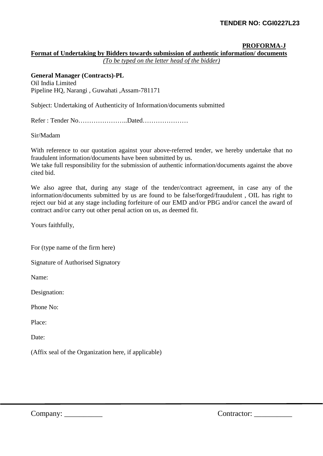#### **PROFORMA-J**

**Format of Undertaking by Bidders towards submission of authentic information/ documents**

*(To be typed on the letter head of the bidder)* 

**General Manager (Contracts)-PL** Oil India Limited Pipeline HQ, Narangi , Guwahati ,Assam-781171

Subject: Undertaking of Authenticity of Information/documents submitted

Refer : Tender No…………………..Dated…………………

Sir/Madam

With reference to our quotation against your above-referred tender, we hereby undertake that no fraudulent information/documents have been submitted by us.

We take full responsibility for the submission of authentic information/documents against the above cited bid.

We also agree that, during any stage of the tender/contract agreement, in case any of the information/documents submitted by us are found to be false/forged/fraudulent , OIL has right to reject our bid at any stage including forfeiture of our EMD and/or PBG and/or cancel the award of contract and/or carry out other penal action on us, as deemed fit.

Yours faithfully,

For (type name of the firm here)

Signature of Authorised Signatory

Name:

Designation:

Phone No:

Place:

Date:

(Affix seal of the Organization here, if applicable)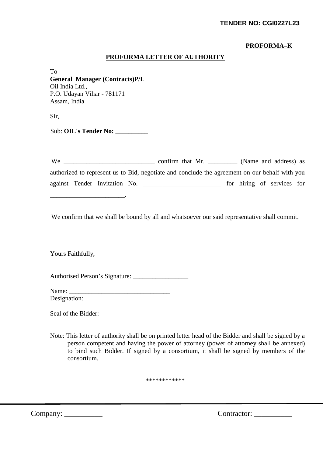### **PROFORMA–K**

### **PROFORMA LETTER OF AUTHORITY**

To **General Manager (Contracts)P/L** Oil India Ltd., P.O. Udayan Vihar - 781171 Assam, India

Sir,

Sub: **OIL's Tender No: \_\_\_\_\_\_\_\_\_\_** 

\_\_\_\_\_\_\_\_\_\_\_\_\_\_\_\_\_\_\_\_\_\_\_.

| We |                               |                                                                                                | confirm that Mr. |  |  | (Name and address) as      |  |
|----|-------------------------------|------------------------------------------------------------------------------------------------|------------------|--|--|----------------------------|--|
|    |                               | authorized to represent us to Bid, negotiate and conclude the agreement on our behalf with you |                  |  |  |                            |  |
|    | against Tender Invitation No. |                                                                                                |                  |  |  | for hiring of services for |  |

We confirm that we shall be bound by all and whatsoever our said representative shall commit.

Yours Faithfully,

Authorised Person's Signature:

| Name:        |  |
|--------------|--|
| Designation: |  |

Seal of the Bidder:

Note: This letter of authority shall be on printed letter head of the Bidder and shall be signed by a person competent and having the power of attorney (power of attorney shall be annexed) to bind such Bidder. If signed by a consortium, it shall be signed by members of the consortium.

\*\*\*\*\*\*\*\*\*\*\*\*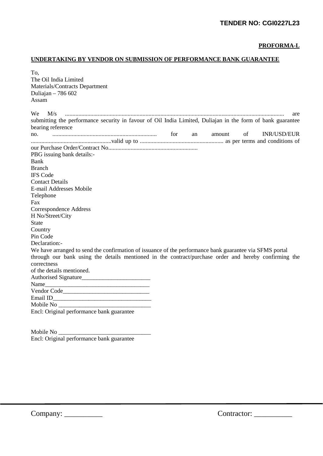#### **PROFORMA-L**

### **UNDERTAKING BY VENDOR ON SUBMISSION OF PERFORMANCE BANK GUARANTEE**

| To.                                                                                                                                                                                         |
|---------------------------------------------------------------------------------------------------------------------------------------------------------------------------------------------|
| The Oil India Limited                                                                                                                                                                       |
| Materials/Contracts Department                                                                                                                                                              |
| Duliajan - 786 602                                                                                                                                                                          |
| Assam                                                                                                                                                                                       |
| We .<br>M/s<br>are                                                                                                                                                                          |
| submitting the performance security in favour of Oil India Limited, Duliajan in the form of bank guarantee                                                                                  |
| bearing reference                                                                                                                                                                           |
| no. $\cdots$ $\cdots$ $\cdots$ $\cdots$ $\cdots$ $\cdots$ $\cdots$ $\cdots$ $\cdots$ $\cdots$ $\cdots$ $\cdots$ $\cdots$ $\cdots$ $\cdots$ $\cdots$ $\cdots$<br>of<br>INR/USD/EUR<br>amount |
|                                                                                                                                                                                             |
|                                                                                                                                                                                             |
| PBG issuing bank details:-                                                                                                                                                                  |
| Bank                                                                                                                                                                                        |
| <b>Branch</b>                                                                                                                                                                               |
| <b>IFS Code</b>                                                                                                                                                                             |
| <b>Contact Details</b>                                                                                                                                                                      |
| E-mail Addresses Mobile                                                                                                                                                                     |
| Telephone                                                                                                                                                                                   |
| Fax                                                                                                                                                                                         |
| Correspondence Address                                                                                                                                                                      |
| H No/Street/City                                                                                                                                                                            |
| <b>State</b>                                                                                                                                                                                |
| Country                                                                                                                                                                                     |
| Pin Code                                                                                                                                                                                    |
| Declaration:-                                                                                                                                                                               |
| We have arranged to send the confirmation of issuance of the performance bank guarantee via SFMS portal                                                                                     |
| through our bank using the details mentioned in the contract/purchase order and hereby confirming the                                                                                       |
| correctness<br>of the details mentioned.                                                                                                                                                    |
|                                                                                                                                                                                             |
|                                                                                                                                                                                             |
|                                                                                                                                                                                             |
|                                                                                                                                                                                             |
|                                                                                                                                                                                             |
| Encl: Original performance bank guarantee                                                                                                                                                   |
|                                                                                                                                                                                             |
|                                                                                                                                                                                             |

Mobile No \_\_\_\_\_\_\_\_\_\_\_\_\_\_\_\_\_\_\_\_\_\_\_\_\_\_\_\_\_\_\_ Encl: Original performance bank guarantee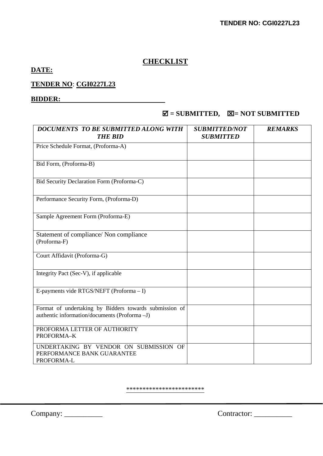# **CHECKLIST**

# **DATE:**

# **TENDER NO**: **CGI0227L23**

### **BIDDER:**

# $\boxtimes$  = SUBMITTED,  $\boxtimes$  = NOT SUBMITTED

| <b>DOCUMENTS TO BE SUBMITTED ALONG WITH</b><br><b>THE BID</b>                                          | <b>SUBMITTED/NOT</b><br><b>SUBMITTED</b> | <b>REMARKS</b> |
|--------------------------------------------------------------------------------------------------------|------------------------------------------|----------------|
| Price Schedule Format, (Proforma-A)                                                                    |                                          |                |
| Bid Form, (Proforma-B)                                                                                 |                                          |                |
| Bid Security Declaration Form (Proforma-C)                                                             |                                          |                |
| Performance Security Form, (Proforma-D)                                                                |                                          |                |
| Sample Agreement Form (Proforma-E)                                                                     |                                          |                |
| Statement of compliance/ Non compliance<br>(Proforma-F)                                                |                                          |                |
| Court Affidavit (Proforma-G)                                                                           |                                          |                |
| Integrity Pact (Sec-V), if applicable                                                                  |                                          |                |
| E-payments vide RTGS/NEFT (Proforma - I)                                                               |                                          |                |
| Format of undertaking by Bidders towards submission of<br>authentic information/documents (Proforma-J) |                                          |                |
| PROFORMA LETTER OF AUTHORITY<br>PROFORMA-K                                                             |                                          |                |
| UNDERTAKING BY VENDOR ON SUBMISSION OF<br>PERFORMANCE BANK GUARANTEE<br>PROFORMA-L                     |                                          |                |

\*\*\*\*\*\*\*\*\*\*\*\*\*\*\*\*\*\*\*\*\*\*\*\*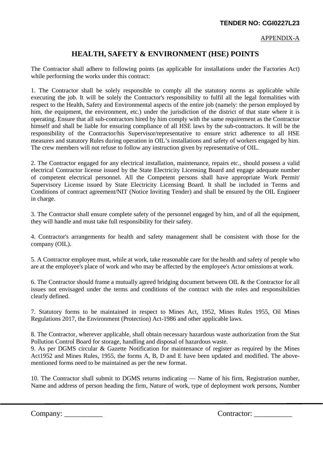APPENDIX-A

# **HEALTH, SAFETY & ENVIRONMENT (HSE) POINTS**

The Contractor shall adhere to following points (as applicable for installations under the Factories Act) while performing the works under this contract:

1. The Contractor shall be solely responsible to comply all the statutory norms as applicable while executing the job. It will be solely the Contractor's responsibility to fulfil all the legal formalities with respect to the Health, Safety and Environmental aspects of the entire job (namely: the person employed by him, the equipment, the environment, etc.) under the jurisdiction of the district of that state where it is operating. Ensure that all sub-contractors hired by him comply with the same requirement as the Contractor himself and shall be liable for ensuring compliance of all HSE laws by the sub-contractors. It will be the responsibility of the Contractor/his Supervisor/representative to ensure strict adherence to all HSE measures and statutory Rules during operation in OIL's installations and safety of workers engaged by him. The crew members will not refuse to follow any instruction given by representative of OIL.

2. The Contractor engaged for any electrical installation, maintenance, repairs etc., should possess a valid electrical Contractor license issued by the State Electricity Licensing Board and engage adequate number of competent electrical personnel. All the Competent persons shall have appropriate Work Permit/ Supervisory License issued by State Electricity Licensing Board. It shall be included in Terms and Conditions of contract agreement/NIT (Notice Inviting Tender) and shall be ensured by the OIL Engineer in charge.

3. The Contractor shall ensure complete safety of the personnel engaged by him, and of all the equipment, they will handle and must take full responsibility for their safety.

4. Contractor's arrangements for health and safety management shall be consistent with those for the company (OIL).

5. A Contractor employee must, while at work, take reasonable care for the health and safety of people who are at the employee's place of work and who may be affected by the employee's Actor omissions at work.

6. The Contractor should frame a mutually agreed bridging document between OIL & the Contractor for all issues not envisaged under the terms and conditions of the contract with the roles and responsibilities clearly defined.

7. Statutory forms to be maintained in respect to Mines Act, 1952, Mines Rules 1955, Oil Mines Regulations 2017, the Environment (Protection) Act-1986 and other applicable laws.

8. The Contractor, wherever applicable, shall obtain necessary hazardous waste authorization from the Stat Pollution Control Board for storage, handling and disposal of hazardous waste.

9. As per DGMS circular & Gazette Notification for maintenance of register as required by the Mines Act1952 and Mines Rules, 1955, the forms A, B, D and E have been updated and modified. The abovementioned forms need to be maintained as per the new format.

10. The Contractor shall submit to DGMS returns indicating — Name of his firm, Registration number, Name and address of person heading the firm, Nature of work, type of deployment work persons, Number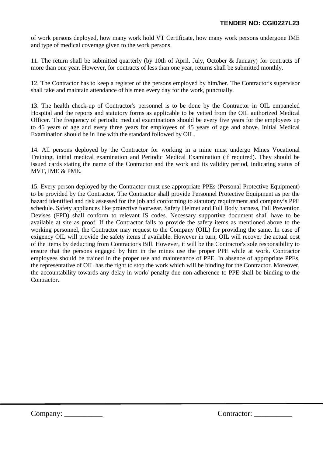of work persons deployed, how many work hold VT Certificate, how many work persons undergone IME and type of medical coverage given to the work persons.

11. The return shall be submitted quarterly (by 10th of April. July, October & January) for contracts of more than one year. However, for contracts of less than one year, returns shall be submitted monthly.

12. The Contractor has to keep a register of the persons employed by him/her. The Contractor's supervisor shall take and maintain attendance of his men every day for the work, punctually.

13. The health check-up of Contractor's personnel is to be done by the Contractor in OIL empaneled Hospital and the reports and statutory forms as applicable to be vetted from the OIL authorized Medical Officer. The frequency of periodic medical examinations should be every five years for the employees up to 45 years of age and every three years for employees of 45 years of age and above. Initial Medical Examination should be in line with the standard followed by OIL.

14. All persons deployed by the Contractor for working in a mine must undergo Mines Vocational Training, initial medical examination and Periodic Medical Examination (if required). They should be issued cards stating the name of the Contractor and the work and its validity period, indicating status of MVT, IME & PME.

15. Every person deployed by the Contractor must use appropriate PPEs (Personal Protective Equipment) to be provided by the Contractor. The Contractor shall provide Personnel Protective Equipment as per the hazard identified and risk assessed for the job and conforming to statutory requirement and company's PPE schedule. Safety appliances like protective footwear, Safety Helmet and Full Body harness, Fall Prevention Devises (FPD) shall conform to relevant IS codes. Necessary supportive document shall have to be available at site as proof. If the Contractor fails to provide the safety items as mentioned above to the working personnel, the Contractor may request to the Company (OIL) for providing the same. In case of exigency OIL will provide the safety items if available. However in turn, OIL will recover the actual cost of the items by deducting from Contractor's Bill. However, it will be the Contractor's sole responsibility to ensure that the persons engaged by him in the mines use the proper PPE while at work. Contractor employees should be trained in the proper use and maintenance of PPE. In absence of appropriate PPEs, the representative of OIL has the right to stop the work which will be binding for the Contractor. Moreover, the accountability towards any delay in work/ penalty due non-adherence to PPE shall be binding to the Contractor.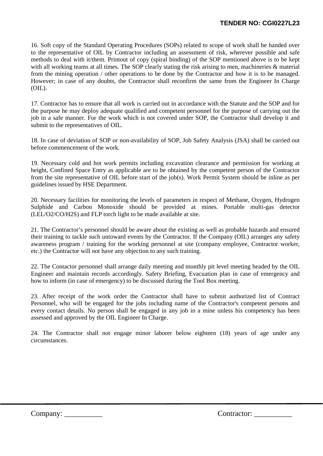16. Soft copy of the Standard Operating Procedures (SOPs) related to scope of work shall be handed over to the representative of OIL by Contractor including an assessment of risk, wherever possible and safe methods to deal with it/them. Printout of copy (spiral binding) of the SOP mentioned above is to be kept with all working teams at all times. The SOP clearly stating the risk arising to men, machineries  $\&$  material from the mining operation / other operations to be done by the Contractor and how it is to be managed. However; in case of any doubts, the Contractor shall reconfirm the same from the Engineer In Charge  $(OIL)$ .

17. Contractor has to ensure that all work is carried out in accordance with the Statute and the SOP and for the purpose he may deploy adequate qualified and competent personnel for the purpose of carrying out the job in a safe manner. For the work which is not covered under SOP, the Contractor shall develop it and submit to the representatives of OIL.

18. In case of deviation of SOP or non-availability of SOP, Job Safety Analysis (JSA) shall be carried out before commencement of the work.

19. Necessary cold and hot work permits including excavation clearance and permission for working at height, Confined Space Entry as applicable are to be obtained by the competent person of the Contractor from the site representative of OIL before start of the job(s). Work Permit System should be inline as per guidelines issued by HSE Department.

20. Necessary facilities for monitoring the levels of parameters in respect of Methane, Oxygen, Hydrogen Sulphide and Carbon Monoxide should be provided at mines. Portable multi-gas detector (LEL/O2/CO/H2S) and FLP torch light to be made available at site.

21. The Contractor's personnel should be aware about the existing as well as probable hazards and ensured their training to tackle such untoward events by the Contractor. If the Company (OIL) arranges any safety awareness program / training for the working personnel at site (company employee, Contractor worker, etc.) the Contractor will not have any objection to any such training.

22. The Contactor personnel shall arrange daily meeting and monthly pit level meeting headed by the OIL Engineer and maintain records accordingly. Safety Briefing, Evacuation plan in case of emergency and how to inform (in case of emergency) to be discussed during the Tool Box meeting.

23. After receipt of the work order the Contractor shall have to submit authorized list of Contract Personnel, who will be engaged for the jobs including name of the Contractor's competent persons and every contact details. No person shall be engaged in any job in a mine unless his competency has been assessed and approved by the OIL Engineer In Charge.

24. The Contractor shall not engage minor laborer below eighteen (18) years of age under any circumstances.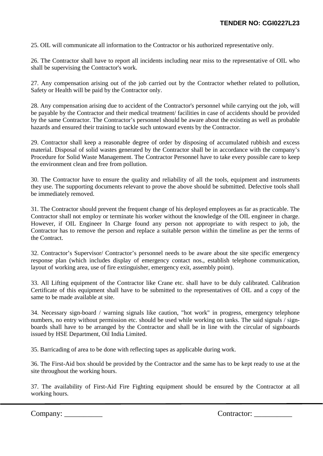25. OIL will communicate all information to the Contractor or his authorized representative only.

26. The Contractor shall have to report all incidents including near miss to the representative of OIL who shall be supervising the Contractor's work.

27. Any compensation arising out of the job carried out by the Contractor whether related to pollution, Safety or Health will be paid by the Contractor only.

28. Any compensation arising due to accident of the Contractor's personnel while carrying out the job, will be payable by the Contractor and their medical treatment/ facilities in case of accidents should be provided by the same Contractor. The Contractor's personnel should be aware about the existing as well as probable hazards and ensured their training to tackle such untoward events by the Contractor.

29. Contractor shall keep a reasonable degree of order by disposing of accumulated rubbish and excess material. Disposal of solid wastes generated by the Contractor shall be in accordance with the company's Procedure for Solid Waste Management. The Contractor Personnel have to take every possible care to keep the environment clean and free from pollution.

30. The Contractor have to ensure the quality and reliability of all the tools, equipment and instruments they use. The supporting documents relevant to prove the above should be submitted. Defective tools shall be immediately removed.

31. The Contractor should prevent the frequent change of his deployed employees as far as practicable. The Contractor shall not employ or terminate his worker without the knowledge of the OIL engineer in charge. However, if OIL Engineer In Charge found any person not appropriate to with respect to job, the Contractor has to remove the person and replace a suitable person within the timeline as per the terms of the Contract.

32. Contractor's Supervisor/ Contractor's personnel needs to be aware about the site specific emergency response plan (which includes display of emergency contact nos., establish telephone communication, layout of working area, use of fire extinguisher, emergency exit, assembly point).

33. All Lifting equipment of the Contractor like Crane etc. shall have to be duly calibrated. Calibration Certificate of this equipment shall have to be submitted to the representatives of OIL and a copy of the same to be made available at site.

34. Necessary sign-board / warning signals like caution, "hot work" in progress, emergency telephone numbers, no entry without permission etc. should be used while working on tanks. The said signals / signboards shall have to be arranged by the Contractor and shall be in line with the circular of signboards issued by HSE Department, Oil India Limited.

35. Barricading of area to be done with reflecting tapes as applicable during work.

36. The First-Aid box should be provided by the Contractor and the same has to be kept ready to use at the site throughout the working hours.

37. The availability of First-Aid Fire Fighting equipment should be ensured by the Contractor at all working hours.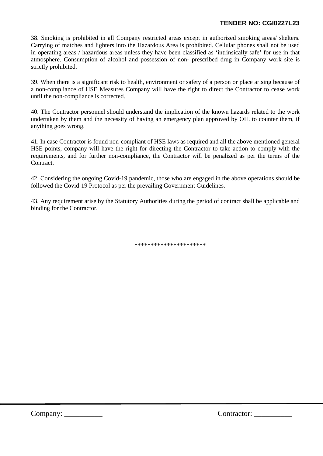## **TENDER NO: CGI0227L23**

38. Smoking is prohibited in all Company restricted areas except in authorized smoking areas/ shelters. Carrying of matches and lighters into the Hazardous Area is prohibited. Cellular phones shall not be used in operating areas / hazardous areas unless they have been classified as 'intrinsically safe' for use in that atmosphere. Consumption of alcohol and possession of non- prescribed drug in Company work site is strictly prohibited.

39. When there is a significant risk to health, environment or safety of a person or place arising because of a non-compliance of HSE Measures Company will have the right to direct the Contractor to cease work until the non-compliance is corrected.

40. The Contractor personnel should understand the implication of the known hazards related to the work undertaken by them and the necessity of having an emergency plan approved by OIL to counter them, if anything goes wrong.

41. In case Contractor is found non-compliant of HSE laws as required and all the above mentioned general HSE points, company will have the right for directing the Contractor to take action to comply with the requirements, and for further non-compliance, the Contractor will be penalized as per the terms of the Contract.

42. Considering the ongoing Covid-19 pandemic, those who are engaged in the above operations should be followed the Covid-19 Protocol as per the prevailing Government Guidelines.

43. Any requirement arise by the Statutory Authorities during the period of contract shall be applicable and binding for the Contractor.

\*\*\*\*\*\*\*\*\*\*\*\*\*\*\*\*\*\*\*\*\*\*